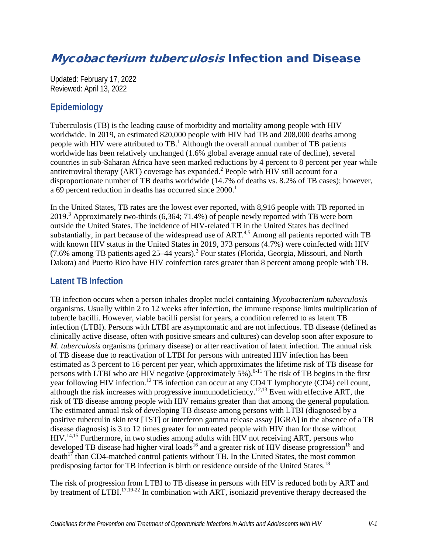# Mycobacterium tuberculosis Infection and Disease

Updated: February 17, 2022 Reviewed: April 13, 2022

## **Epidemiology**

Tuberculosis (TB) is the leading cause of morbidity and mortality among people with HIV worldwide. In 2019, an estimated 820,000 people with HIV had TB and 208,000 deaths among people with HIV were attributed to  $TB<sup>1</sup>$ [.](#page-28-0) Although the overall annual number of TB patients worldwide has been relatively unchanged (1.6% global average annual rate of decline), several countries in sub-Saharan Africa have seen marked reductions by 4 percent to 8 percent per year while antiretroviral therapy (ART) coverage has expanded.[2](#page-28-1) People with HIV still account for a disproportionate number of TB deaths worldwide (14.7% of deaths vs. 8.2% of TB cases); however, a 69 percent reduction in deaths has occurred since 2000.<sup>1</sup>

In the United States, TB rates are the lowest ever reported, with 8,916 people with TB reported in 2019.<sup>3</sup> Approximately two-thirds (6,364; 71.4%) of people newly reported with TB were born outside the United States. The incidence of HIV-related TB in the United States has declined substantially, in part because of the widespread use of  $ART^{4,5}$  $ART^{4,5}$  $ART^{4,5}$ . Among all patients reported with TB with known HIV status in the United States in 2019, 373 persons (4.7%) were coinfected with HIV (7.6% among TB patients aged 25–44 years).<sup>[3](#page-28-2)</sup> Four states (Florida, Georgia, Missouri, and North Dakota) and Puerto Rico have HIV coinfection rates greater than 8 percent among people with TB.

## **Latent TB Infection**

TB infection occurs when a person inhales droplet nuclei containing *Mycobacterium tuberculosis* organisms. Usually within 2 to 12 weeks after infection, the immune response limits multiplication of tubercle bacilli. However, viable bacilli persist for years, a condition referred to as latent TB infection (LTBI). Persons with LTBI are asymptomatic and are not infectious. TB disease (defined as clinically active disease, often with positive smears and cultures) can develop soon after exposure to *M. tuberculosis* organisms (primary disease) or after reactivation of latent infection. The annual risk of TB disease due to reactivation of LTBI for persons with untreated HIV infection has been estimated as 3 percent to 16 percent per year, which approximates the lifetime risk of TB disease for persons with LTBI who are  $\overline{H}$ IV negative (approximately 5%).<sup>6-11</sup> The risk of TB begins in the first year following HIV infection.<sup>[12](#page-28-6)</sup> TB infection can occur at any CD4 T lymphocyte (CD4) cell count, although the risk increases with progressive immunodeficiency.<sup>12,[13](#page-29-0)</sup> Even with effective ART, the risk of TB disease among people with HIV remains greater than that among the general population. The estimated annual risk of developing TB disease among persons with LTBI (diagnosed by a positive tuberculin skin test [TST] or interferon gamma release assay [IGRA] in the absence of a TB disease diagnosis) is 3 to 12 times greater for untreated people with HIV than for those without HIV[.14,](#page-29-1)[15](#page-29-2) Furthermore, in two studies among adults with HIV not receiving ART, persons who developed TB disease had higher viral loads<sup>16</sup> and a greater risk of HIV disease progression<sup>16</sup> and  $death<sup>17</sup>$  than CD4-matched control patients without TB. In the United States, the most common predisposing factor for TB infection is birth or residence outside of the United States.<sup>[18](#page-29-5)</sup>

The risk of progression from LTBI to TB disease in persons with HIV is reduced both by ART and by treatment of LTBI.<sup>[17,](#page-29-4)19-22</sup> In combination with ART, isoniazid preventive therapy decreased the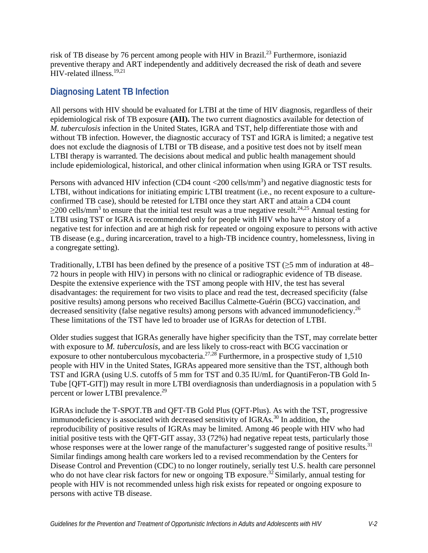risk of TB disease by 76 percent among people with HIV in Brazil[.23](#page-29-7) Furthermore, isoniazid preventive therapy and ART independently and additively decreased the risk of death and severe HIV-related illness[.19](#page-29-6)[,21](#page-29-8)

## **Diagnosing Latent TB Infection**

All persons with HIV should be evaluated for LTBI at the time of HIV diagnosis, regardless of their epidemiological risk of TB exposure **(AII).** The two current diagnostics available for detection of *M. tuberculosis* infection in the United States, IGRA and TST, help differentiate those with and without TB infection. However, the diagnostic accuracy of TST and IGRA is limited; a negative test does not exclude the diagnosis of LTBI or TB disease, and a positive test does not by itself mean LTBI therapy is warranted. The decisions about medical and public health management should include epidemiological, historical, and other clinical information when using IGRA or TST results.

Persons with advanced HIV infection (CD4 count  $\langle 200 \text{ cells/mm}^3 \rangle$  and negative diagnostic tests for LTBI, without indications for initiating empiric LTBI treatment (i.e., no recent exposure to a cultureconfirmed TB case), should be retested for LTBI once they start ART and attain a CD4 count  $\geq$ 200 cells/mm<sup>3</sup> to ensure that the initial test result was a true negative result.<sup>24[,25](#page-30-1)</sup> Annual testing for LTBI using TST or IGRA is recommended only for people with HIV who have a history of a negative test for infection and are at high risk for repeated or ongoing exposure to persons with active TB disease (e.g., during incarceration, travel to a high-TB incidence country, homelessness, living in a congregate setting).

Traditionally, LTBI has been defined by the presence of a positive TST ( $\geq$ 5 mm of induration at 48– 72 hours in people with HIV) in persons with no clinical or radiographic evidence of TB disease. Despite the extensive experience with the TST among people with HIV, the test has several disadvantages: the requirement for two visits to place and read the test, decreased specificity (false positive results) among persons who received Bacillus Calmette-Guérin (BCG) vaccination, and decreased sensitivity (false negative results) among persons with advanced immunodeficiency.<sup>[26](#page-30-2)</sup> These limitations of the TST have led to broader use of IGRAs for detection of LTBI.

Older studies suggest that IGRAs generally have higher specificity than the TST, may correlate better with exposure to *M. tuberculosis,* and are less likely to cross-react with BCG vaccination or exposure to other nontuberculous mycobacteria.<sup>27,28</sup> Furthermore, in a prospective study of 1,510 people with HIV in the United States, IGRAs appeared more sensitive than the TST, although both TST and IGRA (using U.S. cutoffs of 5 mm for TST and 0.35 IU/mL for QuantiFeron-TB Gold In-Tube [QFT-GIT]) may result in more LTBI overdiagnosis than underdiagnosis in a population with 5 percent or lower LTBI prevalence.<sup>[29](#page-30-5)</sup>

IGRAs include the T-SPOT.TB and QFT-TB Gold Plus (QFT-Plus). As with the TST, progressive immunodeficiency is associated with decreased sensitivity of IGRAs.<sup>[30](#page-30-6)</sup> In addition, the reproducibility of positive results of IGRAs may be limited. Among 46 people with HIV who had initial positive tests with the QFT-GIT assay, 33 (72%) had negative repeat tests, particularly those whose responses were at the lower range of the manufacturer's suggested range of positive results.<sup>31</sup> Similar findings among health care workers led to a revised recommendation by the Centers for Disease Control and Prevention (CDC) to no longer routinely, serially test U.S. health care personnel who do not have clear risk factors for new or ongoing TB exposure.<sup>32</sup> Similarly, annual testing for people with HIV is not recommended unless high risk exists for repeated or ongoing exposure to persons with active TB disease.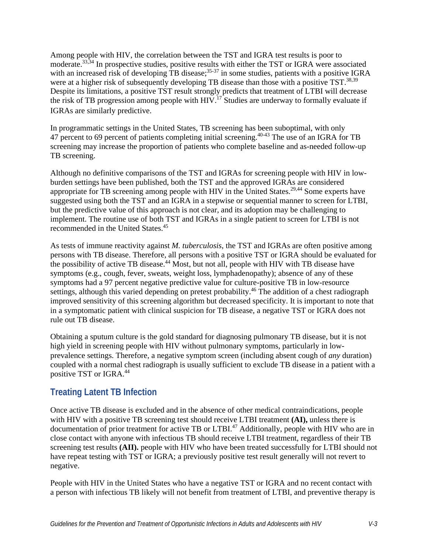Among people with HIV, the correlation between the TST and IGRA test results is poor to moderate.<sup>[33](#page-30-9)[,34](#page-31-0)</sup> In prospective studies, positive results with either the TST or IGRA were associated with an increased risk of developing TB disease;  $35-37$  in some studies, patients with a positive IGRA were at a higher risk of subsequently developing TB disease than those with a positive TST.<sup>[38,](#page-31-2)[39](#page-31-3)</sup> Despite its limitations, a positive TST result strongly predicts that treatment of LTBI will decrease the risk of TB progression among people with  $HIV.<sup>17</sup>$  $HIV.<sup>17</sup>$  $HIV.<sup>17</sup>$  Studies are underway to formally evaluate if IGRAs are similarly predictive.

In programmatic settings in the United States, TB screening has been suboptimal, with only 47 percent to 69 percent of patients completing initial screening.<sup>[40-43](#page-31-4)</sup> The use of an IGRA for TB screening may increase the proportion of patients who complete baseline and as-needed follow-up TB screening.

Although no definitive comparisons of the TST and IGRAs for screening people with HIV in lowburden settings have been published, both the TST and the approved IGRAs are considered appropriate for TB screening among people with HIV in the United States.<sup>[29](#page-30-5)[,44](#page-31-5)</sup> Some experts have suggested using both the TST and an IGRA in a stepwise or sequential manner to screen for LTBI, but the predictive value of this approach is not clear, and its adoption may be challenging to implement. The routine use of both TST and IGRAs in a single patient to screen for LTBI is not recommended in the United States. [45](#page-32-0)

As tests of immune reactivity against *M. tuberculosis*, the TST and IGRAs are often positive among persons with TB disease. Therefore, all persons with a positive TST or IGRA should be evaluated for the possibility of active TB disease.<sup>[44](#page-31-5)</sup> Most, but not all, people with HIV with TB disease have symptoms (e.g., cough, fever, sweats, weight loss, lymphadenopathy); absence of any of these symptoms had a 97 percent negative predictive value for culture-positive TB in low-resource settings, although this varied depending on pretest probability.<sup>[46](#page-32-1)</sup> The addition of a chest radiograph improved sensitivity of this screening algorithm but decreased specificity. It is important to note that in a symptomatic patient with clinical suspicion for TB disease, a negative TST or IGRA does not rule out TB disease.

Obtaining a sputum culture is the gold standard for diagnosing pulmonary TB disease, but it is not high yield in screening people with HIV without pulmonary symptoms, particularly in lowprevalence settings. Therefore, a negative symptom screen (including absent cough of *any* duration) coupled with a normal chest radiograph is usually sufficient to exclude TB disease in a patient with a positive TST or IGRA.[44](#page-31-5)

## **Treating Latent TB Infection**

Once active TB disease is excluded and in the absence of other medical contraindications, people with HIV with a positive TB screening test should receive LTBI treatment **(AI),** unless there is documentation of prior treatment for active TB or LTBI.<sup>[47](#page-32-2)</sup> Additionally, people with HIV who are in close contact with anyone with infectious TB should receive LTBI treatment, regardless of their TB screening test results **(AII).** people with HIV who have been treated successfully for LTBI should not have repeat testing with TST or IGRA; a previously positive test result generally will not revert to negative.

People with HIV in the United States who have a negative TST or IGRA and no recent contact with a person with infectious TB likely will not benefit from treatment of LTBI, and preventive therapy is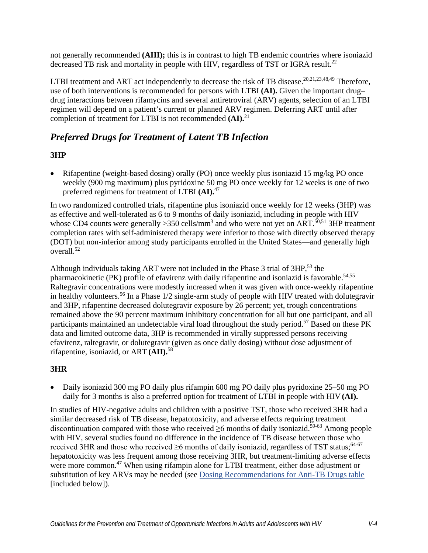not generally recommended **(AIII);** this is in contrast to high TB endemic countries where isoniazid decreased TB risk and mortality in people with HIV, regardless of TST or IGRA result.<sup>22</sup>

LTBI treatment and ART act independently to decrease the risk of TB disease.<sup>20,[21,](#page-29-8)[23](#page-29-7)[,48,](#page-32-3)49</sup> Therefore, use of both interventions is recommended for persons with LTBI **(AI).** Given the important drug– drug interactions between rifamycins and several antiretroviral (ARV) agents, selection of an LTBI regimen will depend on a patient's current or planned ARV regimen. Deferring ART until after completion of treatment for LTBI is not recommended **(AI).**[21](#page-29-8)

# *Preferred Drugs for Treatment of Latent TB Infection*

### **3HP**

• Rifapentine (weight-based dosing) orally (PO) once weekly plus isoniazid 15 mg/kg PO once weekly (900 mg maximum) plus pyridoxine 50 mg PO once weekly for 12 weeks is one of two preferred regimens for treatment of LTBI **(AI).**[47](#page-32-2)

In two randomized controlled trials, rifapentine plus isoniazid once weekly for 12 weeks (3HP) was as effective and well-tolerated as 6 to 9 months of daily isoniazid, including in people with HIV whose CD4 counts were generally > 350 cells/mm<sup>3</sup> and who were not yet on ART.<sup>50,51</sup> 3HP treatment completion rates with self-administered therapy were inferior to those with directly observed therapy (DOT) but non-inferior among study participants enrolled in the United States—and generally high  $over all.<sup>52</sup>$ 

Although individuals taking ART were not included in the Phase 3 trial of 3HP,<sup>53</sup> the pharmacokinetic (PK) profile of efavirenz with daily rifapentine and isoniazid is favorable.<sup>54,[55](#page-32-10)</sup> Raltegravir concentrations were modestly increased when it was given with once-weekly rifapentine in healthy volunteers. [56](#page-33-0) In a Phase 1/2 single-arm study of people with HIV treated with dolutegravir and 3HP, rifapentine decreased dolutegravir exposure by 26 percent; yet, trough concentrations remained above the 90 percent maximum inhibitory concentration for all but one participant, and all participants maintained an undetectable viral load throughout the study period.<sup>57</sup> Based on these PK data and limited outcome data, 3HP is recommended in virally suppressed persons receiving efavirenz, raltegravir, or dolutegravir (given as once daily dosing) without dose adjustment of rifapentine, isoniazid, or ART **(AII).**[58](#page-33-2)

## **3HR**

• Daily isoniazid 300 mg PO daily plus rifampin 600 mg PO daily plus pyridoxine 25–50 mg PO daily for 3 months is also a preferred option for treatment of LTBI in people with HIV **(AI).**

In studies of HIV-negative adults and children with a positive TST, those who received 3HR had a similar decreased risk of TB disease, hepatotoxicity, and adverse effects requiring treatment discontinuation compared with those who received  $\geq 6$  months of daily isoniazid.<sup>59-63</sup> Among people with HIV, several studies found no difference in the incidence of TB disease between those who received 3HR and those who received  $\geq$ 6 months of daily isoniazid, regardless of TST status;<sup>64-67</sup> hepatotoxicity was less frequent among those receiving 3HR, but treatment-limiting adverse effects were more common.<sup>47</sup> When using rifampin alone for LTBI treatment, either dose adjustment or substitution of key ARVs may be needed (see [Dosing Recommendations for Anti-TB Drugs table](#page-10-0) [included below]).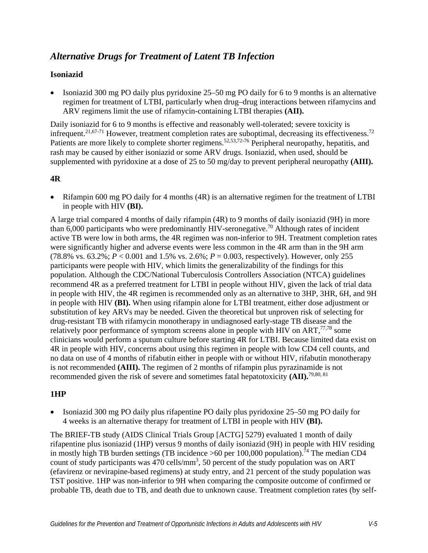## *Alternative Drugs for Treatment of Latent TB Infection*

### **Isoniazid**

• Isoniazid 300 mg PO daily plus pyridoxine 25–50 mg PO daily for 6 to 9 months is an alternative regimen for treatment of LTBI, particularly when drug–drug interactions between rifamycins and ARV regimens limit the use of rifamycin-containing LTBI therapies **(AII).**

Daily isoniazid for 6 to 9 months is effective and reasonably well-tolerated; severe toxicity is infrequent.<sup>21,67-71</sup> However, treatment completion rates are suboptimal, decreasing its effectiveness.<sup>72</sup> Patients are more likely to complete shorter regimens.<sup>52,[53,](#page-32-8)72-76</sup> Peripheral neuropathy, hepatitis, and rash may be caused by either isoniazid or some ARV drugs. Isoniazid, when used, should be supplemented with pyridoxine at a dose of 25 to 50 mg/day to prevent peripheral neuropathy **(AIII).**

### **4R**

• Rifampin 600 mg PO daily for 4 months (4R) is an alternative regimen for the treatment of LTBI in people with HIV **(BI).**

A large trial compared 4 months of daily rifampin (4R) to 9 months of daily isoniazid (9H) in more than  $6,000$  participants who were predominantly HIV-seronegative.<sup>70</sup> Although rates of incident active TB were low in both arms, the 4R regimen was non-inferior to 9H. Treatment completion rates were significantly higher and adverse events were less common in the 4R arm than in the 9H arm (78.8% vs. 63.2%;  $P < 0.001$  and 1.5% vs. 2.6%;  $P = 0.003$ , respectively). However, only 255 participants were people with HIV, which limits the generalizability of the findings for this population. Although the CDC/National Tuberculosis Controllers Association (NTCA) guidelines recommend 4R as a preferred treatment for LTBI in people without HIV, given the lack of trial data in people with HIV, the 4R regimen is recommended only as an alternative to 3HP, 3HR, 6H, and 9H in people with HIV **(BI).** When using rifampin alone for LTBI treatment, either dose adjustment or substitution of key ARVs may be needed. Given the theoretical but unproven risk of selecting for drug-resistant TB with rifamycin monotherapy in undiagnosed early-stage TB disease and the relatively poor performance of symptom screens alone in people with HIV on ART, $^{77,78}$  $^{77,78}$  $^{77,78}$  some clinicians would perform a sputum culture before starting 4R for LTBI. Because limited data exist on 4R in people with HIV, concerns about using this regimen in people with low CD4 cell counts, and no data on use of 4 months of rifabutin either in people with or without HIV, rifabutin monotherapy is not recommended **(AIII).** The regimen of 2 months of rifampin plus pyrazinamide is not recommended given the risk of severe and sometimes fatal hepatotoxicity **(AII).** [79,](#page-35-2)[80,](#page-35-3) [81](#page-35-4)

### **1HP**

• Isoniazid 300 mg PO daily plus rifapentine PO daily plus pyridoxine 25–50 mg PO daily for 4 weeks is an alternative therapy for treatment of LTBI in people with HIV **(BI).**

The BRIEF-TB study (AIDS Clinical Trials Group [ACTG] 5279) evaluated 1 month of daily rifapentine plus isoniazid (1HP) versus 9 months of daily isoniazid (9H) in people with HIV residing in mostly high TB burden settings (TB incidence  $>60$  per 100,000 population).<sup>74</sup> The median CD4 count of study participants was  $470$  cells/mm<sup>3</sup>, 50 percent of the study population was on ART (efavirenz or nevirapine-based regimens) at study entry, and 21 percent of the study population was TST positive. 1HP was non-inferior to 9H when comparing the composite outcome of confirmed or probable TB, death due to TB, and death due to unknown cause. Treatment completion rates (by self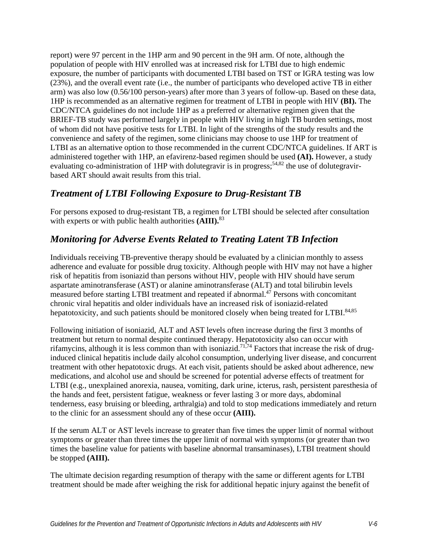report) were 97 percent in the 1HP arm and 90 percent in the 9H arm. Of note, although the population of people with HIV enrolled was at increased risk for LTBI due to high endemic exposure, the number of participants with documented LTBI based on TST or IGRA testing was low (23%), and the overall event rate (i.e., the number of participants who developed active TB in either arm) was also low (0.56/100 person-years) after more than 3 years of follow-up. Based on these data, 1HP is recommended as an alternative regimen for treatment of LTBI in people with HIV **(BI).** The CDC/NTCA guidelines do not include 1HP as a preferred or alternative regimen given that the BRIEF-TB study was performed largely in people with HIV living in high TB burden settings, most of whom did not have positive tests for LTBI. In light of the strengths of the study results and the convenience and safety of the regimen, some clinicians may choose to use 1HP for treatment of LTBI as an alternative option to those recommended in the current CDC/NTCA guidelines. If ART is administered together with 1HP, an efavirenz-based regimen should be used **(AI).** However, a study evaluating co-administration of 1HP with dolutegravir is in progress;  $54,82$  $54,82$  the use of dolutegravirbased ART should await results from this trial.

## *Treatment of LTBI Following Exposure to Drug-Resistant TB*

For persons exposed to drug-resistant TB, a regimen for LTBI should be selected after consultation with experts or with public health authorities **(AIII).**[83](#page-35-6)

# *Monitoring for Adverse Events Related to Treating Latent TB Infection*

Individuals receiving TB-preventive therapy should be evaluated by a clinician monthly to assess adherence and evaluate for possible drug toxicity. Although people with HIV may not have a higher risk of hepatitis from isoniazid than persons without HIV, people with HIV should have serum aspartate aminotransferase (AST) or alanine aminotransferase (ALT) and total bilirubin levels measured before starting LTBI treatment and repeated if abnormal.<sup>47</sup> Persons with concomitant chronic viral hepatitis and older individuals have an increased risk of isoniazid-related hepatotoxicity, and such patients should be monitored closely when being treated for LTBI.<sup>84[,85](#page-35-8)</sup>

Following initiation of isoniazid, ALT and AST levels often increase during the first 3 months of treatment but return to normal despite continued therapy. Hepatotoxicity also can occur with rifamycins, although it is less common than with isoniazid.<sup>71[,74](#page-34-3)</sup> Factors that increase the risk of druginduced clinical hepatitis include daily alcohol consumption, underlying liver disease, and concurrent treatment with other hepatotoxic drugs. At each visit, patients should be asked about adherence, new medications, and alcohol use and should be screened for potential adverse effects of treatment for LTBI (e.g., unexplained anorexia, nausea, vomiting, dark urine, icterus, rash, persistent paresthesia of the hands and feet, persistent fatigue, weakness or fever lasting 3 or more days, abdominal tenderness, easy bruising or bleeding, arthralgia) and told to stop medications immediately and return to the clinic for an assessment should any of these occur **(AIII).**

If the serum ALT or AST levels increase to greater than five times the upper limit of normal without symptoms or greater than three times the upper limit of normal with symptoms (or greater than two times the baseline value for patients with baseline abnormal transaminases), LTBI treatment should be stopped **(AIII).**

The ultimate decision regarding resumption of therapy with the same or different agents for LTBI treatment should be made after weighing the risk for additional hepatic injury against the benefit of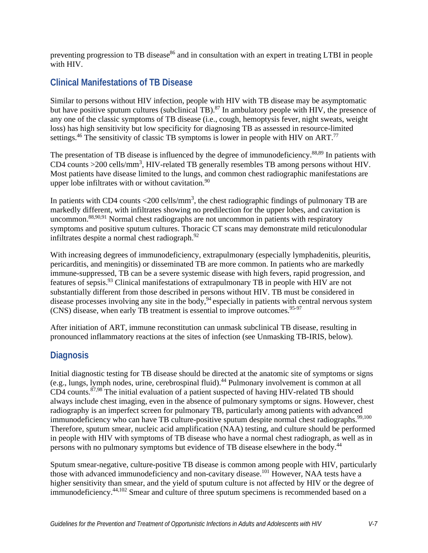preventing progression to TB disease<sup>86</sup> and in consultation with an expert in treating LTBI in people with HIV.

# **Clinical Manifestations of TB Disease**

Similar to persons without HIV infection, people with HIV with TB disease may be asymptomatic but have positive sputum cultures (subclinical TB).<sup>87</sup> In ambulatory people with HIV, the presence of any one of the classic symptoms of TB disease (i.e., cough, hemoptysis fever, night sweats, weight loss) has high sensitivity but low specificity for diagnosing TB as assessed in resource-limited settings.<sup>46</sup> The sensitivity of classic TB symptoms is lower in people with HIV on ART.<sup>[77](#page-35-0)</sup>

The presentation of TB disease is influenced by the degree of immunodeficiency.<sup>[88,](#page-36-0)89</sup> In patients with CD4 counts  $>$  200 cells/mm<sup>3</sup>, HIV-related TB generally resembles TB among persons without HIV. Most patients have disease limited to the lungs, and common chest radiographic manifestations are upper lobe infiltrates with or without cavitation. $90$ 

In patients with CD4 counts  $\langle 200 \text{ cells/mm}^3$ , the chest radiographic findings of pulmonary TB are markedly different, with infiltrates showing no predilection for the upper lobes, and cavitation is uncommon.<sup>88[,90,](#page-36-2)91</sup> Normal chest radiographs are not uncommon in patients with respiratory symptoms and positive sputum cultures. Thoracic CT scans may demonstrate mild reticulonodular infiltrates despite a normal chest radiograph. $92$ 

With increasing degrees of immunodeficiency, extrapulmonary (especially lymphadenitis, pleuritis, pericarditis, and meningitis) or disseminated TB are more common. In patients who are markedly immune-suppressed, TB can be a severe systemic disease with high fevers, rapid progression, and features of sepsis[.93](#page-36-5) Clinical manifestations of extrapulmonary TB in people with HIV are not substantially different from those described in persons without HIV. TB must be considered in disease processes involving any site in the body,<sup>94</sup> especially in patients with central nervous system (CNS) disease, when early TB treatment is essential to improve outcomes.<sup>95-97</sup>

After initiation of ART, immune reconstitution can unmask subclinical TB disease, resulting in pronounced inflammatory reactions at the sites of infection (see Unmasking TB-IRIS, below).

# **Diagnosis**

Initial diagnostic testing for TB disease should be directed at the anatomic site of symptoms or signs (e.g., lungs, lymph nodes, urine, cerebrospinal fluid)[.44](#page-31-5) Pulmonary involvement is common at all CD4 counts.<sup>[87,](#page-35-10)98</sup> The initial evaluation of a patient suspected of having HIV-related TB should always include chest imaging, even in the absence of pulmonary symptoms or signs. However, chest radiography is an imperfect screen for pulmonary TB, particularly among patients with advanced immunodeficiency who can have TB culture-positive sputum despite normal chest radiographs.<sup>[99,](#page-37-0)[100](#page-37-1)</sup> Therefore, sputum smear, nucleic acid amplification (NAA) testing, and culture should be performed in people with HIV with symptoms of TB disease who have a normal chest radiograph, as well as in persons with no pulmonary symptoms but evidence of TB disease elsewhere in the body[.44](#page-31-5)

Sputum smear-negative, culture-positive TB disease is common among people with HIV, particularly those with advanced immunodeficiency and non-cavitary disease[.101](#page-37-2) However, NAA tests have a higher sensitivity than smear, and the yield of sputum culture is not affected by HIV or the degree of immunodeficiency[.44,](#page-31-5)[102](#page-37-3) Smear and culture of three sputum specimens is recommended based on a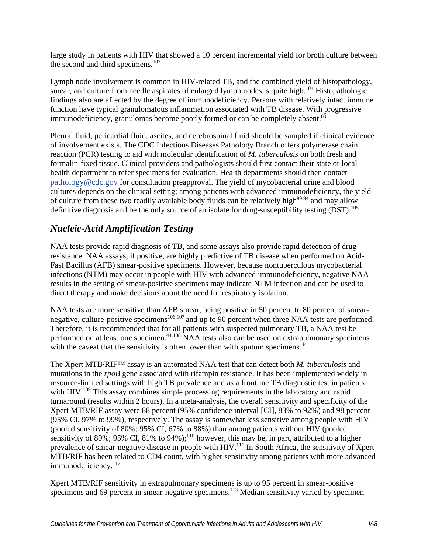large study in patients with HIV that showed a 10 percent incremental yield for broth culture between the second and third specimens. $103$ 

Lymph node involvement is common in HIV-related TB, and the combined yield of histopathology, smear, and culture from needle aspirates of enlarged lymph nodes is quite high.<sup>[104](#page-37-5)</sup> Histopathologic findings also are affected by the degree of immunodeficiency. Persons with relatively intact immune function have typical granulomatous inflammation associated with TB disease. With progressive immunodeficiency, granulomas become poorly formed or can be completely absent.<sup>[89](#page-36-1)</sup>

Pleural fluid, pericardial fluid, ascites, and cerebrospinal fluid should be sampled if clinical evidence of involvement exists. The CDC Infectious Diseases Pathology Branch offers polymerase chain reaction (PCR) testing to aid with molecular identification of *M. tuberculosis* on both fresh and formalin-fixed tissue. Clinical providers and pathologists should first contact their state or local health department to refer specimens for evaluation. Health departments should then contact [pathology@cdc.gov](mailto:pathology@cdc.gov) for consultation preapproval. The yield of mycobacterial urine and blood cultures depends on the clinical setting; among patients with advanced immunodeficiency, the yield of culture from these two readily available body fluids can be relatively high<sup>89[,94](#page-36-6)</sup> and may allow definitive diagnosis and be the only source of an isolate for drug-susceptibility testing (DST).<sup>[105](#page-37-6)</sup>

# *Nucleic-Acid Amplification Testing*

NAA tests provide rapid diagnosis of TB, and some assays also provide rapid detection of drug resistance. NAA assays, if positive, are highly predictive of TB disease when performed on Acid-Fast Bacillus (AFB) smear-positive specimens. However, because nontuberculous mycobacterial infections (NTM) may occur in people with HIV with advanced immunodeficiency, negative NAA results in the setting of smear-positive specimens may indicate NTM infection and can be used to direct therapy and make decisions about the need for respiratory isolation.

NAA tests are more sensitive than AFB smear, being positive in 50 percent to 80 percent of smear-negative, culture-positive specimens<sup>106,[107](#page-37-8)</sup> and up to 90 percent when three NAA tests are performed. Therefore, it is recommended that for all patients with suspected pulmonary TB, a NAA test be performed on at least one specimen.<sup>44,[108](#page-37-9)</sup> NAA tests also can be used on extrapulmonary specimens with the caveat that the sensitivity is often lower than with sputum specimens.<sup>[44](#page-31-5)</sup>

The Xpert MTB/RIF™ assay is an automated NAA test that can detect both *M. tuberculosis* and mutations in the *rpoB* gene associated with rifampin resistance. It has been implemented widely in resource-limited settings with high TB prevalence and as a frontline TB diagnostic test in patients with HIV.<sup>109</sup> This assay combines simple processing requirements in the laboratory and rapid turnaround (results within 2 hours). In a meta-analysis, the overall sensitivity and specificity of the Xpert MTB/RIF assay were 88 percent (95% confidence interval [CI], 83% to 92%) and 98 percent (95% CI, 97% to 99%), respectively. The assay is somewhat less sensitive among people with HIV (pooled sensitivity of 80%; 95% CI, 67% to 88%) than among patients without HIV (pooled sensitivity of 89%; 95% CI, 81% to 94%);<sup>110</sup> however, this may be, in part, attributed to a higher prevalence of smear-negative disease in people with HIV.<sup>111</sup> In South Africa, the sensitivity of Xpert MTB/RIF has been related to CD4 count, with higher sensitivity among patients with more advanced immunodeficiency.<sup>112</sup>

Xpert MTB/RIF sensitivity in extrapulmonary specimens is up to 95 percent in smear-positive specimens and 69 percent in smear-negative specimens.<sup>113</sup> Median sensitivity varied by specimen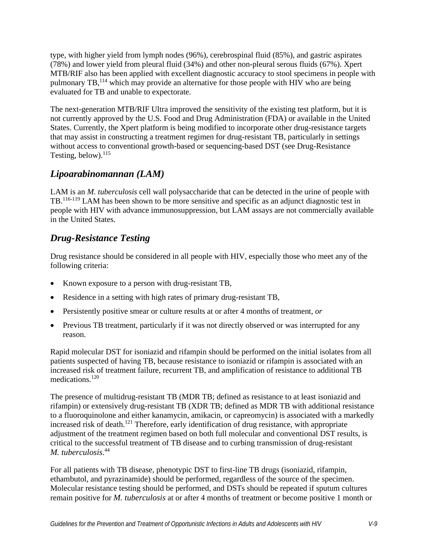type, with higher yield from lymph nodes (96%), cerebrospinal fluid (85%), and gastric aspirates (78%) and lower yield from pleural fluid (34%) and other non-pleural serous fluids (67%). Xpert MTB/RIF also has been applied with excellent diagnostic accuracy to stool specimens in people with pulmonary TB,<sup>114</sup> which may provide an alternative for those people with HIV who are being evaluated for TB and unable to expectorate.

The next-generation MTB/RIF Ultra improved the sensitivity of the existing test platform, but it is not currently approved by the U.S. Food and Drug Administration (FDA) or available in the United States. Currently, the Xpert platform is being modified to incorporate other drug-resistance targets that may assist in constructing a treatment regimen for drug-resistant TB, particularly in settings without access to conventional growth-based or sequencing-based DST (see Drug-Resistance Testing, below).<sup>115</sup>

# *Lipoarabinomannan (LAM)*

LAM is an *M. tuberculosis* cell wall polysaccharide that can be detected in the urine of people with TB.<sup>[116-119](#page-38-5)</sup> LAM has been shown to be more sensitive and specific as an adjunct diagnostic test in people with HIV with advance immunosuppression, but LAM assays are not commercially available in the United States.

# *Drug-Resistance Testing*

Drug resistance should be considered in all people with HIV, especially those who meet any of the following criteria:

- Known exposure to a person with drug-resistant TB,
- Residence in a setting with high rates of primary drug-resistant TB,
- Persistently positive smear or culture results at or after 4 months of treatment, *or*
- Previous TB treatment, particularly if it was not directly observed or was interrupted for any reason.

Rapid molecular DST for isoniazid and rifampin should be performed on the initial isolates from all patients suspected of having TB, because resistance to isoniazid or rifampin is associated with an increased risk of treatment failure, recurrent TB, and amplification of resistance to additional TB medications.<sup>120</sup>

The presence of multidrug-resistant TB (MDR TB; defined as resistance to at least isoniazid and rifampin) or extensively drug-resistant TB (XDR TB; defined as MDR TB with additional resistance to a fluoroquinolone and either kanamycin, amikacin, or capreomycin) is associated with a markedly increased risk of death[.121](#page-39-0) Therefore, early identification of drug resistance, with appropriate adjustment of the treatment regimen based on both full molecular and conventional DST results, is critical to the successful treatment of TB disease and to curbing transmission of drug-resistant *M. tuberculosis*. [44](#page-31-5)

For all patients with TB disease, phenotypic DST to first-line TB drugs (isoniazid, rifampin, ethambutol, and pyrazinamide) should be performed, regardless of the source of the specimen. Molecular resistance testing should be performed, and DSTs should be repeated if sputum cultures remain positive for *M. tuberculosis* at or after 4 months of treatment or become positive 1 month or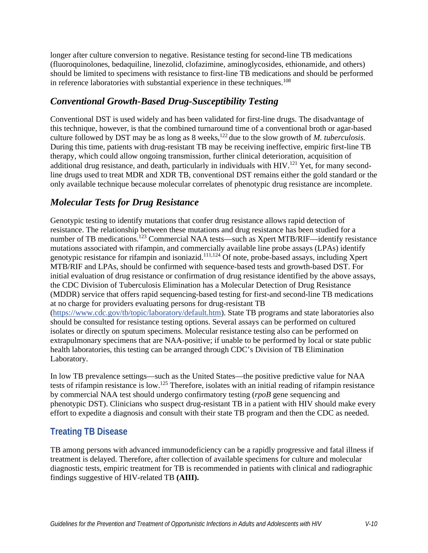longer after culture conversion to negative. Resistance testing for second-line TB medications (fluoroquinolones, bedaquiline, linezolid, clofazimine, aminoglycosides, ethionamide, and others) should be limited to specimens with resistance to first-line TB medications and should be performed in reference laboratories with substantial experience in these techniques.<sup>108</sup>

## *Conventional Growth-Based Drug-Susceptibility Testing*

Conventional DST is used widely and has been validated for first-line drugs. The disadvantage of this technique, however, is that the combined turnaround time of a conventional broth or agar-based culture followed by DST may be as long as 8 weeks,<sup>122</sup> due to the slow growth of *M. tuberculosis.* During this time, patients with drug-resistant TB may be receiving ineffective, empiric first-line TB therapy, which could allow ongoing transmission, further clinical deterioration, acquisition of additional drug resistance, and death, particularly in individuals with  $HIV.<sup>121</sup>$  $HIV.<sup>121</sup>$  $HIV.<sup>121</sup>$  Yet, for many secondline drugs used to treat MDR and XDR TB, conventional DST remains either the gold standard or the only available technique because molecular correlates of phenotypic drug resistance are incomplete.

## *Molecular Tests for Drug Resistance*

Genotypic testing to identify mutations that confer drug resistance allows rapid detection of resistance. The relationship between these mutations and drug resistance has been studied for a number of TB medications.<sup>123</sup> Commercial NAA tests—such as Xpert MTB/RIF—identify resistance mutations associated with rifampin, and commercially available line probe assays (LPAs) identify genotypic resistance for rifampin and isoniazid.<sup>111,124</sup> Of note, probe-based assays, including Xpert MTB/RIF and LPAs, should be confirmed with sequence-based tests and growth-based DST. For initial evaluation of drug resistance or confirmation of drug resistance identified by the above assays, the CDC Division of Tuberculosis Elimination has a Molecular Detection of Drug Resistance (MDDR) service that offers rapid sequencing-based testing for first-and second-line TB medications at no charge for providers evaluating persons for drug-resistant TB [\(https://www.cdc.gov/tb/topic/laboratory/default.htm\)](https://www.cdc.gov/tb/topic/laboratory/default.htm). State TB programs and state laboratories also should be consulted for resistance testing options. Several assays can be performed on cultured isolates or directly on sputum specimens. Molecular resistance testing also can be performed on extrapulmonary specimens that are NAA-positive; if unable to be performed by local or state public health laboratories, this testing can be arranged through CDC's Division of TB Elimination Laboratory.

In low TB prevalence settings—such as the United States—the positive predictive value for NAA tests of rifampin resistance is low.<sup>125</sup> Therefore, isolates with an initial reading of rifampin resistance by commercial NAA test should undergo confirmatory testing (*rpoB* gene sequencing and phenotypic DST). Clinicians who suspect drug-resistant TB in a patient with HIV should make every effort to expedite a diagnosis and consult with their state TB program and then the CDC as needed.

# **Treating TB Disease**

TB among persons with advanced immunodeficiency can be a rapidly progressive and fatal illness if treatment is delayed. Therefore, after collection of available specimens for culture and molecular diagnostic tests, empiric treatment for TB is recommended in patients with clinical and radiographic findings suggestive of HIV-related TB **(AIII).**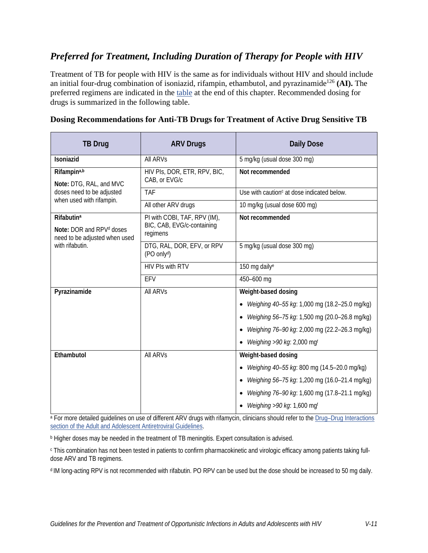## *Preferred for Treatment, Including Duration of Therapy for People with HIV*

Treatment of TB for people with HIV is the same as for individuals without HIV and should include an initial four-drug combination of isoniazid, rifampin, ethambutol, and pyrazinamide<sup>126</sup> (AI). The preferred regimens are indicated in the [table](#page-25-0) at the end of this chapter. Recommended dosing for drugs is summarized in the following table.

| <b>TB Drug</b>                                                                                                | <b>ARV Drugs</b>                                                       | <b>Daily Dose</b>                                          |
|---------------------------------------------------------------------------------------------------------------|------------------------------------------------------------------------|------------------------------------------------------------|
| Isoniazid                                                                                                     | <b>All ARVS</b>                                                        | 5 mg/kg (usual dose 300 mg)                                |
| Rifampina,b<br>Note: DTG, RAL, and MVC<br>doses need to be adjusted<br>when used with rifampin.               | HIV PIS, DOR, ETR, RPV, BIC,<br>CAB, or EVG/c                          | Not recommended                                            |
|                                                                                                               | <b>TAF</b>                                                             | Use with caution $c$ at dose indicated below.              |
|                                                                                                               | All other ARV drugs                                                    | 10 mg/kg (usual dose 600 mg)                               |
| <b>Rifabutina</b><br>Note: DOR and RPV <sup>d</sup> doses<br>need to be adjusted when used<br>with rifabutin. | PI with COBI, TAF, RPV (IM),<br>BIC, CAB, EVG/c-containing<br>regimens | Not recommended                                            |
|                                                                                                               | DTG, RAL, DOR, EFV, or RPV<br>(PO only <sup>d</sup> )                  | 5 mg/kg (usual dose 300 mg)                                |
|                                                                                                               | <b>HIV PIs with RTV</b>                                                | 150 mg daily <sup>e</sup>                                  |
|                                                                                                               | EFV                                                                    | 450-600 mg                                                 |
| Pyrazinamide                                                                                                  | <b>All ARVs</b>                                                        | Weight-based dosing                                        |
|                                                                                                               |                                                                        | Weighing 40-55 kg: 1,000 mg (18.2-25.0 mg/kg)<br>$\bullet$ |
|                                                                                                               |                                                                        | Weighing 56-75 kg: 1,500 mg (20.0-26.8 mg/kg)              |
|                                                                                                               |                                                                        | Weighing 76-90 kg: 2,000 mg (22.2-26.3 mg/kg)              |
|                                                                                                               |                                                                        | Weighing >90 kg: 2,000 mgf                                 |
| Ethambutol                                                                                                    | <b>All ARVS</b>                                                        | Weight-based dosing                                        |
|                                                                                                               |                                                                        | Weighing 40-55 kg: 800 mg (14.5-20.0 mg/kg)                |
|                                                                                                               |                                                                        | Weighing 56-75 kg: 1,200 mg (16.0-21.4 mg/kg)<br>$\bullet$ |
|                                                                                                               |                                                                        | Weighing 76-90 kg: 1,600 mg (17.8-21.1 mg/kg)              |
|                                                                                                               |                                                                        | Weighing >90 kg: 1,600 mgf                                 |

#### <span id="page-10-0"></span>**Dosing Recommendations for Anti-TB Drugs for Treatment of Active Drug Sensitive TB**

a For more detailed guidelines on use of different ARV drugs with rifamycin, clinicians should refer to the Drug–Drug Interactions [section of the Adult and Adolescent Antiretroviral Guidelines.](https://clinicalinfo.hiv.gov/en/guidelines/adult-and-adolescent-arv/overview?view=full)

**b** Higher doses may be needed in the treatment of TB meningitis. Expert consultation is advised.

<sup>c</sup> This combination has not been tested in patients to confirm pharmacokinetic and virologic efficacy among patients taking fulldose ARV and TB regimens.

d IM long-acting RPV is not recommended with rifabutin. PO RPV can be used but the dose should be increased to 50 mg daily.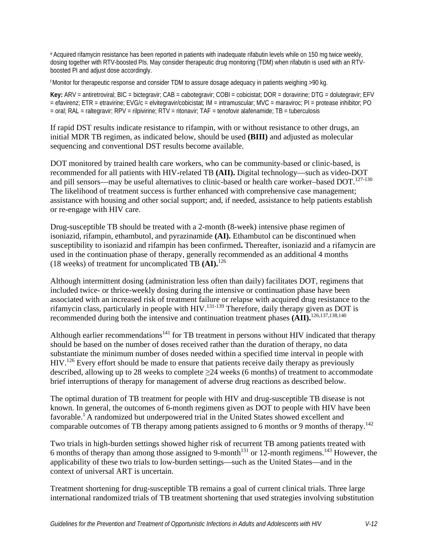e Acquired rifamycin resistance has been reported in patients with inadequate rifabutin levels while on 150 mg twice weekly, dosing together with RTV-boosted PIs. May consider therapeutic drug monitoring (TDM) when rifabutin is used with an RTVboosted PI and adjust dose accordingly.

f Monitor for therapeutic response and consider TDM to assure dosage adequacy in patients weighing >90 kg.

**Key:** ARV = antiretroviral; BIC = bictegravir; CAB = cabotegravir; COBI = cobicistat; DOR = doravirine; DTG = dolutegravir; EFV = efavirenz; ETR = etravirine; EVG/c = elvitegravir/cobicistat; IM = intramuscular; MVC = maraviroc; PI = protease inhibitor; PO = oral; RAL = raltegravir; RPV = rilpivirine; RTV = ritonavir; TAF = tenofovir alafenamide; TB = tuberculosis

If rapid DST results indicate resistance to rifampin, with or without resistance to other drugs, an initial MDR TB regimen, as indicated below, should be used **(BIII)** and adjusted as molecular sequencing and conventional DST results become available.

DOT monitored by trained health care workers, who can be community-based or clinic-based, is recommended for all patients with HIV-related TB **(AII).** Digital technology—such as video-DOT and pill sensors—may be useful alternatives to clinic-based or health care worker–based DOT.<sup>127-130</sup> The likelihood of treatment success is further enhanced with comprehensive case management; assistance with housing and other social support; and, if needed, assistance to help patients establish or re-engage with HIV care.

Drug-susceptible TB should be treated with a 2-month (8-week) intensive phase regimen of isoniazid, rifampin, ethambutol, and pyrazinamide **(AI).** Ethambutol can be discontinued when susceptibility to isoniazid and rifampin has been confirmed**.** Thereafter, isoniazid and a rifamycin are used in the continuation phase of therapy, generally recommended as an additional 4 months (18 weeks) of treatment for uncomplicated TB **(AI).**[126](#page-39-5)

Although intermittent dosing (administration less often than daily) facilitates DOT, regimens that included twice- or thrice-weekly dosing during the intensive or continuation phase have been associated with an increased risk of treatment failure or relapse with acquired drug resistance to the rifamycin class, particularly in people with HIV[.131-139](#page-39-7) Therefore, daily therapy given as DOT is recommended during both the intensive and continuation treatment phases **(AII).** [126,](#page-39-5)[137,](#page-40-0)[138,](#page-40-1)[140](#page-40-2)

Although earlier recommendations<sup>141</sup> for TB treatment in persons without HIV indicated that therapy should be based on the number of doses received rather than the duration of therapy, no data substantiate the minimum number of doses needed within a specified time interval in people with HIV.<sup>126</sup> Every effort should be made to ensure that patients receive daily therapy as previously described, allowing up to 28 weeks to complete ≥24 weeks (6 months) of treatment to accommodate brief interruptions of therapy for management of adverse drug reactions as described below.

The optimal duration of TB treatment for people with HIV and drug-susceptible TB disease is not known. In general, the outcomes of 6-month regimens given as DOT to people with HIV have been favorable[.1](#page-28-0) A randomized but underpowered trial in the United States showed excellent and comparable outcomes of TB therapy among patients assigned to 6 months or 9 months of therapy.<sup>142</sup>

Two trials in high-burden settings showed higher risk of recurrent TB among patients treated with 6 months of therapy than among those assigned to 9-month<sup>131</sup> or 12-month regimens.<sup>143</sup> However, the applicability of these two trials to low-burden settings—such as the United States—and in the context of universal ART is uncertain.

Treatment shortening for drug-susceptible TB remains a goal of current clinical trials. Three large international randomized trials of TB treatment shortening that used strategies involving substitution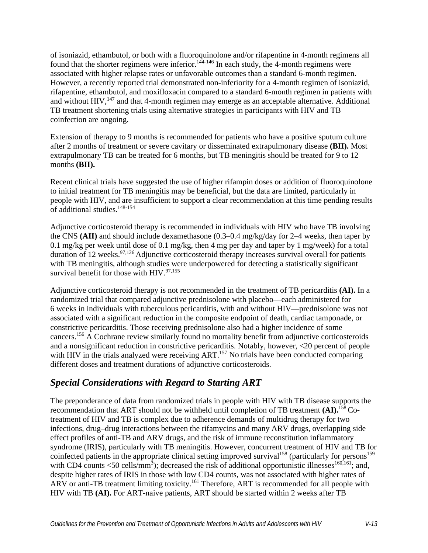of isoniazid, ethambutol, or both with a fluoroquinolone and/or rifapentine in 4-month regimens all found that the shorter regimens were inferior.<sup>144-146</sup> In each study, the 4-month regimens were associated with higher relapse rates or unfavorable outcomes than a standard 6-month regimen. However, a recently reported trial demonstrated non-inferiority for a 4-month regimen of isoniazid, rifapentine, ethambutol, and moxifloxacin compared to a standard 6-month regimen in patients with and without  $HIV$ ,<sup>147</sup> and that 4-month regimen may emerge as an acceptable alternative. Additional TB treatment shortening trials using alternative strategies in participants with HIV and TB coinfection are ongoing.

Extension of therapy to 9 months is recommended for patients who have a positive sputum culture after 2 months of treatment or severe cavitary or disseminated extrapulmonary disease **(BII).** Most extrapulmonary TB can be treated for 6 months, but TB meningitis should be treated for 9 to 12 months **(BII).**

Recent clinical trials have suggested the use of higher rifampin doses or addition of fluoroquinolone to initial treatment for TB meningitis may be beneficial, but the data are limited, particularly in people with HIV, and are insufficient to support a clear recommendation at this time pending results of additional studies[.148-154](#page-41-3)

Adjunctive corticosteroid therapy is recommended in individuals with HIV who have TB involving the CNS **(AII)** and should include dexamethasone (0.3–0.4 mg/kg/day for 2–4 weeks, then taper by 0.1 mg/kg per week until dose of 0.1 mg/kg, then 4 mg per day and taper by 1 mg/week) for a total duration of 12 weeks.  $97,126$  $97,126$  Adjunctive corticosteroid therapy increases survival overall for patients with TB meningitis, although studies were underpowered for detecting a statistically significant survival benefit for those with HIV. $97,155$  $97,155$ 

Adjunctive corticosteroid therapy is not recommended in the treatment of TB pericarditis **(AI).** In a randomized trial that compared adjunctive prednisolone with placebo—each administered for 6 weeks in individuals with tuberculous pericarditis, with and without HIV—prednisolone was not associated with a significant reduction in the composite endpoint of death, cardiac tamponade, or constrictive pericarditis. Those receiving prednisolone also had a higher incidence of some cancers[.156](#page-42-1) A Cochrane review similarly found no mortality benefit from adjunctive corticosteroids and a nonsignificant reduction in constrictive pericarditis. Notably, however, <20 percent of people with HIV in the trials analyzed were receiving ART.<sup>157</sup> No trials have been conducted comparing different doses and treatment durations of adjunctive corticosteroids.

## *Special Considerations with Regard to Starting ART*

The preponderance of data from randomized trials in people with HIV with TB disease supports the recommendation that ART should not be withheld until completion of TB treatment **(AI).**[158](#page-42-3) Cotreatment of HIV and TB is complex due to adherence demands of multidrug therapy for two infections, drug–drug interactions between the rifamycins and many ARV drugs, overlapping side effect profiles of anti-TB and ARV drugs, and the risk of immune reconstitution inflammatory syndrome (IRIS), particularly with TB meningitis. However, concurrent treatment of HIV and TB for coinfected patients in the appropriate clinical setting improved survival<sup>158</sup> (particularly for persons<sup>159</sup>) with CD4 counts  $\langle 50 \text{ cells/mm}^3 \rangle$ ; decreased the risk of additional opportunistic illnesses<sup>160,161</sup>; and, despite higher rates of IRIS in those with low CD4 counts, was not associated with higher rates of ARV or anti-TB treatment limiting toxicity.<sup>161</sup> Therefore, ART is recommended for all people with HIV with TB **(AI).** For ART-naive patients, ART should be started within 2 weeks after TB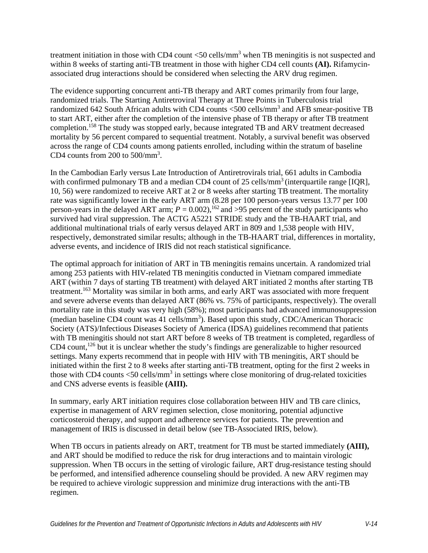treatment initiation in those with CD4 count  $<$  50 cells/mm<sup>3</sup> when TB meningitis is not suspected and within 8 weeks of starting anti-TB treatment in those with higher CD4 cell counts **(AI).** Rifamycinassociated drug interactions should be considered when selecting the ARV drug regimen.

The evidence supporting concurrent anti-TB therapy and ART comes primarily from four large, randomized trials. The Starting Antiretroviral Therapy at Three Points in Tuberculosis trial randomized 642 South African adults with CD4 counts <500 cells/mm<sup>3</sup> and AFB smear-positive TB to start ART, either after the completion of the intensive phase of TB therapy or after TB treatment completion[.158](#page-42-3) The study was stopped early, because integrated TB and ARV treatment decreased mortality by 56 percent compared to sequential treatment. Notably, a survival benefit was observed across the range of CD4 counts among patients enrolled, including within the stratum of baseline CD4 counts from  $200$  to  $500/mm^3$ .

In the Cambodian Early versus Late Introduction of Antiretrovirals trial, 661 adults in Cambodia with confirmed pulmonary TB and a median CD4 count of 25 cells/mm<sup>3</sup> (interquartile range [IQR], 10, 56) were randomized to receive ART at 2 or 8 weeks after starting TB treatment. The mortality rate was significantly lower in the early ART arm (8.28 per 100 person-years versus 13.77 per 100 person-years in the delayed ART arm;  $P = 0.002$ ),<sup>162</sup> and >95 percent of the study participants who survived had viral suppression. The ACTG A5221 STRIDE study and the TB-HAART trial, and additional multinational trials of early versus delayed ART in 809 and 1,538 people with HIV, respectively, demonstrated similar results; although in the TB-HAART trial, differences in mortality, adverse events, and incidence of IRIS did not reach statistical significance.

The optimal approach for initiation of ART in TB meningitis remains uncertain. A randomized trial among 253 patients with HIV-related TB meningitis conducted in Vietnam compared immediate ART (within 7 days of starting TB treatment) with delayed ART initiated 2 months after starting TB treatment.<sup>163</sup> Mortality was similar in both arms, and early ART was associated with more frequent and severe adverse events than delayed ART (86% vs. 75% of participants, respectively). The overall mortality rate in this study was very high (58%); most participants had advanced immunosuppression (median baseline CD4 count was 41 cells/mm<sup>3</sup>). Based upon this study, CDC/American Thoracic Society (ATS)/Infectious Diseases Society of America (IDSA) guidelines recommend that patients with TB meningitis should not start ART before 8 weeks of TB treatment is completed, regardless of CD4 count,<sup>126</sup> but it is unclear whether the study's findings are generalizable to higher resourced settings. Many experts recommend that in people with HIV with TB meningitis, ART should be initiated within the first 2 to 8 weeks after starting anti-TB treatment, opting for the first 2 weeks in those with CD4 counts  $\langle 50 \text{ cells/mm}^3$  in settings where close monitoring of drug-related toxicities and CNS adverse events is feasible **(AIII).**

In summary, early ART initiation requires close collaboration between HIV and TB care clinics, expertise in management of ARV regimen selection, close monitoring, potential adjunctive corticosteroid therapy, and support and adherence services for patients. The prevention and management of IRIS is discussed in detail below (see TB-Associated IRIS, below).

When TB occurs in patients already on ART, treatment for TB must be started immediately **(AIII),** and ART should be modified to reduce the risk for drug interactions and to maintain virologic suppression. When TB occurs in the setting of virologic failure, ART drug-resistance testing should be performed, and intensified adherence counseling should be provided. A new ARV regimen may be required to achieve virologic suppression and minimize drug interactions with the anti-TB regimen.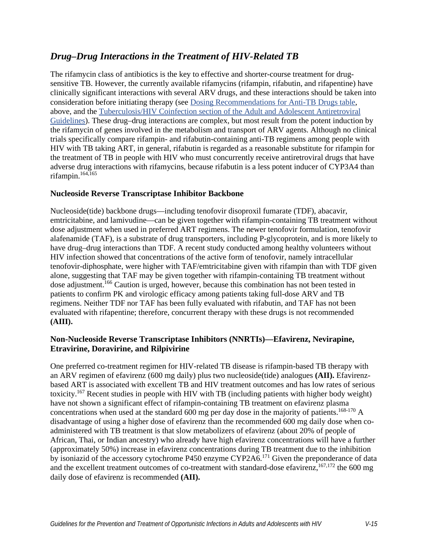## *Drug–Drug Interactions in the Treatment of HIV-Related TB*

The rifamycin class of antibiotics is the key to effective and shorter-course treatment for drugsensitive TB. However, the currently available rifamycins (rifampin, rifabutin, and rifapentine) have clinically significant interactions with several ARV drugs, and these interactions should be taken into consideration before initiating therapy (see [Dosing Recommendations for Anti-TB Drugs table,](#page-10-0) above, and the [Tuberculosis/HIV Coinfection section of the Adult and Adolescent Antiretroviral](https://clinicalinfo.hiv.gov/en/guidelines/adult-and-adolescent-arv/tuberculosishiv-coinfection)  [Guidelines\)](https://clinicalinfo.hiv.gov/en/guidelines/adult-and-adolescent-arv/tuberculosishiv-coinfection). These drug–drug interactions are complex, but most result from the potent induction by the rifamycin of genes involved in the metabolism and transport of ARV agents. Although no clinical trials specifically compare rifampin- and rifabutin-containing anti-TB regimens among people with HIV with TB taking ART, in general, rifabutin is regarded as a reasonable substitute for rifampin for the treatment of TB in people with HIV who must concurrently receive antiretroviral drugs that have adverse drug interactions with rifamycins, because rifabutin is a less potent inducer of CYP3A4 than rifampin. $164,165$  $164,165$ 

### **Nucleoside Reverse Transcriptase Inhibitor Backbone**

Nucleoside(tide) backbone drugs—including tenofovir disoproxil fumarate (TDF), abacavir, emtricitabine, and lamivudine—can be given together with rifampin-containing TB treatment without dose adjustment when used in preferred ART regimens. The newer tenofovir formulation, tenofovir alafenamide (TAF), is a substrate of drug transporters, including P-glycoprotein, and is more likely to have drug–drug interactions than TDF. A recent study conducted among healthy volunteers without HIV infection showed that concentrations of the active form of tenofovir, namely intracellular tenofovir-diphosphate, were higher with TAF/emtricitabine given with rifampin than with TDF given alone, suggesting that TAF may be given together with rifampin-containing TB treatment without dose adjustment.<sup>166</sup> Caution is urged, however, because this combination has not been tested in patients to confirm PK and virologic efficacy among patients taking full-dose ARV and TB regimens. Neither TDF nor TAF has been fully evaluated with rifabutin, and TAF has not been evaluated with rifapentine; therefore, concurrent therapy with these drugs is not recommended **(AIII).**

### **Non-Nucleoside Reverse Transcriptase Inhibitors (NNRTIs)—Efavirenz, Nevirapine, Etravirine, Doravirine, and Rilpivirine**

One preferred co-treatment regimen for HIV-related TB disease is rifampin-based TB therapy with an ARV regimen of efavirenz (600 mg daily) plus two nucleoside(tide) analogues **(AII).** Efavirenzbased ART is associated with excellent TB and HIV treatment outcomes and has low rates of serious toxicity[.167](#page-43-0) Recent studies in people with HIV with TB (including patients with higher body weight) have not shown a significant effect of rifampin-containing TB treatment on efavirenz plasma concentrations when used at the standard 600 mg per day dose in the majority of patients.<sup>168-170</sup> A disadvantage of using a higher dose of efavirenz than the recommended 600 mg daily dose when coadministered with TB treatment is that slow metabolizers of efavirenz (about 20% of people of African, Thai, or Indian ancestry) who already have high efavirenz concentrations will have a further (approximately 50%) increase in efavirenz concentrations during TB treatment due to the inhibition by isoniazid of the accessory cytochrome P450 enzyme CYP2A6.<sup>171</sup> Given the preponderance of data and the excellent treatment outcomes of co-treatment with standard-dose efavirenz,  $167,172$  $167,172$  the 600 mg daily dose of efavirenz is recommended **(AII).**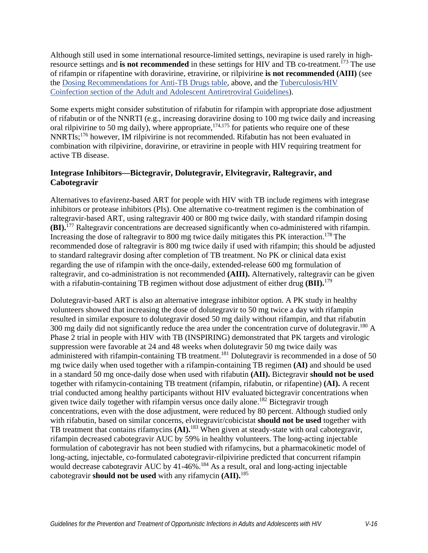Although still used in some international resource-limited settings, nevirapine is used rarely in highresource settings and **is not recommended** in these settings for HIV and TB co-treatment[.173](#page-43-4) The use of rifampin or rifapentine with doravirine, etravirine, or rilpivirine **is not recommended (AIII)** (see the [Dosing Recommendations for Anti-TB Drugs table,](#page-10-0) above, and the [Tuberculosis/HIV](https://clinicalinfo.hiv.gov/en/guidelines/adult-and-adolescent-arv/tuberculosishiv-coinfection)  [Coinfection section of the Adult and Adolescent Antiretroviral Guidelines\)](https://clinicalinfo.hiv.gov/en/guidelines/adult-and-adolescent-arv/tuberculosishiv-coinfection).

Some experts might consider substitution of rifabutin for rifampin with appropriate dose adjustment of rifabutin or of the NNRTI (e.g., increasing doravirine dosing to 100 mg twice daily and increasing oral rilpivirine to 50 mg daily), where appropriate,  $174,175$  for patients who require one of these NNRTIs;[176](#page-43-7) however, IM rilpivirine is not recommended. Rifabutin has not been evaluated in combination with rilpivirine, doravirine, or etravirine in people with HIV requiring treatment for active TB disease.

### **Integrase Inhibitors—Bictegravir, Dolutegravir, Elvitegravir, Raltegravir, and Cabotegravir**

Alternatives to efavirenz-based ART for people with HIV with TB include regimens with integrase inhibitors or protease inhibitors (PIs). One alternative co-treatment regimen is the combination of raltegravir-based ART, using raltegravir 400 or 800 mg twice daily, with standard rifampin dosing **(BI).**[177](#page-43-8) Raltegravir concentrations are decreased significantly when co-administered with rifampin. Increasing the dose of raltegravir to 800 mg twice daily mitigates this PK interaction.<sup>178</sup> The recommended dose of raltegravir is 800 mg twice daily if used with rifampin; this should be adjusted to standard raltegravir dosing after completion of TB treatment. No PK or clinical data exist regarding the use of rifampin with the once-daily, extended-release 600 mg formulation of raltegravir, and co-administration is not recommended **(AIII).** Alternatively, raltegravir can be given with a rifabutin-containing TB regimen without dose adjustment of either drug **(BII).**<sup>[179](#page-44-1)</sup>

Dolutegravir-based ART is also an alternative integrase inhibitor option. A PK study in healthy volunteers showed that increasing the dose of dolutegravir to 50 mg twice a day with rifampin resulted in similar exposure to dolutegravir dosed 50 mg daily without rifampin, and that rifabutin 300 mg daily did not significantly reduce the area under the concentration curve of dolutegravir.<sup>180</sup> A Phase 2 trial in people with HIV with TB (INSPIRING) demonstrated that PK targets and virologic suppression were favorable at 24 and 48 weeks when dolutegravir 50 mg twice daily was administered with rifampin-containing TB treatment.<sup>181</sup> Dolutegravir is recommended in a dose of 50 mg twice daily when used together with a rifampin-containing TB regimen **(AI)** and should be used in a standard 50 mg once-daily dose when used with rifabutin **(AII).** Bictegravir **should not be used** together with rifamycin-containing TB treatment (rifampin, rifabutin, or rifapentine) **(AI).** A recent trial conducted among healthy participants without HIV evaluated bictegravir concentrations when given twice daily together with rifampin versus once daily alone. [182](#page-44-4) Bictegravir trough concentrations, even with the dose adjustment, were reduced by 80 percent. Although studied only with rifabutin, based on similar concerns, elvitegravir/cobicistat **should not be used** together with TB treatment that contains rifamycins **(AI).**[183](#page-44-5) When given at steady-state with oral cabotegravir, rifampin decreased cabotegravir AUC by 59% in healthy volunteers. The long-acting injectable formulation of cabotegravir has not been studied with rifamycins, but a pharmacokinetic model of long-acting, injectable, co-formulated cabotegravir-rilpivirine predicted that concurrent rifampin would decrease cabotegravir AUC by 41-46%.<sup>184</sup> As a result, oral and long-acting injectable cabotegravir **should not be used** with any rifamycin **(AII).**[185](#page-44-7)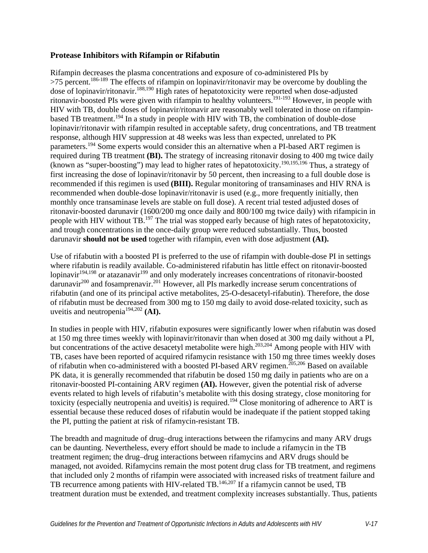### **Protease Inhibitors with Rifampin or Rifabutin**

Rifampin decreases the plasma concentrations and exposure of co-administered PIs by  $>75$  percent.<sup>186-189</sup> The effects of rifampin on lopinavir/ritonavir may be overcome by doubling the dose of lopinavir/ritonavir[.188,](#page-45-0)[190](#page-45-1) High rates of hepatotoxicity were reported when dose-adjusted ritonavir-boosted PIs were given with rifampin to healthy volunteers.<sup>191-193</sup> However, in people with HIV with TB, double doses of lopinavir/ritonavir are reasonably well tolerated in those on rifampinbased TB treatment.<sup>194</sup> In a study in people with HIV with TB, the combination of double-dose lopinavir/ritonavir with rifampin resulted in acceptable safety, drug concentrations, and TB treatment response, although HIV suppression at 48 weeks was less than expected, unrelated to PK parameters.<sup>194</sup> Some experts would consider this an alternative when a PI-based ART regimen is required during TB treatment **(BI).** The strategy of increasing ritonavir dosing to 400 mg twice daily (known as "super-boosting") may lead to higher rates of hepatotoxicity[.190,](#page-45-1)[195,](#page-45-4)[196](#page-45-5) Thus, a strategy of first increasing the dose of lopinavir/ritonavir by 50 percent, then increasing to a full double dose is recommended if this regimen is used **(BIII).** Regular monitoring of transaminases and HIV RNA is recommended when double-dose lopinavir/ritonavir is used (e.g., more frequently initially, then monthly once transaminase levels are stable on full dose). A recent trial tested adjusted doses of ritonavir-boosted darunavir (1600/200 mg once daily and 800/100 mg twice daily) with rifampicin in people with HIV without TB.<sup>197</sup> The trial was stopped early because of high rates of hepatotoxicity, and trough concentrations in the once-daily group were reduced substantially. Thus, boosted darunavir **should not be used** together with rifampin, even with dose adjustment **(AI).**

Use of rifabutin with a boosted PI is preferred to the use of rifampin with double-dose PI in settings where rifabutin is readily available. Co-administered rifabutin has little effect on ritonavir-boosted lopinavir<sup>194,[198](#page-45-7)</sup> or atazanavir<sup>199</sup> and only moderately increases concentrations of ritonavir-boosted darunavi[r200](#page-46-1) and fosamprenavir[.201](#page-46-2) However, all PIs markedly increase serum concentrations of rifabutin (and one of its principal active metabolites, 25-O-desacetyl-rifabutin). Therefore, the dose of rifabutin must be decreased from 300 mg to 150 mg daily to avoid dose-related toxicity, such as uveitis and neutropenia[194,](#page-45-3)[202](#page-46-3) **(AI).**

In studies in people with HIV, rifabutin exposures were significantly lower when rifabutin was dosed at 150 mg three times weekly with lopinavir/ritonavir than when dosed at 300 mg daily without a PI, but concentrations of the active desacetyl metabolite were high.<sup>203,204</sup> Among people with HIV with TB, cases have been reported of acquired rifamycin resistance with 150 mg three times weekly doses of rifabutin when co-administered with a boosted PI-based ARV regimen.<sup>[205,](#page-46-6)206</sup> Based on available PK data, it is generally recommended that rifabutin be dosed 150 mg daily in patients who are on a ritonavir-boosted PI-containing ARV regimen **(AI).** However, given the potential risk of adverse events related to high levels of rifabutin's metabolite with this dosing strategy, close monitoring for toxicity (especially neutropenia and uveitis) is required.<sup>194</sup> Close monitoring of adherence to ART is essential because these reduced doses of rifabutin would be inadequate if the patient stopped taking the PI, putting the patient at risk of rifamycin-resistant TB.

The breadth and magnitude of drug–drug interactions between the rifamycins and many ARV drugs can be daunting. Nevertheless, every effort should be made to include a rifamycin in the TB treatment regimen; the drug–drug interactions between rifamycins and ARV drugs should be managed, not avoided. Rifamycins remain the most potent drug class for TB treatment, and regimens that included only 2 months of rifampin were associated with increased risks of treatment failure and TB recurrence among patients with HIV-related TB.<sup>146,[207](#page-46-8)</sup> If a rifamycin cannot be used, TB treatment duration must be extended, and treatment complexity increases substantially. Thus, patients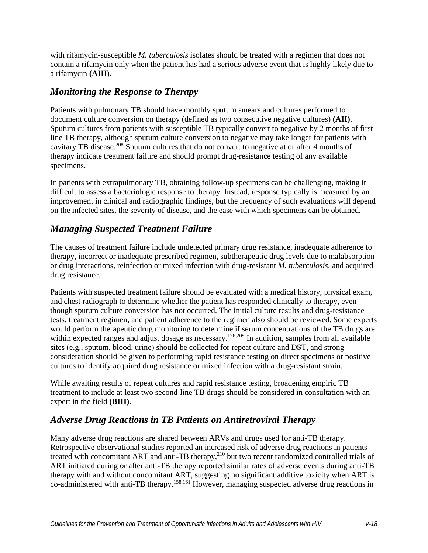with rifamycin-susceptible *M. tuberculosis* isolates should be treated with a regimen that does not contain a rifamycin only when the patient has had a serious adverse event that is highly likely due to a rifamycin **(AIII).**

## *Monitoring the Response to Therapy*

Patients with pulmonary TB should have monthly sputum smears and cultures performed to document culture conversion on therapy (defined as two consecutive negative cultures) **(AII).** Sputum cultures from patients with susceptible TB typically convert to negative by 2 months of firstline TB therapy, although sputum culture conversion to negative may take longer for patients with cavitary TB disease.<sup>208</sup> Sputum cultures that do not convert to negative at or after 4 months of therapy indicate treatment failure and should prompt drug-resistance testing of any available specimens.

In patients with extrapulmonary TB, obtaining follow-up specimens can be challenging, making it difficult to assess a bacteriologic response to therapy. Instead, response typically is measured by an improvement in clinical and radiographic findings, but the frequency of such evaluations will depend on the infected sites, the severity of disease, and the ease with which specimens can be obtained.

## *Managing Suspected Treatment Failure*

The causes of treatment failure include undetected primary drug resistance, inadequate adherence to therapy, incorrect or inadequate prescribed regimen, subtherapeutic drug levels due to malabsorption or drug interactions, reinfection or mixed infection with drug-resistant *M. tuberculosis*, and acquired drug resistance.

Patients with suspected treatment failure should be evaluated with a medical history, physical exam, and chest radiograph to determine whether the patient has responded clinically to therapy, even though sputum culture conversion has not occurred. The initial culture results and drug-resistance tests, treatment regimen, and patient adherence to the regimen also should be reviewed. Some experts would perform therapeutic drug monitoring to determine if serum concentrations of the TB drugs are within expected ranges and adjust dosage as necessary.<sup>126,209</sup> In addition, samples from all available sites (e.g., sputum, blood, urine) should be collected for repeat culture and DST, and strong consideration should be given to performing rapid resistance testing on direct specimens or positive cultures to identify acquired drug resistance or mixed infection with a drug-resistant strain.

While awaiting results of repeat cultures and rapid resistance testing, broadening empiric TB treatment to include at least two second-line TB drugs should be considered in consultation with an expert in the field **(BIII).**

## *Adverse Drug Reactions in TB Patients on Antiretroviral Therapy*

Many adverse drug reactions are shared between ARVs and drugs used for anti-TB therapy. Retrospective observational studies reported an increased risk of adverse drug reactions in patients treated with concomitant ART and anti-TB therapy,<sup>210</sup> but two recent randomized controlled trials of ART initiated during or after anti-TB therapy reported similar rates of adverse events during anti-TB therapy with and without concomitant ART, suggesting no significant additive toxicity when ART is co-administered with anti-TB therapy[.158,](#page-42-3)[161](#page-42-6) However, managing suspected adverse drug reactions in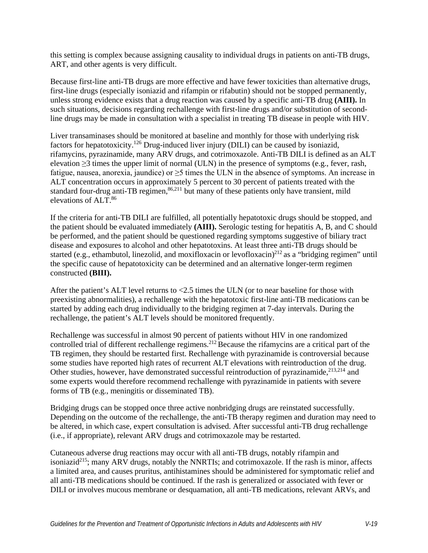this setting is complex because assigning causality to individual drugs in patients on anti-TB drugs, ART, and other agents is very difficult.

Because first-line anti-TB drugs are more effective and have fewer toxicities than alternative drugs, first-line drugs (especially isoniazid and rifampin or rifabutin) should not be stopped permanently, unless strong evidence exists that a drug reaction was caused by a specific anti-TB drug **(AIII).** In such situations, decisions regarding rechallenge with first-line drugs and/or substitution of secondline drugs may be made in consultation with a specialist in treating TB disease in people with HIV.

Liver transaminases should be monitored at baseline and monthly for those with underlying risk factors for hepatotoxicity.<sup>126</sup> Drug-induced liver injury (DILI) can be caused by isoniazid, rifamycins, pyrazinamide, many ARV drugs, and cotrimoxazole. Anti-TB DILI is defined as an ALT elevation ≥3 times the upper limit of normal (ULN) in the presence of symptoms (e.g., fever, rash, fatigue, nausea, anorexia, jaundice) or ≥5 times the ULN in the absence of symptoms. An increase in ALT concentration occurs in approximately 5 percent to 30 percent of patients treated with the standard four-drug anti-TB regimen,  $86,211$  $86,211$  but many of these patients only have transient, mild elevations of ALT[.86](#page-35-9)

If the criteria for anti-TB DILI are fulfilled, all potentially hepatotoxic drugs should be stopped, and the patient should be evaluated immediately **(AIII).** Serologic testing for hepatitis A, B, and C should be performed, and the patient should be questioned regarding symptoms suggestive of biliary tract disease and exposures to alcohol and other hepatotoxins. At least three anti-TB drugs should be started (e.g., ethambutol, linezolid, and moxifloxacin or levofloxacin)<sup>212</sup> as a "bridging regimen" until the specific cause of hepatotoxicity can be determined and an alternative longer-term regimen constructed **(BIII).**

After the patient's ALT level returns to <2.5 times the ULN (or to near baseline for those with preexisting abnormalities), a rechallenge with the hepatotoxic first-line anti-TB medications can be started by adding each drug individually to the bridging regimen at 7-day intervals. During the rechallenge, the patient's ALT levels should be monitored frequently.

Rechallenge was successful in almost 90 percent of patients without HIV in one randomized controlled trial of different rechallenge regimens.<sup>212</sup> Because the rifamycins are a critical part of the TB regimen, they should be restarted first. Rechallenge with pyrazinamide is controversial because some studies have reported high rates of recurrent ALT elevations with reintroduction of the drug. Other studies, however, have demonstrated successful reintroduction of pyrazinamide,  $2^{13,214}$  $2^{13,214}$  $2^{13,214}$  and some experts would therefore recommend rechallenge with pyrazinamide in patients with severe forms of TB (e.g., meningitis or disseminated TB).

Bridging drugs can be stopped once three active nonbridging drugs are reinstated successfully. Depending on the outcome of the rechallenge, the anti-TB therapy regimen and duration may need to be altered, in which case, expert consultation is advised. After successful anti-TB drug rechallenge (i.e., if appropriate), relevant ARV drugs and cotrimoxazole may be restarted.

Cutaneous adverse drug reactions may occur with all anti-TB drugs, notably rifampin and isoniazid<sup>215</sup>; many ARV drugs, notably the NNRTIs; and cotrimoxazole. If the rash is minor, affects a limited area, and causes pruritus, antihistamines should be administered for symptomatic relief and all anti-TB medications should be continued. If the rash is generalized or associated with fever or DILI or involves mucous membrane or desquamation, all anti-TB medications, relevant ARVs, and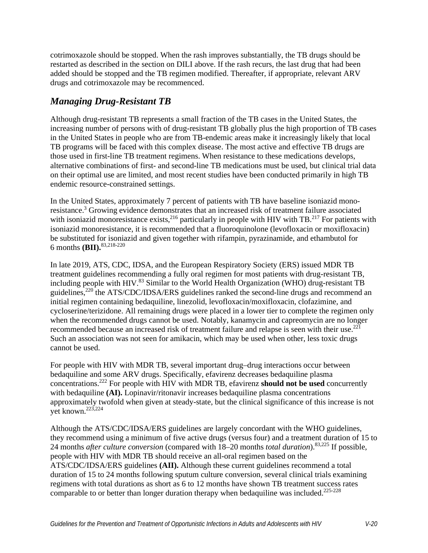cotrimoxazole should be stopped. When the rash improves substantially, the TB drugs should be restarted as described in the section on DILI above. If the rash recurs, the last drug that had been added should be stopped and the TB regimen modified. Thereafter, if appropriate, relevant ARV drugs and cotrimoxazole may be recommenced.

# *Managing Drug-Resistant TB*

Although drug-resistant TB represents a small fraction of the TB cases in the United States, the increasing number of persons with of drug-resistant TB globally plus the high proportion of TB cases in the United States in people who are from TB-endemic areas make it increasingly likely that local TB programs will be faced with this complex disease. The most active and effective TB drugs are those used in first-line TB treatment regimens. When resistance to these medications develops, alternative combinations of first- and second-line TB medications must be used, but clinical trial data on their optimal use are limited, and most recent studies have been conducted primarily in high TB endemic resource-constrained settings.

In the United States, approximately 7 percent of patients with TB have baseline isoniazid monoresistance[.3](#page-28-2) Growing evidence demonstrates that an increased risk of treatment failure associated with isoniazid monoresistance exists,<sup>216</sup> particularly in people with HIV with TB.<sup>217</sup> For patients with isoniazid monoresistance, it is recommended that a fluoroquinolone (levofloxacin or moxifloxacin) be substituted for isoniazid and given together with rifampin, pyrazinamide, and ethambutol for 6 months **(BII).** [83](#page-35-6)[,218-220](#page-47-8)

In late 2019, ATS, CDC, IDSA, and the European Respiratory Society (ERS) issued MDR TB treatment guidelines recommending a fully oral regimen for most patients with drug-resistant TB, including people with HIV.<sup>[83](#page-35-6)</sup> Similar to the World Health Organization (WHO) drug-resistant TB guidelines,<sup>220</sup> the ATS/CDC/IDSA/ERS guidelines ranked the second-line drugs and recommend an initial regimen containing bedaquiline, linezolid, levofloxacin/moxifloxacin, clofazimine, and cycloserine/terizidone. All remaining drugs were placed in a lower tier to complete the regimen only when the recommended drugs cannot be used. Notably, kanamycin and capreomycin are no longer recommended because an increased risk of treatment failure and relapse is seen with their use.<sup>221</sup> Such an association was not seen for amikacin, which may be used when other, less toxic drugs cannot be used.

For people with HIV with MDR TB, several important drug–drug interactions occur between bedaquiline and some ARV drugs. Specifically, efavirenz decreases bedaquiline plasma concentrations[.222](#page-48-0) For people with HIV with MDR TB, efavirenz **should not be used** concurrently with bedaquiline **(AI).** Lopinavir/ritonavir increases bedaquiline plasma concentrations approximately twofold when given at steady-state, but the clinical significance of this increase is not yet known[.223,](#page-48-1)[224](#page-48-2)

Although the ATS/CDC/IDSA/ERS guidelines are largely concordant with the WHO guidelines, they recommend using a minimum of five active drugs (versus four) and a treatment duration of 15 to 24 months *after culture conversion* (compared with 18–20 months *total duration*).[83](#page-35-6)[,225](#page-48-3) If possible, people with HIV with MDR TB should receive an all-oral regimen based on the ATS/CDC/IDSA/ERS guidelines **(AII).** Although these current guidelines recommend a total duration of 15 to 24 months following sputum culture conversion, several clinical trials examining regimens with total durations as short as 6 to 12 months have shown TB treatment success rates comparable to or better than longer duration therapy when bedaquiline was included.<sup>225-228</sup>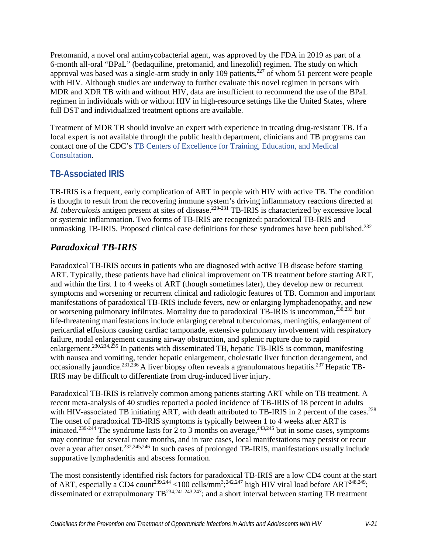Pretomanid, a novel oral antimycobacterial agent, was approved by the FDA in 2019 as part of a 6-month all-oral "BPaL" (bedaquiline, pretomanid, and linezolid) regimen. The study on which approval was based was a single-arm study in only 109 patients,  $227$  of whom 51 percent were people with HIV. Although studies are underway to further evaluate this novel regimen in persons with MDR and XDR TB with and without HIV, data are insufficient to recommend the use of the BPaL regimen in individuals with or without HIV in high-resource settings like the United States, where full DST and individualized treatment options are available.

Treatment of MDR TB should involve an expert with experience in treating drug-resistant TB. If a local expert is not available through the public health department, clinicians and TB programs can contact one of the CDC's [TB Centers of Excellence for Training, Education, and Medical](http://www.cdc.gov/tb/education/rtmc/default.htm)  [Consultation.](http://www.cdc.gov/tb/education/rtmc/default.htm)

# **TB-Associated IRIS**

TB-IRIS is a frequent, early complication of ART in people with HIV with active TB. The condition is thought to result from the recovering immune system's driving inflammatory reactions directed at *M. tuberculosis* antigen present at sites of disease.<sup>229-231</sup> TB-IRIS is characterized by excessive local or systemic inflammation. Two forms of TB-IRIS are recognized: paradoxical TB-IRIS and unmasking TB-IRIS. Proposed clinical case definitions for these syndromes have been published.<sup>232</sup>

# *Paradoxical TB-IRIS*

Paradoxical TB-IRIS occurs in patients who are diagnosed with active TB disease before starting ART. Typically, these patients have had clinical improvement on TB treatment before starting ART, and within the first 1 to 4 weeks of ART (though sometimes later), they develop new or recurrent symptoms and worsening or recurrent clinical and radiologic features of TB. Common and important manifestations of paradoxical TB-IRIS include fevers, new or enlarging lymphadenopathy, and new or worsening pulmonary infiltrates. Mortality due to paradoxical TB-IRIS is uncommon,<sup>[230,](#page-48-7)233</sup> but life-threatening manifestations include enlarging cerebral tuberculomas, meningitis, enlargement of pericardial effusions causing cardiac tamponade, extensive pulmonary involvement with respiratory failure, nodal enlargement causing airway obstruction, and splenic rupture due to rapid enlargement[.230,](#page-48-7)[234](#page-49-1)[,235](#page-49-2) In patients with disseminated TB, hepatic TB-IRIS is common, manifesting with nausea and vomiting, tender hepatic enlargement, cholestatic liver function derangement, and occasionally jaundice.<sup>231,[236](#page-49-3)</sup> A liver biopsy often reveals a granulomatous hepatitis.<sup>237</sup> Hepatic TB-IRIS may be difficult to differentiate from drug-induced liver injury.

Paradoxical TB-IRIS is relatively common among patients starting ART while on TB treatment. A recent meta-analysis of 40 studies reported a pooled incidence of TB-IRIS of 18 percent in adults with HIV-associated TB initiating ART, with death attributed to TB-IRIS in 2 percent of the cases.<sup>238</sup> The onset of paradoxical TB-IRIS symptoms is typically between 1 to 4 weeks after ART is initiated.<sup>239-244</sup> The syndrome lasts for 2 to 3 months on average,<sup>243[,245](#page-50-0)</sup> but in some cases, symptoms may continue for several more months, and in rare cases, local manifestations may persist or recur over a year after onset.<sup>[232,](#page-48-6)[245,](#page-50-0)246</sup> In such cases of prolonged TB-IRIS, manifestations usually include suppurative lymphadenitis and abscess formation.

The most consistently identified risk factors for paradoxical TB-IRIS are a low CD4 count at the start of ART, especially a CD4 count<sup>239,[244](#page-50-2)</sup> <100 cells/mm<sup>3</sup>;<sup>[242,](#page-49-8)247</sup> high HIV viral load before ART<sup>248,249</sup>; disseminated or extrapulmonary T[B234](#page-49-1)[,241](#page-49-9)[,243,](#page-49-7)[247;](#page-50-3) and a short interval between starting TB treatment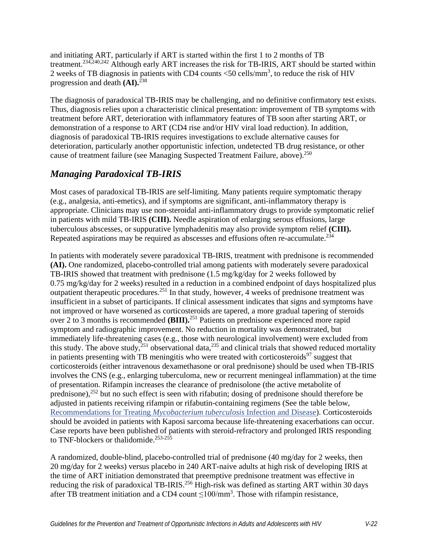and initiating ART, particularly if ART is started within the first 1 to 2 months of TB treatment[.234,](#page-49-1)[240,](#page-49-10)[242](#page-49-8) Although early ART increases the risk for TB-IRIS, ART should be started within 2 weeks of TB diagnosis in patients with CD4 counts  $<$  50 cells/mm<sup>3</sup>, to reduce the risk of HIV progression and death **(AI).** [238](#page-49-5)

The diagnosis of paradoxical TB-IRIS may be challenging, and no definitive confirmatory test exists. Thus, diagnosis relies upon a characteristic clinical presentation: improvement of TB symptoms with treatment before ART, deterioration with inflammatory features of TB soon after starting ART, or demonstration of a response to ART (CD4 rise and/or HIV viral load reduction). In addition, diagnosis of paradoxical TB-IRIS requires investigations to exclude alternative causes for deterioration, particularly another opportunistic infection, undetected TB drug resistance, or other cause of treatment failure (see Managing Suspected Treatment Failure, above).<sup>250</sup>

# *Managing Paradoxical TB-IRIS*

Most cases of paradoxical TB-IRIS are self-limiting. Many patients require symptomatic therapy (e.g., analgesia, anti-emetics), and if symptoms are significant, anti-inflammatory therapy is appropriate. Clinicians may use non-steroidal anti-inflammatory drugs to provide symptomatic relief in patients with mild TB-IRIS **(CIII).** Needle aspiration of enlarging serous effusions, large tuberculous abscesses, or suppurative lymphadenitis may also provide symptom relief **(CIII).** Repeated aspirations may be required as abscesses and effusions often re-accumulate.<sup>234</sup>

In patients with moderately severe paradoxical TB-IRIS, treatment with prednisone is recommended **(AI).** One randomized, placebo-controlled trial among patients with moderately severe paradoxical TB-IRIS showed that treatment with prednisone (1.5 mg/kg/day for 2 weeks followed by 0.75 mg/kg/day for 2 weeks) resulted in a reduction in a combined endpoint of days hospitalized plus outpatient therapeutic procedures.<sup>251</sup> In that study, however, 4 weeks of prednisone treatment was insufficient in a subset of participants. If clinical assessment indicates that signs and symptoms have not improved or have worsened as corticosteroids are tapered, a more gradual tapering of steroids over 2 to 3 months is recommended **(BIII).** [251](#page-50-7) Patients on prednisone experienced more rapid symptom and radiographic improvement. No reduction in mortality was demonstrated, but immediately life-threatening cases (e.g., those with neurological involvement) were excluded from this study. The above study,  $^{251}$  observational data, $^{235}$  and clinical trials that showed reduced mortality in patients presenting with TB meningitis who were treated with corticosteroids<sup>97</sup> suggest that corticosteroids (either intravenous dexamethasone or oral prednisone) should be used when TB-IRIS involves the CNS (e.g., enlarging tuberculoma, new or recurrent meningeal inflammation) at the time of presentation. Rifampin increases the clearance of prednisolone (the active metabolite of prednisone),  $252$  but no such effect is seen with rifabutin; dosing of prednisone should therefore be adjusted in patients receiving rifampin or rifabutin-containing regimens (See the table below, [Recommendations for Treating](#page-25-0) *Mycobacterium tuberculosis* Infection and Disease). Corticosteroids should be avoided in patients with Kaposi sarcoma because life-threatening exacerbations can occur. Case reports have been published of patients with steroid-refractory and prolonged IRIS responding to TNF-blockers or thalidomide.<sup>253-255</sup>

A randomized, double-blind, placebo-controlled trial of prednisone (40 mg/day for 2 weeks, then 20 mg/day for 2 weeks) versus placebo in 240 ART-naive adults at high risk of developing IRIS at the time of ART initiation demonstrated that preemptive prednisone treatment was effective in reducing the risk of paradoxical TB-IRIS.<sup>256</sup> High-risk was defined as starting ART within 30 days after TB treatment initiation and a CD4 count  $\leq 100$ /mm<sup>3</sup>. Those with rifampin resistance,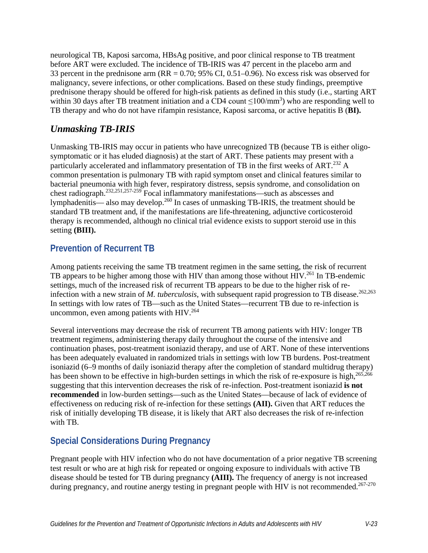neurological TB, Kaposi sarcoma, HBsAg positive, and poor clinical response to TB treatment before ART were excluded. The incidence of TB-IRIS was 47 percent in the placebo arm and 33 percent in the prednisone arm ( $RR = 0.70$ ; 95% CI, 0.51–0.96). No excess risk was observed for malignancy, severe infections, or other complications. Based on these study findings, preemptive prednisone therapy should be offered for high-risk patients as defined in this study (i.e., starting ART within 30 days after TB treatment initiation and a CD4 count  $\leq 100/\text{mm}^3$ ) who are responding well to TB therapy and who do not have rifampin resistance, Kaposi sarcoma, or active hepatitis B (**BI).**

## *Unmasking TB-IRIS*

Unmasking TB-IRIS may occur in patients who have unrecognized TB (because TB is either oligosymptomatic or it has eluded diagnosis) at the start of ART. These patients may present with a particularly accelerated and inflammatory presentation of TB in the first weeks of ART.<sup>[232](#page-48-6)</sup> A common presentation is pulmonary TB with rapid symptom onset and clinical features similar to bacterial pneumonia with high fever, respiratory distress, sepsis syndrome, and consolidation on chest radiograph[.232,](#page-48-6)[251,](#page-50-7)[257-259](#page-51-1) Focal inflammatory manifestations—such as abscesses and lymphadenitis— also may develop[.260](#page-51-2) In cases of unmasking TB-IRIS, the treatment should be standard TB treatment and, if the manifestations are life-threatening, adjunctive corticosteroid therapy is recommended, although no clinical trial evidence exists to support steroid use in this setting **(BIII).**

# **Prevention of Recurrent TB**

Among patients receiving the same TB treatment regimen in the same setting, the risk of recurrent TB appears to be higher among those with HIV than among those without HIV.<sup>[261](#page-51-3)</sup> In TB-endemic settings, much of the increased risk of recurrent TB appears to be due to the higher risk of reinfection with a new strain of *M. tuberculosis*, with subsequent rapid progression to TB disease.<sup>[262,](#page-51-4)[263](#page-51-5)</sup> In settings with low rates of TB—such as the United States—recurrent TB due to re-infection is uncommon, even among patients with  $HIV.<sup>264</sup>$ 

Several interventions may decrease the risk of recurrent TB among patients with HIV: longer TB treatment regimens, administering therapy daily throughout the course of the intensive and continuation phases, post-treatment isoniazid therapy, and use of ART. None of these interventions has been adequately evaluated in randomized trials in settings with low TB burdens. Post-treatment isoniazid (6–9 months of daily isoniazid therapy after the completion of standard multidrug therapy) has been shown to be effective in high-burden settings in which the risk of re-exposure is high,  $265,266$  $265,266$ suggesting that this intervention decreases the risk of re-infection. Post-treatment isoniazid **is not recommended** in low-burden settings—such as the United States—because of lack of evidence of effectiveness on reducing risk of re-infection for these settings **(AII).** Given that ART reduces the risk of initially developing TB disease, it is likely that ART also decreases the risk of re-infection with TB.

# **Special Considerations During Pregnancy**

Pregnant people with HIV infection who do not have documentation of a prior negative TB screening test result or who are at high risk for repeated or ongoing exposure to individuals with active TB disease should be tested for TB during pregnancy **(AIII).** The frequency of anergy is not increased during pregnancy, and routine anergy testing in pregnant people with HIV is not recommended.<sup>[267-270](#page-52-0)</sup>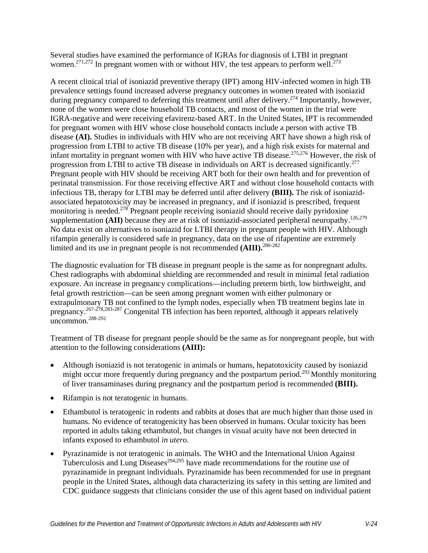Several studies have examined the performance of IGRAs for diagnosis of LTBI in pregnant women.<sup>[271,](#page-52-1)272</sup> In pregnant women with or without HIV, the test appears to perform well.<sup>273</sup>

A recent clinical trial of isoniazid preventive therapy (IPT) among HIV-infected women in high TB prevalence settings found increased adverse pregnancy outcomes in women treated with isoniazid during pregnancy compared to deferring this treatment until after delivery.<sup>274</sup> Importantly, however, none of the women were close household TB contacts, and most of the women in the trial were IGRA-negative and were receiving efavirenz-based ART. In the United States, IPT is recommended for pregnant women with HIV whose close household contacts include a person with active TB disease **(AI).** Studies in individuals with HIV who are not receiving ART have shown a high risk of progression from LTBI to active TB disease (10% per year), and a high risk exists for maternal and infant mortality in pregnant women with HIV who have active TB disease. [275,](#page-52-5)[276](#page-52-6) However, the risk of progression from LTBI to active TB disease in individuals on ART is decreased significantly.<sup>[277](#page-52-7)</sup> Pregnant people with HIV should be receiving ART both for their own health and for prevention of perinatal transmission. For those receiving effective ART and without close household contacts with infectious TB, therapy for LTBI may be deferred until after delivery **(BIII).** The risk of isoniazidassociated hepatotoxicity may be increased in pregnancy, and if isoniazid is prescribed, frequent monitoring is needed.<sup>278</sup> Pregnant people receiving isoniazid should receive daily pyridoxine supplementation **(AII)** because they are at risk of isoniazid-associated peripheral neuropathy.<sup>126[,279](#page-53-1)</sup> No data exist on alternatives to isoniazid for LTBI therapy in pregnant people with HIV. Although rifampin generally is considered safe in pregnancy, data on the use of rifapentine are extremely limited and its use in pregnant people is not recommended **(AIII).** [280-282](#page-53-2)

The diagnostic evaluation for TB disease in pregnant people is the same as for nonpregnant adults. Chest radiographs with abdominal shielding are recommended and result in minimal fetal radiation exposure. An increase in pregnancy complications—including preterm birth, low birthweight, and fetal growth restriction—can be seen among pregnant women with either pulmonary or extrapulmonary TB not confined to the lymph nodes, especially when TB treatment begins late in pregnancy[.267-278,](#page-52-0)[283-287](#page-53-3) Congenital TB infection has been reported, although it appears relatively  $\frac{1}{288-292}$ 

Treatment of TB disease for pregnant people should be the same as for nonpregnant people, but with attention to the following considerations **(AIII):**

- Although isoniazid is not teratogenic in animals or humans, hepatotoxicity caused by isoniazid might occur more frequently during pregnancy and the postpartum period.<sup>[293](#page-54-0)</sup> Monthly monitoring of liver transaminases during pregnancy and the postpartum period is recommended **(BIII).**
- Rifampin is not teratogenic in humans.
- Ethambutol is teratogenic in rodents and rabbits at doses that are much higher than those used in humans. No evidence of teratogenicity has been observed in humans. Ocular toxicity has been reported in adults taking ethambutol, but changes in visual acuity have not been detected in infants exposed to ethambutol *in utero*.
- Pyrazinamide is not teratogenic in animals. The WHO and the International Union Against Tuberculosis and Lung Diseases<sup>294,[295](#page-54-2)</sup> have made recommendations for the routine use of pyrazinamide in pregnant individuals. Pyrazinamide has been recommended for use in pregnant people in the United States, although data characterizing its safety in this setting are limited and CDC guidance suggests that clinicians consider the use of this agent based on individual patient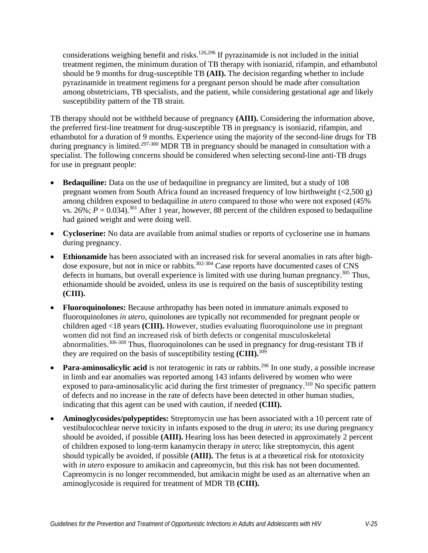considerations weighing benefit and risks.<sup>[126](#page-39-5)[,296](#page-54-3)</sup> If pyrazinamide is not included in the initial treatment regimen, the minimum duration of TB therapy with isoniazid, rifampin, and ethambutol should be 9 months for drug-susceptible TB **(AII).** The decision regarding whether to include pyrazinamide in treatment regimens for a pregnant person should be made after consultation among obstetricians, TB specialists, and the patient, while considering gestational age and likely susceptibility pattern of the TB strain.

TB therapy should not be withheld because of pregnancy **(AIII).** Considering the information above, the preferred first-line treatment for drug-susceptible TB in pregnancy is isoniazid, rifampin, and ethambutol for a duration of 9 months. Experience using the majority of the second-line drugs for TB during pregnancy is limited.<sup>297-300</sup> MDR TB in pregnancy should be managed in consultation with a specialist. The following concerns should be considered when selecting second-line anti-TB drugs for use in pregnant people:

- **Bedaquiline:** Data on the use of bedaquiline in pregnancy are limited, but a study of 108 pregnant women from South Africa found an increased frequency of low birthweight (<2,500 g) among children exposed to bedaquiline *in utero* compared to those who were not exposed (45% vs. 26%;  $P = 0.034$ ).<sup>[301](#page-54-5)</sup> After 1 year, however, 88 percent of the children exposed to bedaquiline had gained weight and were doing well.
- **Cycloserine:** No data are available from animal studies or reports of cycloserine use in humans during pregnancy.
- **Ethionamide** has been associated with an increased risk for several anomalies in rats after highdose exposure, but not in mice or rabbits.<sup>302-304</sup> Case reports have documented cases of CNS defects in humans, but overall experience is limited with use during human pregnancy.<sup>305</sup> Thus, ethionamide should be avoided, unless its use is required on the basis of susceptibility testing **(CIII).**
- **Fluoroquinolones:** Because arthropathy has been noted in immature animals exposed to fluoroquinolones *in utero*, quinolones are typically not recommended for pregnant people or children aged <18 years **(CIII).** However, studies evaluating fluoroquinolone use in pregnant women did not find an increased risk of birth defects or congenital musculoskeletal abnormalities.[306-308](#page-55-1) Thus, fluoroquinolones can be used in pregnancy for drug-resistant TB if they are required on the basis of susceptibility testing **(CIII).** [309](#page-55-2)
- **Para-aminosalicylic acid** is not teratogenic in rats or rabbits.<sup>296</sup> In one study, a possible increase in limb and ear anomalies was reported among 143 infants delivered by women who were exposed to para-aminosalicylic acid during the first trimester of pregnancy.<sup>310</sup> No specific pattern of defects and no increase in the rate of defects have been detected in other human studies, indicating that this agent can be used with caution, if needed **(CIII).**
- **Aminoglycosides/polypeptides:** Streptomycin use has been associated with a 10 percent rate of vestibulocochlear nerve toxicity in infants exposed to the drug *in utero*; its use during pregnancy should be avoided, if possible **(AIII).** Hearing loss has been detected in approximately 2 percent of children exposed to long-term kanamycin therapy *in utero*; like streptomycin, this agent should typically be avoided, if possible **(AIII).** The fetus is at a theoretical risk for ototoxicity with *in utero* exposure to amikacin and capreomycin, but this risk has not been documented. Capreomycin is no longer recommended, but amikacin might be used as an alternative when an aminoglycoside is required for treatment of MDR TB **(CIII).**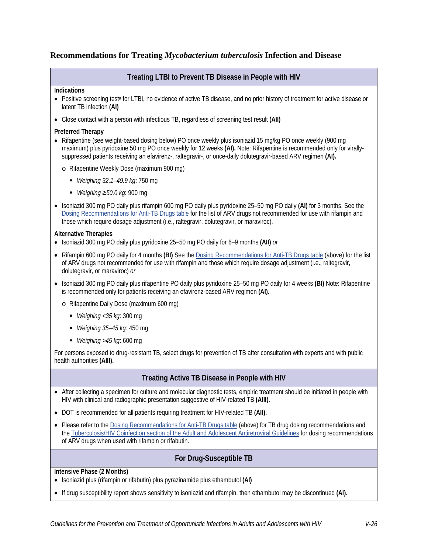### <span id="page-25-0"></span>**Recommendations for Treating** *Mycobacterium tuberculosis* **Infection and Disease**

### **Treating LTBI to Prevent TB Disease in People with HIV**

#### **Indications**

- Positive screening test<sup>a</sup> for LTBI, no evidence of active TB disease, and no prior history of treatment for active disease or latent TB infection **(AI)**
- Close contact with a person with infectious TB, regardless of screening test result **(AII)**

#### **Preferred Therapy**

- Rifapentine (see weight-based dosing below) PO once weekly plus isoniazid 15 mg/kg PO once weekly (900 mg) maximum) plus pyridoxine 50 mg PO once weekly for 12 weeks **(AI).** Note: Rifapentine is recommended only for virallysuppressed patients receiving an efavirenz-, raltegravir-, or once-daily dolutegravir-based ARV regimen **(AI).**
	- o Rifapentine Weekly Dose (maximum 900 mg)
		- *Weighing 32.1–49.9 kg*: 750 mg
		- *Weighing ≥50.0 kg*: 900 mg
- Isoniazid 300 mg PO daily plus rifampin 600 mg PO daily plus pyridoxine 25–50 mg PO daily **(AI)** for 3 months. See the [Dosing Recommendations for Anti-TB Drugs table](#page-10-0) for the list of ARV drugs not recommended for use with rifampin and those which require dosage adjustment (i.e., raltegravir, dolutegravir, or maraviroc).

#### **Alternative Therapies**

- Isoniazid 300 mg PO daily plus pyridoxine 25–50 mg PO daily for 6–9 months **(AII)** *or*
- Rifampin 600 mg PO daily for 4 months **(BI)** See the [Dosing Recommendations for Anti-TB Drugs table](#page-10-0) (above) for the list of ARV drugs not recommended for use with rifampin and those which require dosage adjustment (i.e., raltegravir, dolutegravir, or maraviroc) *or*
- Isoniazid 300 mg PO daily plus rifapentine PO daily plus pyridoxine 25–50 mg PO daily for 4 weeks **(BI)** Note: Rifapentine is recommended only for patients receiving an efavirenz-based ARV regimen **(AI).**
	- o Rifapentine Daily Dose (maximum 600 mg)
		- *Weighing <35 kg*: 300 mg
		- *Weighing 35–45 kg*: 450 mg
		- *Weighing >45 kg*: 600 mg

For persons exposed to drug-resistant TB, select drugs for prevention of TB after consultation with experts and with public health authorities **(AIII).**

### **Treating Active TB Disease in People with HIV**

- After collecting a specimen for culture and molecular diagnostic tests, empiric treatment should be initiated in people with HIV with clinical and radiographic presentation suggestive of HIV-related TB **(AIII).**
- DOT is recommended for all patients requiring treatment for HIV-related TB **(AII).**
- Please refer to the [Dosing Recommendations for Anti-TB Drugs table \(](#page-10-0)above) for TB drug dosing recommendations and the [Tuberculosis/HIV Coinfection section of the Adult and Adolescent Antiretroviral Guidelines](https://clinicalinfo.hiv.gov/en/guidelines/adult-and-adolescent-arv/tuberculosishiv-coinfection) for dosing recommendations of ARV drugs when used with rifampin or rifabutin.

### **For Drug-Susceptible TB**

**Intensive Phase (2 Months)**

- Isoniazid plus (rifampin or rifabutin) plus pyrazinamide plus ethambutol **(AI)**
- If drug susceptibility report shows sensitivity to isoniazid and rifampin, then ethambutol may be discontinued **(AI).**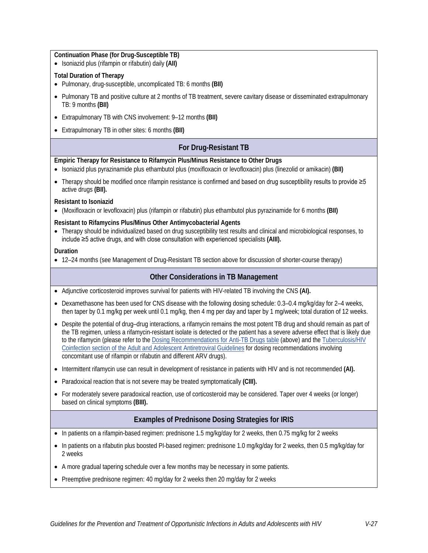**Continuation Phase (for Drug-Susceptible TB)**

• Isoniazid plus (rifampin or rifabutin) daily **(AII)**

#### **Total Duration of Therapy**

- Pulmonary, drug-susceptible, uncomplicated TB: 6 months **(BII)**
- Pulmonary TB and positive culture at 2 months of TB treatment, severe cavitary disease or disseminated extrapulmonary TB: 9 months **(BII)**
- Extrapulmonary TB with CNS involvement: 9–12 months **(BII)**
- Extrapulmonary TB in other sites: 6 months **(BII)**

### **For Drug-Resistant TB**

#### **Empiric Therapy for Resistance to Rifamycin Plus/Minus Resistance to Other Drugs**

- Isoniazid plus pyrazinamide plus ethambutol plus (moxifloxacin or levofloxacin) plus (linezolid or amikacin) **(BII)**
- Therapy should be modified once rifampin resistance is confirmed and based on drug susceptibility results to provide ≥5 active drugs **(BII).**

#### **Resistant to Isoniazid**

• (Moxifloxacin or levofloxacin) plus (rifampin or rifabutin) plus ethambutol plus pyrazinamide for 6 months **(BII)**

#### **Resistant to Rifamycins Plus/Minus Other Antimycobacterial Agents**

• Therapy should be individualized based on drug susceptibility test results and clinical and microbiological responses, to include ≥5 active drugs, and with close consultation with experienced specialists **(AIII).** 

#### **Duration**

• 12–24 months (see Management of Drug-Resistant TB section above for discussion of shorter-course therapy)

### **Other Considerations in TB Management**

- Adjunctive corticosteroid improves survival for patients with HIV-related TB involving the CNS **(AI).**
- Dexamethasone has been used for CNS disease with the following dosing schedule: 0.3–0.4 mg/kg/day for 2–4 weeks, then taper by 0.1 mg/kg per week until 0.1 mg/kg, then 4 mg per day and taper by 1 mg/week; total duration of 12 weeks.
- Despite the potential of drug–drug interactions, a rifamycin remains the most potent TB drug and should remain as part of the TB regimen, unless a rifamycin-resistant isolate is detected or the patient has a severe adverse effect that is likely due to the rifamycin (please refer to the [Dosing Recommendations for Anti-TB Drugs table \(](#page-10-0)above) and the Tuberculosis/HIV [Coinfection section of the Adult and Adolescent Antiretroviral Guidelines](https://clinicalinfo.hiv.gov/en/guidelines/adult-and-adolescent-arv/tuberculosishiv-coinfection) for dosing recommendations involving concomitant use of rifampin or rifabutin and different ARV drugs).
- Intermittent rifamycin use can result in development of resistance in patients with HIV and is not recommended **(AI).**
- Paradoxical reaction that is not severe may be treated symptomatically **(CIII).**
- For moderately severe paradoxical reaction, use of corticosteroid may be considered. Taper over 4 weeks (or longer) based on clinical symptoms **(BIII).**

#### **Examples of Prednisone Dosing Strategies for IRIS**

- In patients on a rifampin-based regimen: prednisone 1.5 mg/kg/day for 2 weeks, then 0.75 mg/kg for 2 weeks
- In patients on a rifabutin plus boosted PI-based regimen: prednisone 1.0 mg/kg/day for 2 weeks, then 0.5 mg/kg/day for 2 weeks
- A more gradual tapering schedule over a few months may be necessary in some patients.
- Preemptive prednisone regimen: 40 mg/day for 2 weeks then 20 mg/day for 2 weeks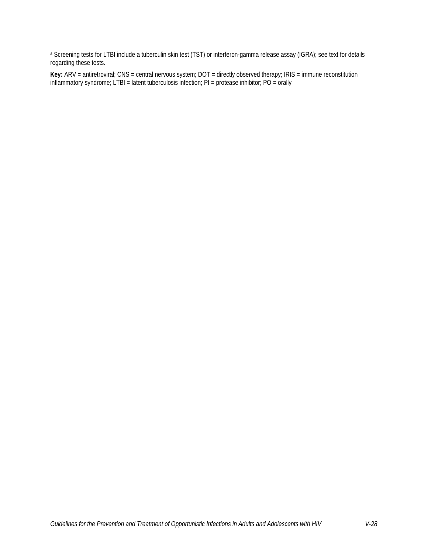a Screening tests for LTBI include a tuberculin skin test (TST) or interferon-gamma release assay (IGRA); see text for details regarding these tests.

**Key:** ARV = antiretroviral; CNS = central nervous system; DOT = directly observed therapy; IRIS = immune reconstitution inflammatory syndrome; LTBI = latent tuberculosis infection; PI = protease inhibitor; PO = orally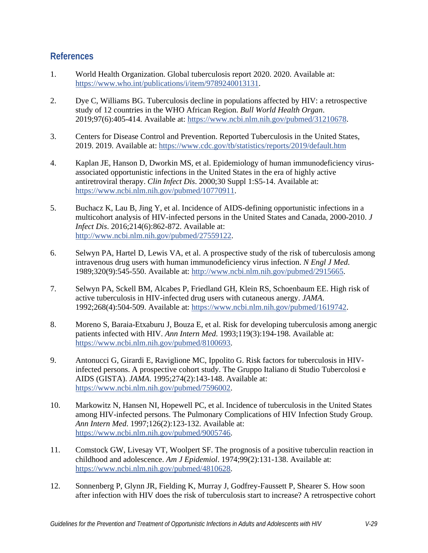## **References**

- <span id="page-28-0"></span>1. World Health Organization. Global tuberculosis report 2020. 2020. Available at: [https://www.who.int/publications/i/item/9789240013131.](https://www.who.int/publications/i/item/9789240013131)
- <span id="page-28-1"></span>2. Dye C, Williams BG. Tuberculosis decline in populations affected by HIV: a retrospective study of 12 countries in the WHO African Region. *Bull World Health Organ*. 2019;97(6):405-414. Available at: [https://www.ncbi.nlm.nih.gov/pubmed/31210678.](https://www.ncbi.nlm.nih.gov/pubmed/31210678)
- <span id="page-28-2"></span>3. Centers for Disease Control and Prevention. Reported Tuberculosis in the United States, 2019. 2019. Available at:<https://www.cdc.gov/tb/statistics/reports/2019/default.htm>
- <span id="page-28-3"></span>4. Kaplan JE, Hanson D, Dworkin MS, et al. Epidemiology of human immunodeficiency virusassociated opportunistic infections in the United States in the era of highly active antiretroviral therapy. *Clin Infect Dis*. 2000;30 Suppl 1:S5-14. Available at: [https://www.ncbi.nlm.nih.gov/pubmed/10770911.](https://www.ncbi.nlm.nih.gov/pubmed/10770911)
- <span id="page-28-4"></span>5. Buchacz K, Lau B, Jing Y, et al. Incidence of AIDS-defining opportunistic infections in a multicohort analysis of HIV-infected persons in the United States and Canada, 2000-2010. *J Infect Dis*. 2016;214(6):862-872. Available at: [http://www.ncbi.nlm.nih.gov/pubmed/27559122.](http://www.ncbi.nlm.nih.gov/pubmed/27559122)
- <span id="page-28-5"></span>6. Selwyn PA, Hartel D, Lewis VA, et al. A prospective study of the risk of tuberculosis among intravenous drug users with human immunodeficiency virus infection. *N Engl J Med*. 1989;320(9):545-550. Available at: [http://www.ncbi.nlm.nih.gov/pubmed/2915665.](http://www.ncbi.nlm.nih.gov/pubmed/2915665)
- 7. Selwyn PA, Sckell BM, Alcabes P, Friedland GH, Klein RS, Schoenbaum EE. High risk of active tuberculosis in HIV-infected drug users with cutaneous anergy. *JAMA*. 1992;268(4):504-509. Available at: [https://www.ncbi.nlm.nih.gov/pubmed/1619742.](https://www.ncbi.nlm.nih.gov/pubmed/1619742)
- 8. Moreno S, Baraia-Etxaburu J, Bouza E, et al. Risk for developing tuberculosis among anergic patients infected with HIV. *Ann Intern Med*. 1993;119(3):194-198. Available at: [https://www.ncbi.nlm.nih.gov/pubmed/8100693.](https://www.ncbi.nlm.nih.gov/pubmed/8100693)
- 9. Antonucci G, Girardi E, Raviglione MC, Ippolito G. Risk factors for tuberculosis in HIVinfected persons. A prospective cohort study. The Gruppo Italiano di Studio Tubercolosi e AIDS (GISTA). *JAMA*. 1995;274(2):143-148. Available at: [https://www.ncbi.nlm.nih.gov/pubmed/7596002.](https://www.ncbi.nlm.nih.gov/pubmed/7596002)
- 10. Markowitz N, Hansen NI, Hopewell PC, et al. Incidence of tuberculosis in the United States among HIV-infected persons. The Pulmonary Complications of HIV Infection Study Group. *Ann Intern Med*. 1997;126(2):123-132. Available at: [https://www.ncbi.nlm.nih.gov/pubmed/9005746.](https://www.ncbi.nlm.nih.gov/pubmed/9005746)
- 11. Comstock GW, Livesay VT, Woolpert SF. The prognosis of a positive tuberculin reaction in childhood and adolescence. *Am J Epidemiol*. 1974;99(2):131-138. Available at: [https://www.ncbi.nlm.nih.gov/pubmed/4810628.](https://www.ncbi.nlm.nih.gov/pubmed/4810628)
- <span id="page-28-6"></span>12. Sonnenberg P, Glynn JR, Fielding K, Murray J, Godfrey-Faussett P, Shearer S. How soon after infection with HIV does the risk of tuberculosis start to increase? A retrospective cohort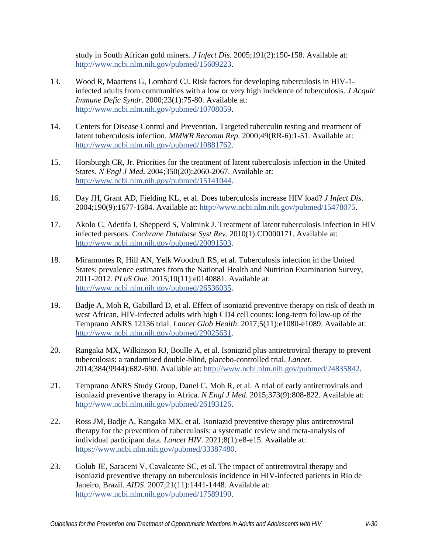study in South African gold miners. *J Infect Dis*. 2005;191(2):150-158. Available at: [http://www.ncbi.nlm.nih.gov/pubmed/15609223.](http://www.ncbi.nlm.nih.gov/pubmed/15609223)

- <span id="page-29-0"></span>13. Wood R, Maartens G, Lombard CJ. Risk factors for developing tuberculosis in HIV-1 infected adults from communities with a low or very high incidence of tuberculosis. *J Acquir Immune Defic Syndr*. 2000;23(1):75-80. Available at: [http://www.ncbi.nlm.nih.gov/pubmed/10708059.](http://www.ncbi.nlm.nih.gov/pubmed/10708059)
- <span id="page-29-1"></span>14. Centers for Disease Control and Prevention. Targeted tuberculin testing and treatment of latent tuberculosis infection. *MMWR Recomm Rep*. 2000;49(RR-6):1-51. Available at: [http://www.ncbi.nlm.nih.gov/pubmed/10881762.](http://www.ncbi.nlm.nih.gov/pubmed/10881762)
- <span id="page-29-2"></span>15. Horsburgh CR, Jr. Priorities for the treatment of latent tuberculosis infection in the United States. *N Engl J Med*. 2004;350(20):2060-2067. Available at: [http://www.ncbi.nlm.nih.gov/pubmed/15141044.](http://www.ncbi.nlm.nih.gov/pubmed/15141044)
- <span id="page-29-3"></span>16. Day JH, Grant AD, Fielding KL, et al. Does tuberculosis increase HIV load? *J Infect Dis*. 2004;190(9):1677-1684. Available at: [http://www.ncbi.nlm.nih.gov/pubmed/15478075.](http://www.ncbi.nlm.nih.gov/pubmed/15478075)
- <span id="page-29-4"></span>17. Akolo C, Adetifa I, Shepperd S, Volmink J. Treatment of latent tuberculosis infection in HIV infected persons. *Cochrane Database Syst Rev*. 2010(1):CD000171. Available at: [http://www.ncbi.nlm.nih.gov/pubmed/20091503.](http://www.ncbi.nlm.nih.gov/pubmed/20091503)
- <span id="page-29-5"></span>18. Miramontes R, Hill AN, Yelk Woodruff RS, et al. Tuberculosis infection in the United States: prevalence estimates from the National Health and Nutrition Examination Survey, 2011-2012. *PLoS One*. 2015;10(11):e0140881. Available at: [http://www.ncbi.nlm.nih.gov/pubmed/26536035.](http://www.ncbi.nlm.nih.gov/pubmed/26536035)
- <span id="page-29-6"></span>19. Badje A, Moh R, Gabillard D, et al. Effect of isoniazid preventive therapy on risk of death in west African, HIV-infected adults with high CD4 cell counts: long-term follow-up of the Temprano ANRS 12136 trial. *Lancet Glob Health*. 2017;5(11):e1080-e1089. Available at: [http://www.ncbi.nlm.nih.gov/pubmed/29025631.](http://www.ncbi.nlm.nih.gov/pubmed/29025631)
- <span id="page-29-10"></span>20. Rangaka MX, Wilkinson RJ, Boulle A, et al. Isoniazid plus antiretroviral therapy to prevent tuberculosis: a randomised double-blind, placebo-controlled trial. *Lancet*. 2014;384(9944):682-690. Available at: [http://www.ncbi.nlm.nih.gov/pubmed/24835842.](http://www.ncbi.nlm.nih.gov/pubmed/24835842)
- <span id="page-29-8"></span>21. Temprano ANRS Study Group, Danel C, Moh R, et al. A trial of early antiretrovirals and isoniazid preventive therapy in Africa. *N Engl J Med*. 2015;373(9):808-822. Available at: [http://www.ncbi.nlm.nih.gov/pubmed/26193126.](http://www.ncbi.nlm.nih.gov/pubmed/26193126)
- <span id="page-29-9"></span>22. Ross JM, Badje A, Rangaka MX, et al. Isoniazid preventive therapy plus antiretroviral therapy for the prevention of tuberculosis: a systematic review and meta-analysis of individual participant data. *Lancet HIV*. 2021;8(1):e8-e15. Available at: [https://www.ncbi.nlm.nih.gov/pubmed/33387480.](https://www.ncbi.nlm.nih.gov/pubmed/33387480)
- <span id="page-29-7"></span>23. Golub JE, Saraceni V, Cavalcante SC, et al. The impact of antiretroviral therapy and isoniazid preventive therapy on tuberculosis incidence in HIV-infected patients in Rio de Janeiro, Brazil. *AIDS*. 2007;21(11):1441-1448. Available at: [http://www.ncbi.nlm.nih.gov/pubmed/17589190.](http://www.ncbi.nlm.nih.gov/pubmed/17589190)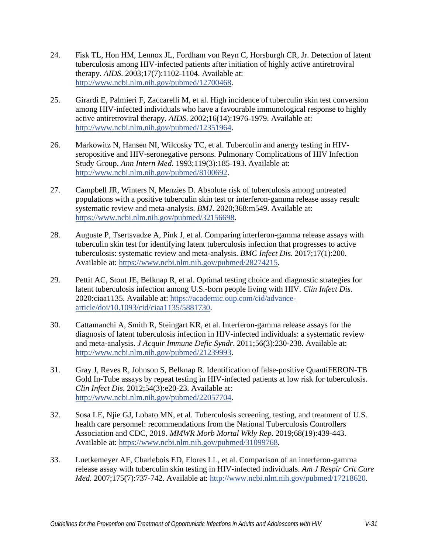- <span id="page-30-0"></span>24. Fisk TL, Hon HM, Lennox JL, Fordham von Reyn C, Horsburgh CR, Jr. Detection of latent tuberculosis among HIV-infected patients after initiation of highly active antiretroviral therapy. *AIDS*. 2003;17(7):1102-1104. Available at: [http://www.ncbi.nlm.nih.gov/pubmed/12700468.](http://www.ncbi.nlm.nih.gov/pubmed/12700468)
- <span id="page-30-1"></span>25. Girardi E, Palmieri F, Zaccarelli M, et al. High incidence of tuberculin skin test conversion among HIV-infected individuals who have a favourable immunological response to highly active antiretroviral therapy. *AIDS*. 2002;16(14):1976-1979. Available at: [http://www.ncbi.nlm.nih.gov/pubmed/12351964.](http://www.ncbi.nlm.nih.gov/pubmed/12351964)
- <span id="page-30-2"></span>26. Markowitz N, Hansen NI, Wilcosky TC, et al. Tuberculin and anergy testing in HIVseropositive and HIV-seronegative persons. Pulmonary Complications of HIV Infection Study Group. *Ann Intern Med*. 1993;119(3):185-193. Available at: [http://www.ncbi.nlm.nih.gov/pubmed/8100692.](http://www.ncbi.nlm.nih.gov/pubmed/8100692)
- <span id="page-30-3"></span>27. Campbell JR, Winters N, Menzies D. Absolute risk of tuberculosis among untreated populations with a positive tuberculin skin test or interferon-gamma release assay result: systematic review and meta-analysis. *BMJ*. 2020;368:m549. Available at: [https://www.ncbi.nlm.nih.gov/pubmed/32156698.](https://www.ncbi.nlm.nih.gov/pubmed/32156698)
- <span id="page-30-4"></span>28. Auguste P, Tsertsvadze A, Pink J, et al. Comparing interferon-gamma release assays with tuberculin skin test for identifying latent tuberculosis infection that progresses to active tuberculosis: systematic review and meta-analysis. *BMC Infect Dis*. 2017;17(1):200. Available at: [https://www.ncbi.nlm.nih.gov/pubmed/28274215.](https://www.ncbi.nlm.nih.gov/pubmed/28274215)
- <span id="page-30-5"></span>29. Pettit AC, Stout JE, Belknap R, et al. Optimal testing choice and diagnostic strategies for latent tuberculosis infection among U.S.-born people living with HIV. *Clin Infect Dis*. 2020:ciaa1135. Available at: [https://academic.oup.com/cid/advance](https://academic.oup.com/cid/advance-article/doi/10.1093/cid/ciaa1135/5881730)[article/doi/10.1093/cid/ciaa1135/5881730.](https://academic.oup.com/cid/advance-article/doi/10.1093/cid/ciaa1135/5881730)
- <span id="page-30-6"></span>30. Cattamanchi A, Smith R, Steingart KR, et al. Interferon-gamma release assays for the diagnosis of latent tuberculosis infection in HIV-infected individuals: a systematic review and meta-analysis. *J Acquir Immune Defic Syndr*. 2011;56(3):230-238. Available at: [http://www.ncbi.nlm.nih.gov/pubmed/21239993.](http://www.ncbi.nlm.nih.gov/pubmed/21239993)
- <span id="page-30-7"></span>31. Gray J, Reves R, Johnson S, Belknap R. Identification of false-positive QuantiFERON-TB Gold In-Tube assays by repeat testing in HIV-infected patients at low risk for tuberculosis. *Clin Infect Dis*. 2012;54(3):e20-23. Available at: [http://www.ncbi.nlm.nih.gov/pubmed/22057704.](http://www.ncbi.nlm.nih.gov/pubmed/22057704)
- <span id="page-30-8"></span>32. Sosa LE, Njie GJ, Lobato MN, et al. Tuberculosis screening, testing, and treatment of U.S. health care personnel: recommendations from the National Tuberculosis Controllers Association and CDC, 2019. *MMWR Morb Mortal Wkly Rep*. 2019;68(19):439-443. Available at: [https://www.ncbi.nlm.nih.gov/pubmed/31099768.](https://www.ncbi.nlm.nih.gov/pubmed/31099768)
- <span id="page-30-9"></span>33. Luetkemeyer AF, Charlebois ED, Flores LL, et al. Comparison of an interferon-gamma release assay with tuberculin skin testing in HIV-infected individuals. *Am J Respir Crit Care Med*. 2007;175(7):737-742. Available at: [http://www.ncbi.nlm.nih.gov/pubmed/17218620.](http://www.ncbi.nlm.nih.gov/pubmed/17218620)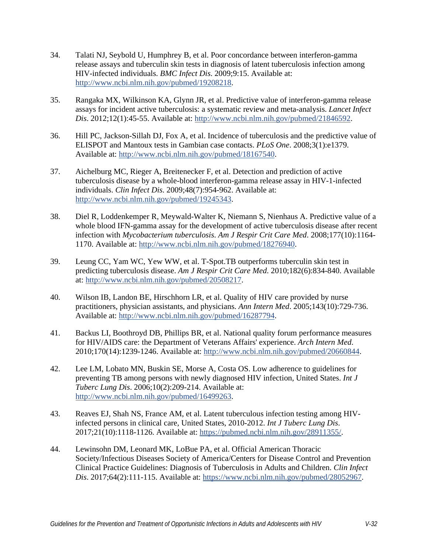- <span id="page-31-0"></span>34. Talati NJ, Seybold U, Humphrey B, et al. Poor concordance between interferon-gamma release assays and tuberculin skin tests in diagnosis of latent tuberculosis infection among HIV-infected individuals. *BMC Infect Dis*. 2009;9:15. Available at: [http://www.ncbi.nlm.nih.gov/pubmed/19208218.](http://www.ncbi.nlm.nih.gov/pubmed/19208218)
- <span id="page-31-1"></span>35. Rangaka MX, Wilkinson KA, Glynn JR, et al. Predictive value of interferon-gamma release assays for incident active tuberculosis: a systematic review and meta-analysis. *Lancet Infect Dis*. 2012;12(1):45-55. Available at: [http://www.ncbi.nlm.nih.gov/pubmed/21846592.](http://www.ncbi.nlm.nih.gov/pubmed/21846592)
- 36. Hill PC, Jackson-Sillah DJ, Fox A, et al. Incidence of tuberculosis and the predictive value of ELISPOT and Mantoux tests in Gambian case contacts. *PLoS One*. 2008;3(1):e1379. Available at: [http://www.ncbi.nlm.nih.gov/pubmed/18167540.](http://www.ncbi.nlm.nih.gov/pubmed/18167540)
- 37. Aichelburg MC, Rieger A, Breitenecker F, et al. Detection and prediction of active tuberculosis disease by a whole-blood interferon-gamma release assay in HIV-1-infected individuals. *Clin Infect Dis*. 2009;48(7):954-962. Available at: [http://www.ncbi.nlm.nih.gov/pubmed/19245343.](http://www.ncbi.nlm.nih.gov/pubmed/19245343)
- <span id="page-31-2"></span>38. Diel R, Loddenkemper R, Meywald-Walter K, Niemann S, Nienhaus A. Predictive value of a whole blood IFN-gamma assay for the development of active tuberculosis disease after recent infection with *Mycobacterium tuberculosis*. *Am J Respir Crit Care Med*. 2008;177(10):1164- 1170. Available at: [http://www.ncbi.nlm.nih.gov/pubmed/18276940.](http://www.ncbi.nlm.nih.gov/pubmed/18276940)
- <span id="page-31-3"></span>39. Leung CC, Yam WC, Yew WW, et al. T-Spot.TB outperforms tuberculin skin test in predicting tuberculosis disease. *Am J Respir Crit Care Med*. 2010;182(6):834-840. Available at: [http://www.ncbi.nlm.nih.gov/pubmed/20508217.](http://www.ncbi.nlm.nih.gov/pubmed/20508217)
- <span id="page-31-4"></span>40. Wilson IB, Landon BE, Hirschhorn LR, et al. Quality of HIV care provided by nurse practitioners, physician assistants, and physicians. *Ann Intern Med*. 2005;143(10):729-736. Available at: [http://www.ncbi.nlm.nih.gov/pubmed/16287794.](http://www.ncbi.nlm.nih.gov/pubmed/16287794)
- 41. Backus LI, Boothroyd DB, Phillips BR, et al. National quality forum performance measures for HIV/AIDS care: the Department of Veterans Affairs' experience. *Arch Intern Med*. 2010;170(14):1239-1246. Available at: [http://www.ncbi.nlm.nih.gov/pubmed/20660844.](http://www.ncbi.nlm.nih.gov/pubmed/20660844)
- 42. Lee LM, Lobato MN, Buskin SE, Morse A, Costa OS. Low adherence to guidelines for preventing TB among persons with newly diagnosed HIV infection, United States. *Int J Tuberc Lung Dis*. 2006;10(2):209-214. Available at: [http://www.ncbi.nlm.nih.gov/pubmed/16499263.](http://www.ncbi.nlm.nih.gov/pubmed/16499263)
- 43. Reaves EJ, Shah NS, France AM, et al. Latent tuberculous infection testing among HIVinfected persons in clinical care, United States, 2010-2012. *Int J Tuberc Lung Dis*. 2017;21(10):1118-1126. Available at: [https://pubmed.ncbi.nlm.nih.gov/28911355/.](https://pubmed.ncbi.nlm.nih.gov/28911355/)
- <span id="page-31-5"></span>44. Lewinsohn DM, Leonard MK, LoBue PA, et al. Official American Thoracic Society/Infectious Diseases Society of America/Centers for Disease Control and Prevention Clinical Practice Guidelines: Diagnosis of Tuberculosis in Adults and Children. *Clin Infect Dis*. 2017;64(2):111-115. Available at: [https://www.ncbi.nlm.nih.gov/pubmed/28052967.](https://www.ncbi.nlm.nih.gov/pubmed/28052967)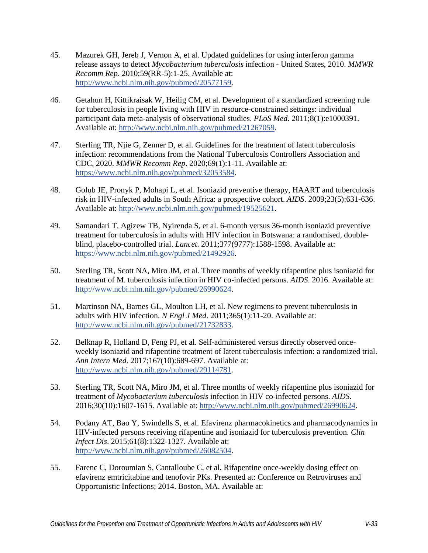- <span id="page-32-0"></span>45. Mazurek GH, Jereb J, Vernon A, et al. Updated guidelines for using interferon gamma release assays to detect *Mycobacterium tuberculosis* infection - United States, 2010. *MMWR Recomm Rep*. 2010;59(RR-5):1-25. Available at: [http://www.ncbi.nlm.nih.gov/pubmed/20577159.](http://www.ncbi.nlm.nih.gov/pubmed/20577159)
- <span id="page-32-1"></span>46. Getahun H, Kittikraisak W, Heilig CM, et al. Development of a standardized screening rule for tuberculosis in people living with HIV in resource-constrained settings: individual participant data meta-analysis of observational studies. *PLoS Med*. 2011;8(1):e1000391. Available at: [http://www.ncbi.nlm.nih.gov/pubmed/21267059.](http://www.ncbi.nlm.nih.gov/pubmed/21267059)
- <span id="page-32-2"></span>47. Sterling TR, Njie G, Zenner D, et al. Guidelines for the treatment of latent tuberculosis infection: recommendations from the National Tuberculosis Controllers Association and CDC, 2020. *MMWR Recomm Rep*. 2020;69(1):1-11. Available at: [https://www.ncbi.nlm.nih.gov/pubmed/32053584.](https://www.ncbi.nlm.nih.gov/pubmed/32053584)
- <span id="page-32-3"></span>48. Golub JE, Pronyk P, Mohapi L, et al. Isoniazid preventive therapy, HAART and tuberculosis risk in HIV-infected adults in South Africa: a prospective cohort. *AIDS*. 2009;23(5):631-636. Available at: [http://www.ncbi.nlm.nih.gov/pubmed/19525621.](http://www.ncbi.nlm.nih.gov/pubmed/19525621)
- <span id="page-32-4"></span>49. Samandari T, Agizew TB, Nyirenda S, et al. 6-month versus 36-month isoniazid preventive treatment for tuberculosis in adults with HIV infection in Botswana: a randomised, doubleblind, placebo-controlled trial. *Lancet*. 2011;377(9777):1588-1598. Available at: [https://www.ncbi.nlm.nih.gov/pubmed/21492926.](https://www.ncbi.nlm.nih.gov/pubmed/21492926)
- <span id="page-32-5"></span>50. Sterling TR, Scott NA, Miro JM, et al. Three months of weekly rifapentine plus isoniazid for treatment of M. tuberculosis infection in HIV co-infected persons. *AIDS*. 2016. Available at: [http://www.ncbi.nlm.nih.gov/pubmed/26990624.](http://www.ncbi.nlm.nih.gov/pubmed/26990624)
- <span id="page-32-6"></span>51. Martinson NA, Barnes GL, Moulton LH, et al. New regimens to prevent tuberculosis in adults with HIV infection. *N Engl J Med*. 2011;365(1):11-20. Available at: [http://www.ncbi.nlm.nih.gov/pubmed/21732833.](http://www.ncbi.nlm.nih.gov/pubmed/21732833)
- <span id="page-32-7"></span>52. Belknap R, Holland D, Feng PJ, et al. Self-administered versus directly observed onceweekly isoniazid and rifapentine treatment of latent tuberculosis infection: a randomized trial. *Ann Intern Med*. 2017;167(10):689-697. Available at: [http://www.ncbi.nlm.nih.gov/pubmed/29114781.](http://www.ncbi.nlm.nih.gov/pubmed/29114781)
- <span id="page-32-8"></span>53. Sterling TR, Scott NA, Miro JM, et al. Three months of weekly rifapentine plus isoniazid for treatment of *Mycobacterium tuberculosis* infection in HIV co-infected persons. *AIDS*. 2016;30(10):1607-1615. Available at: [http://www.ncbi.nlm.nih.gov/pubmed/26990624.](http://www.ncbi.nlm.nih.gov/pubmed/26990624)
- <span id="page-32-9"></span>54. Podany AT, Bao Y, Swindells S, et al. Efavirenz pharmacokinetics and pharmacodynamics in HIV-infected persons receiving rifapentine and isoniazid for tuberculosis prevention. *Clin Infect Dis*. 2015;61(8):1322-1327. Available at: [http://www.ncbi.nlm.nih.gov/pubmed/26082504.](http://www.ncbi.nlm.nih.gov/pubmed/26082504)
- <span id="page-32-10"></span>55. Farenc C, Doroumian S, Cantalloube C, et al. Rifapentine once-weekly dosing effect on efavirenz emtricitabine and tenofovir PKs. Presented at: Conference on Retroviruses and Opportunistic Infections; 2014. Boston, MA. Available at: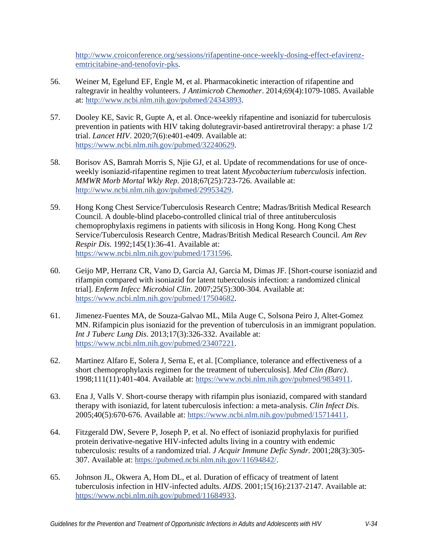[http://www.croiconference.org/sessions/rifapentine-once-weekly-dosing-effect-efavirenz](http://www.croiconference.org/sessions/rifapentine-once-weekly-dosing-effect-efavirenz-emtricitabine-and-tenofovir-pks)[emtricitabine-and-tenofovir-pks.](http://www.croiconference.org/sessions/rifapentine-once-weekly-dosing-effect-efavirenz-emtricitabine-and-tenofovir-pks)

- <span id="page-33-0"></span>56. Weiner M, Egelund EF, Engle M, et al. Pharmacokinetic interaction of rifapentine and raltegravir in healthy volunteers. *J Antimicrob Chemother*. 2014;69(4):1079-1085. Available at: [http://www.ncbi.nlm.nih.gov/pubmed/24343893.](http://www.ncbi.nlm.nih.gov/pubmed/24343893)
- <span id="page-33-1"></span>57. Dooley KE, Savic R, Gupte A, et al. Once-weekly rifapentine and isoniazid for tuberculosis prevention in patients with HIV taking dolutegravir-based antiretroviral therapy: a phase 1/2 trial. *Lancet HIV*. 2020;7(6):e401-e409. Available at: [https://www.ncbi.nlm.nih.gov/pubmed/32240629.](https://www.ncbi.nlm.nih.gov/pubmed/32240629)
- <span id="page-33-2"></span>58. Borisov AS, Bamrah Morris S, Njie GJ, et al. Update of recommendations for use of onceweekly isoniazid-rifapentine regimen to treat latent *Mycobacterium tuberculosis* infection. *MMWR Morb Mortal Wkly Rep*. 2018;67(25):723-726. Available at: [http://www.ncbi.nlm.nih.gov/pubmed/29953429.](http://www.ncbi.nlm.nih.gov/pubmed/29953429)
- <span id="page-33-3"></span>59. Hong Kong Chest Service/Tuberculosis Research Centre; Madras/British Medical Research Council. A double-blind placebo-controlled clinical trial of three antituberculosis chemoprophylaxis regimens in patients with silicosis in Hong Kong. Hong Kong Chest Service/Tuberculosis Research Centre, Madras/British Medical Research Council. *Am Rev Respir Dis*. 1992;145(1):36-41. Available at: [https://www.ncbi.nlm.nih.gov/pubmed/1731596.](https://www.ncbi.nlm.nih.gov/pubmed/1731596)
- 60. Geijo MP, Herranz CR, Vano D, Garcia AJ, Garcia M, Dimas JF. [Short-course isoniazid and rifampin compared with isoniazid for latent tuberculosis infection: a randomized clinical trial]. *Enferm Infecc Microbiol Clin*. 2007;25(5):300-304. Available at: [https://www.ncbi.nlm.nih.gov/pubmed/17504682.](https://www.ncbi.nlm.nih.gov/pubmed/17504682)
- 61. Jimenez-Fuentes MA, de Souza-Galvao ML, Mila Auge C, Solsona Peiro J, Altet-Gomez MN. Rifampicin plus isoniazid for the prevention of tuberculosis in an immigrant population. *Int J Tuberc Lung Dis*. 2013;17(3):326-332. Available at: [https://www.ncbi.nlm.nih.gov/pubmed/23407221.](https://www.ncbi.nlm.nih.gov/pubmed/23407221)
- 62. Martinez Alfaro E, Solera J, Serna E, et al. [Compliance, tolerance and effectiveness of a short chemoprophylaxis regimen for the treatment of tuberculosis]. *Med Clin (Barc)*. 1998;111(11):401-404. Available at: [https://www.ncbi.nlm.nih.gov/pubmed/9834911.](https://www.ncbi.nlm.nih.gov/pubmed/9834911)
- 63. Ena J, Valls V. Short-course therapy with rifampin plus isoniazid, compared with standard therapy with isoniazid, for latent tuberculosis infection: a meta-analysis. *Clin Infect Dis*. 2005;40(5):670-676. Available at: [https://www.ncbi.nlm.nih.gov/pubmed/15714411.](https://www.ncbi.nlm.nih.gov/pubmed/15714411)
- <span id="page-33-4"></span>64. Fitzgerald DW, Severe P, Joseph P, et al. No effect of isoniazid prophylaxis for purified protein derivative-negative HIV-infected adults living in a country with endemic tuberculosis: results of a randomized trial. *J Acquir Immune Defic Syndr*. 2001;28(3):305- 307. Available at: [https://pubmed.ncbi.nlm.nih.gov/11694842/.](https://pubmed.ncbi.nlm.nih.gov/11694842/)
- 65. Johnson JL, Okwera A, Hom DL, et al. Duration of efficacy of treatment of latent tuberculosis infection in HIV-infected adults. *AIDS*. 2001;15(16):2137-2147. Available at: [https://www.ncbi.nlm.nih.gov/pubmed/11684933.](https://www.ncbi.nlm.nih.gov/pubmed/11684933)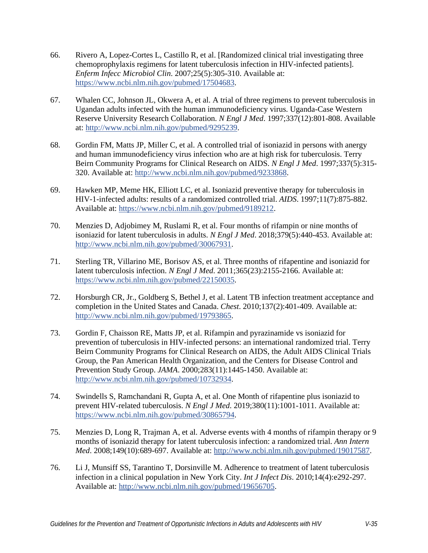- 66. Rivero A, Lopez-Cortes L, Castillo R, et al. [Randomized clinical trial investigating three chemoprophylaxis regimens for latent tuberculosis infection in HIV-infected patients]. *Enferm Infecc Microbiol Clin*. 2007;25(5):305-310. Available at: [https://www.ncbi.nlm.nih.gov/pubmed/17504683.](https://www.ncbi.nlm.nih.gov/pubmed/17504683)
- <span id="page-34-0"></span>67. Whalen CC, Johnson JL, Okwera A, et al. A trial of three regimens to prevent tuberculosis in Ugandan adults infected with the human immunodeficiency virus. Uganda-Case Western Reserve University Research Collaboration. *N Engl J Med*. 1997;337(12):801-808. Available at: [http://www.ncbi.nlm.nih.gov/pubmed/9295239.](http://www.ncbi.nlm.nih.gov/pubmed/9295239)
- 68. Gordin FM, Matts JP, Miller C, et al. A controlled trial of isoniazid in persons with anergy and human immunodeficiency virus infection who are at high risk for tuberculosis. Terry Beirn Community Programs for Clinical Research on AIDS. *N Engl J Med*. 1997;337(5):315- 320. Available at: [http://www.ncbi.nlm.nih.gov/pubmed/9233868.](http://www.ncbi.nlm.nih.gov/pubmed/9233868)
- 69. Hawken MP, Meme HK, Elliott LC, et al. Isoniazid preventive therapy for tuberculosis in HIV-1-infected adults: results of a randomized controlled trial. *AIDS*. 1997;11(7):875-882. Available at: [https://www.ncbi.nlm.nih.gov/pubmed/9189212.](https://www.ncbi.nlm.nih.gov/pubmed/9189212)
- <span id="page-34-2"></span>70. Menzies D, Adjobimey M, Ruslami R, et al. Four months of rifampin or nine months of isoniazid for latent tuberculosis in adults. *N Engl J Med*. 2018;379(5):440-453. Available at: [http://www.ncbi.nlm.nih.gov/pubmed/30067931.](http://www.ncbi.nlm.nih.gov/pubmed/30067931)
- <span id="page-34-4"></span>71. Sterling TR, Villarino ME, Borisov AS, et al. Three months of rifapentine and isoniazid for latent tuberculosis infection. *N Engl J Med*. 2011;365(23):2155-2166. Available at: [https://www.ncbi.nlm.nih.gov/pubmed/22150035.](https://www.ncbi.nlm.nih.gov/pubmed/22150035)
- <span id="page-34-1"></span>72. Horsburgh CR, Jr., Goldberg S, Bethel J, et al. Latent TB infection treatment acceptance and completion in the United States and Canada. *Chest*. 2010;137(2):401-409. Available at: [http://www.ncbi.nlm.nih.gov/pubmed/19793865.](http://www.ncbi.nlm.nih.gov/pubmed/19793865)
- 73. Gordin F, Chaisson RE, Matts JP, et al. Rifampin and pyrazinamide vs isoniazid for prevention of tuberculosis in HIV-infected persons: an international randomized trial. Terry Beirn Community Programs for Clinical Research on AIDS, the Adult AIDS Clinical Trials Group, the Pan American Health Organization, and the Centers for Disease Control and Prevention Study Group. *JAMA*. 2000;283(11):1445-1450. Available at: [http://www.ncbi.nlm.nih.gov/pubmed/10732934.](http://www.ncbi.nlm.nih.gov/pubmed/10732934)
- <span id="page-34-3"></span>74. Swindells S, Ramchandani R, Gupta A, et al. One Month of rifapentine plus isoniazid to prevent HIV-related tuberculosis. *N Engl J Med*. 2019;380(11):1001-1011. Available at: [https://www.ncbi.nlm.nih.gov/pubmed/30865794.](https://www.ncbi.nlm.nih.gov/pubmed/30865794)
- 75. Menzies D, Long R, Trajman A, et al. Adverse events with 4 months of rifampin therapy or 9 months of isoniazid therapy for latent tuberculosis infection: a randomized trial. *Ann Intern Med*. 2008;149(10):689-697. Available at: [http://www.ncbi.nlm.nih.gov/pubmed/19017587.](http://www.ncbi.nlm.nih.gov/pubmed/19017587)
- 76. Li J, Munsiff SS, Tarantino T, Dorsinville M. Adherence to treatment of latent tuberculosis infection in a clinical population in New York City. *Int J Infect Dis*. 2010;14(4):e292-297. Available at: [http://www.ncbi.nlm.nih.gov/pubmed/19656705.](http://www.ncbi.nlm.nih.gov/pubmed/19656705)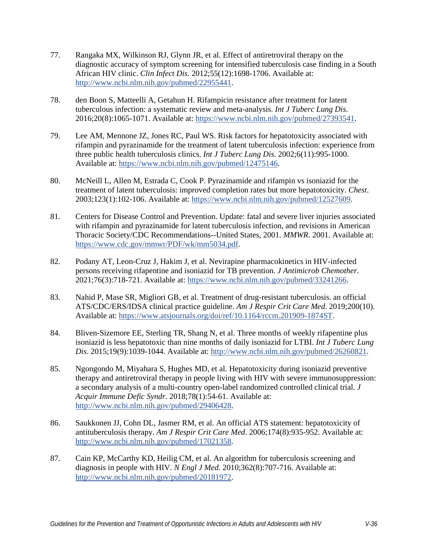- <span id="page-35-0"></span>77. Rangaka MX, Wilkinson RJ, Glynn JR, et al. Effect of antiretroviral therapy on the diagnostic accuracy of symptom screening for intensified tuberculosis case finding in a South African HIV clinic. *Clin Infect Dis*. 2012;55(12):1698-1706. Available at: [http://www.ncbi.nlm.nih.gov/pubmed/22955441.](http://www.ncbi.nlm.nih.gov/pubmed/22955441)
- <span id="page-35-1"></span>78. den Boon S, Matteelli A, Getahun H. Rifampicin resistance after treatment for latent tuberculous infection: a systematic review and meta-analysis. *Int J Tuberc Lung Dis*. 2016;20(8):1065-1071. Available at: [https://www.ncbi.nlm.nih.gov/pubmed/27393541.](https://www.ncbi.nlm.nih.gov/pubmed/27393541)
- <span id="page-35-2"></span>79. Lee AM, Mennone JZ, Jones RC, Paul WS. Risk factors for hepatotoxicity associated with rifampin and pyrazinamide for the treatment of latent tuberculosis infection: experience from three public health tuberculosis clinics. *Int J Tuberc Lung Dis*. 2002;6(11):995-1000. Available at: [https://www.ncbi.nlm.nih.gov/pubmed/12475146.](https://www.ncbi.nlm.nih.gov/pubmed/12475146)
- <span id="page-35-3"></span>80. McNeill L, Allen M, Estrada C, Cook P. Pyrazinamide and rifampin vs isoniazid for the treatment of latent tuberculosis: improved completion rates but more hepatotoxicity. *Chest*. 2003;123(1):102-106. Available at: [https://www.ncbi.nlm.nih.gov/pubmed/12527609.](https://www.ncbi.nlm.nih.gov/pubmed/12527609)
- <span id="page-35-4"></span>81. Centers for Disease Control and Prevention. Update: fatal and severe liver injuries associated with rifampin and pyrazinamide for latent tuberculosis infection, and revisions in American Thoracic Society/CDC Recommendations--United States, 2001. *MMWR*. 2001. Available at: [https://www.cdc.gov/mmwr/PDF/wk/mm5034.pdf.](https://www.cdc.gov/mmwr/PDF/wk/mm5034.pdf)
- <span id="page-35-5"></span>82. Podany AT, Leon-Cruz J, Hakim J, et al. Nevirapine pharmacokinetics in HIV-infected persons receiving rifapentine and isoniazid for TB prevention. *J Antimicrob Chemother*. 2021;76(3):718-721. Available at: [https://www.ncbi.nlm.nih.gov/pubmed/33241266.](https://www.ncbi.nlm.nih.gov/pubmed/33241266)
- <span id="page-35-6"></span>83. Nahid P, Mase SR, Migliori GB, et al. Treatment of drug-resistant tuberculosis. an official ATS/CDC/ERS/IDSA clinical practice guideline. *Am J Respir Crit Care Med*. 2019;200(10). Available at: [https://www.atsjournals.org/doi/ref/10.1164/rccm.201909-1874ST.](https://www.atsjournals.org/doi/ref/10.1164/rccm.201909-1874ST)
- <span id="page-35-7"></span>84. Bliven-Sizemore EE, Sterling TR, Shang N, et al. Three months of weekly rifapentine plus isoniazid is less hepatotoxic than nine months of daily isoniazid for LTBI. *Int J Tuberc Lung Dis*. 2015;19(9):1039-1044. Available at: [http://www.ncbi.nlm.nih.gov/pubmed/26260821.](http://www.ncbi.nlm.nih.gov/pubmed/26260821)
- <span id="page-35-8"></span>85. Ngongondo M, Miyahara S, Hughes MD, et al. Hepatotoxicity during isoniazid preventive therapy and antiretroviral therapy in people living with HIV with severe immunosuppression: a secondary analysis of a multi-country open-label randomized controlled clinical trial. *J Acquir Immune Defic Syndr*. 2018;78(1):54-61. Available at: [http://www.ncbi.nlm.nih.gov/pubmed/29406428.](http://www.ncbi.nlm.nih.gov/pubmed/29406428)
- <span id="page-35-9"></span>86. Saukkonen JJ, Cohn DL, Jasmer RM, et al. An official ATS statement: hepatotoxicity of antituberculosis therapy. *Am J Respir Crit Care Med*. 2006;174(8):935-952. Available at: [http://www.ncbi.nlm.nih.gov/pubmed/17021358.](http://www.ncbi.nlm.nih.gov/pubmed/17021358)
- <span id="page-35-10"></span>87. Cain KP, McCarthy KD, Heilig CM, et al. An algorithm for tuberculosis screening and diagnosis in people with HIV. *N Engl J Med*. 2010;362(8):707-716. Available at: [http://www.ncbi.nlm.nih.gov/pubmed/20181972.](http://www.ncbi.nlm.nih.gov/pubmed/20181972)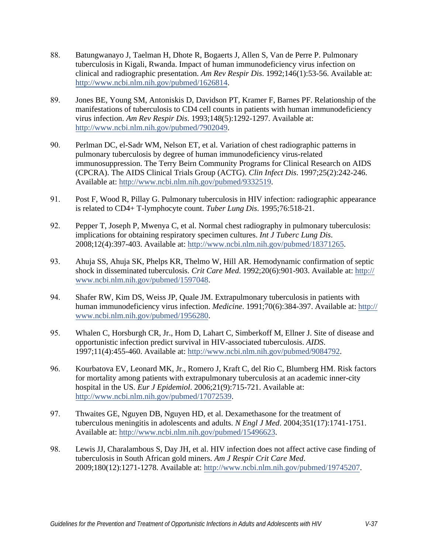- <span id="page-36-0"></span>88. Batungwanayo J, Taelman H, Dhote R, Bogaerts J, Allen S, Van de Perre P. Pulmonary tuberculosis in Kigali, Rwanda. Impact of human immunodeficiency virus infection on clinical and radiographic presentation. *Am Rev Respir Dis*. 1992;146(1):53-56. Available at: [http://www.ncbi.nlm.nih.gov/pubmed/1626814.](http://www.ncbi.nlm.nih.gov/pubmed/1626814)
- <span id="page-36-1"></span>89. Jones BE, Young SM, Antoniskis D, Davidson PT, Kramer F, Barnes PF. Relationship of the manifestations of tuberculosis to CD4 cell counts in patients with human immunodeficiency virus infection. *Am Rev Respir Dis*. 1993;148(5):1292-1297. Available at: [http://www.ncbi.nlm.nih.gov/pubmed/7902049.](http://www.ncbi.nlm.nih.gov/pubmed/7902049)
- <span id="page-36-2"></span>90. Perlman DC, el-Sadr WM, Nelson ET, et al. Variation of chest radiographic patterns in pulmonary tuberculosis by degree of human immunodeficiency virus-related immunosuppression. The Terry Beirn Community Programs for Clinical Research on AIDS (CPCRA). The AIDS Clinical Trials Group (ACTG). *Clin Infect Dis*. 1997;25(2):242-246. Available at: [http://www.ncbi.nlm.nih.gov/pubmed/9332519.](http://www.ncbi.nlm.nih.gov/pubmed/9332519)
- <span id="page-36-3"></span>91. Post F, Wood R, Pillay G. Pulmonary tuberculosis in HIV infection: radiographic appearance is related to CD4+ T-lymphocyte count. *Tuber Lung Dis*. 1995;76:518-21.
- <span id="page-36-4"></span>92. Pepper T, Joseph P, Mwenya C, et al. Normal chest radiography in pulmonary tuberculosis: implications for obtaining respiratory specimen cultures. *Int J Tuberc Lung Dis*. 2008;12(4):397-403. Available at: [http://www.ncbi.nlm.nih.gov/pubmed/18371265.](http://www.ncbi.nlm.nih.gov/pubmed/18371265)
- <span id="page-36-5"></span>93. Ahuja SS, Ahuja SK, Phelps KR, Thelmo W, Hill AR. Hemodynamic confirmation of septic shock in disseminated tuberculosis. *Crit Care Med*. 1992;20(6):901-903. Available at: http:// [www.ncbi.nlm.nih.gov/pubmed/1597048.](http://www.ncbi.nlm.nih.gov/pubmed/1597048)
- <span id="page-36-6"></span>94. Shafer RW, Kim DS, Weiss JP, Quale JM. Extrapulmonary tuberculosis in patients with human immunodeficiency virus infection. *Medicine*. 1991;70(6):384-397. Available at: http:// [www.ncbi.nlm.nih.gov/pubmed/1956280.](http://www.ncbi.nlm.nih.gov/pubmed/1956280)
- <span id="page-36-7"></span>95. Whalen C, Horsburgh CR, Jr., Hom D, Lahart C, Simberkoff M, Ellner J. Site of disease and opportunistic infection predict survival in HIV-associated tuberculosis. *AIDS*. 1997;11(4):455-460. Available at: [http://www.ncbi.nlm.nih.gov/pubmed/9084792.](http://www.ncbi.nlm.nih.gov/pubmed/9084792)
- 96. Kourbatova EV, Leonard MK, Jr., Romero J, Kraft C, del Rio C, Blumberg HM. Risk factors for mortality among patients with extrapulmonary tuberculosis at an academic inner-city hospital in the US. *Eur J Epidemiol*. 2006;21(9):715-721. Available at: [http://www.ncbi.nlm.nih.gov/pubmed/17072539.](http://www.ncbi.nlm.nih.gov/pubmed/17072539)
- <span id="page-36-9"></span>97. Thwaites GE, Nguyen DB, Nguyen HD, et al. Dexamethasone for the treatment of tuberculous meningitis in adolescents and adults. *N Engl J Med*. 2004;351(17):1741-1751. Available at: [http://www.ncbi.nlm.nih.gov/pubmed/15496623.](http://www.ncbi.nlm.nih.gov/pubmed/15496623)
- <span id="page-36-8"></span>98. Lewis JJ, Charalambous S, Day JH, et al. HIV infection does not affect active case finding of tuberculosis in South African gold miners. *Am J Respir Crit Care Med*. 2009;180(12):127[1-1278. Available at: http://www.ncbi.nlm.nih.gov](http://www.ncbi.nlm.nih.gov/pubmed/19745207)/pubmed/19745207.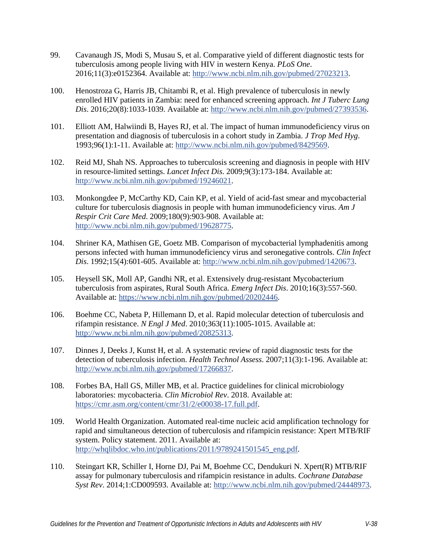- <span id="page-37-0"></span>99. Cavanaugh JS, Modi S, Musau S, et al. Comparative yield of different diagnostic tests for tuberculosis among people living with HIV in western Kenya. *PLoS One*. 2016;11(3):e0152364. Available at: [http://www.ncbi.nlm.nih.gov/pubmed/27023213.](http://www.ncbi.nlm.nih.gov/pubmed/27023213)
- <span id="page-37-1"></span>100. Henostroza G, Harris JB, Chitambi R, et al. High prevalence of tuberculosis in newly enrolled HIV patients in Zambia: need for enhanced screening approach. *Int J Tuberc Lung Dis*. 2016;20(8):1033-1039. Available at: [http://www.ncbi.nlm.nih.gov/pubmed/27393536.](http://www.ncbi.nlm.nih.gov/pubmed/27393536)
- <span id="page-37-2"></span>101. Elliott AM, Halwiindi B, Hayes RJ, et al. The impact of human immunodeficiency virus on presentation and diagnosis of tuberculosis in a cohort study in Zambia. *J Trop Med Hyg*. 1993;96(1):1-11. Available at: [http://www.ncbi.nlm.nih.gov/pubmed/8429569.](http://www.ncbi.nlm.nih.gov/pubmed/8429569)
- <span id="page-37-3"></span>102. Reid MJ, Shah NS. Approaches to tuberculosis screening and diagnosis in people with HIV in resource-limited settings. *Lancet Infect Dis*. 2009;9(3):173-184. Available at: [http://www.ncbi.nlm.nih.gov/pubmed/19246021.](http://www.ncbi.nlm.nih.gov/pubmed/19246021)
- <span id="page-37-4"></span>103. Monkongdee P, McCarthy KD, Cain KP, et al. Yield of acid-fast smear and mycobacterial culture for tuberculosis diagnosis in people with human immunodeficiency virus. *Am J Respir Crit Care Med*. 2009;180(9):903-908. Available at: [http://www.ncbi.nlm.nih.gov/pubmed/19628775.](http://www.ncbi.nlm.nih.gov/pubmed/19628775)
- <span id="page-37-5"></span>104. Shriner KA, Mathisen GE, Goetz MB. Comparison of mycobacterial lymphadenitis among persons infected with human immunodeficiency virus and seronegative controls. *Clin Infect Dis*. 1992;15(4):601-605. Available at: [http://www.ncbi.nlm.nih.gov/pubmed/1420673.](http://www.ncbi.nlm.nih.gov/pubmed/1420673)
- <span id="page-37-6"></span>105. Heysell SK, Moll AP, Gandhi NR, et al. Extensively drug-resistant Mycobacterium tuberculosis from aspirates, Rural South Africa. *Emerg Infect Dis*. 2010;16(3):557-560. Available at: [https://www.ncbi.nlm.nih.gov/pubmed/20202446.](https://www.ncbi.nlm.nih.gov/pubmed/20202446)
- <span id="page-37-7"></span>106. Boehme CC, Nabeta P, Hillemann D, et al. Rapid molecular detection of tuberculosis and rifampin resistance. *N Engl J Med*. 2010;363(11):1005-1015. Available at: [http://www.ncbi.nlm.nih.gov/pubmed/20825313.](http://www.ncbi.nlm.nih.gov/pubmed/20825313)
- <span id="page-37-8"></span>107. Dinnes J, Deeks J, Kunst H, et al. A systematic review of rapid diagnostic tests for the detection of tuberculosis infection. *Health Technol Assess*. 2007;11(3):1-196. Available at: [http://www.ncbi.nlm.nih.gov/pubmed/17266837.](http://www.ncbi.nlm.nih.gov/pubmed/17266837)
- <span id="page-37-9"></span>108. Forbes BA, Hall GS, Miller MB, et al. Practice guidelines for clinical microbiology laboratories: mycobacteria. *Clin Microbiol Rev*. 2018. Available at: [https://cmr.asm.org/content/cmr/31/2/e00038-17.full.pdf.](https://cmr.asm.org/content/cmr/31/2/e00038-17.full.pdf)
- <span id="page-37-10"></span>109. World Health Organization. Automated real-time nucleic acid amplification technology for rapid and simultaneous detection of tuberculosis and rifampicin resistance: Xpert MTB/RIF system. Policy statement. 2011. Available at: [http://whqlibdoc.who.int/publications/2011/9789241501545\\_eng.pdf.](http://whqlibdoc.who.int/publications/2011/9789241501545_eng.pdf)
- <span id="page-37-11"></span>110. Steingart KR, Schiller I, Horne DJ, Pai M, Boehme CC, Dendukuri N. Xpert(R) MTB/RIF assay for pulmonary tuberculosis and rifampicin resistance in adults. *Cochrane Database Syst Rev*. 2014;1:CD009593. Available at: [http://www.ncbi.nlm.nih.gov/pubmed/24448973.](http://www.ncbi.nlm.nih.gov/pubmed/24448973)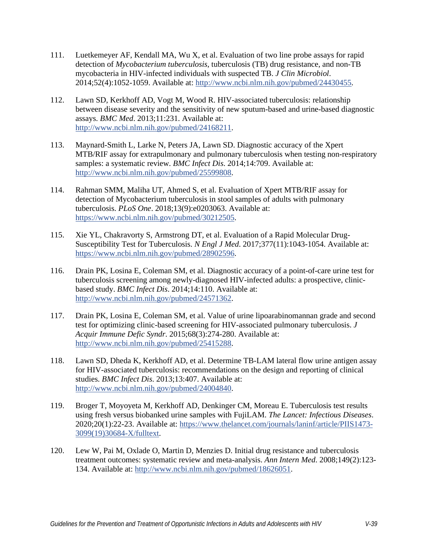- <span id="page-38-0"></span>111. Luetkemeyer AF, Kendall MA, Wu X, et al. Evaluation of two line probe assays for rapid detection of *Mycobacterium tuberculosis*, tuberculosis (TB) drug resistance, and non-TB mycobacteria in HIV-infected individuals with suspected TB. *J Clin Microbiol*. 2014;52(4):1052-1059. Available at: [http://www.ncbi.nlm.nih.gov/pubmed/24430455.](http://www.ncbi.nlm.nih.gov/pubmed/24430455)
- <span id="page-38-1"></span>112. Lawn SD, Kerkhoff AD, Vogt M, Wood R. HIV-associated tuberculosis: relationship between disease severity and the sensitivity of new sputum-based and urine-based diagnostic assays. *BMC Med*. 2013;11:231. Available at: [http://www.ncbi.nlm.nih.gov/pubmed/24168211.](http://www.ncbi.nlm.nih.gov/pubmed/24168211)
- <span id="page-38-2"></span>113. Maynard-Smith L, Larke N, Peters JA, Lawn SD. Diagnostic accuracy of the Xpert MTB/RIF assay for extrapulmonary and pulmonary tuberculosis when testing non-respiratory samples: a systematic review. *BMC Infect Dis*. 2014;14:709. Available at: [http://www.ncbi.nlm.nih.gov/pubmed/25599808.](http://www.ncbi.nlm.nih.gov/pubmed/25599808)
- <span id="page-38-3"></span>114. Rahman SMM, Maliha UT, Ahmed S, et al. Evaluation of Xpert MTB/RIF assay for detection of Mycobacterium tuberculosis in stool samples of adults with pulmonary tuberculosis. *PLoS One*. 2018;13(9):e0203063. Available at: [https://www.ncbi.nlm.nih.gov/pubmed/30212505.](https://www.ncbi.nlm.nih.gov/pubmed/30212505)
- <span id="page-38-4"></span>115. Xie YL, Chakravorty S, Armstrong DT, et al. Evaluation of a Rapid Molecular Drug-Susceptibility Test for Tuberculosis. *N Engl J Med*. 2017;377(11):1043-1054. Available at: [https://www.ncbi.nlm.nih.gov/pubmed/28902596.](https://www.ncbi.nlm.nih.gov/pubmed/28902596)
- <span id="page-38-5"></span>116. Drain PK, Losina E, Coleman SM, et al. Diagnostic accuracy of a point-of-care urine test for tuberculosis screening among newly-diagnosed HIV-infected adults: a prospective, clinicbased study. *BMC Infect Dis*. 2014;14:110. Available at: [http://www.ncbi.nlm.nih.gov/pubmed/24571362.](http://www.ncbi.nlm.nih.gov/pubmed/24571362)
- 117. Drain PK, Losina E, Coleman SM, et al. Value of urine lipoarabinomannan grade and second test for optimizing clinic-based screening for HIV-associated pulmonary tuberculosis. *J Acquir Immune Defic Syndr*. 2015;68(3):274-280. Available at: [http://www.ncbi.nlm.nih.gov/pubmed/25415288.](http://www.ncbi.nlm.nih.gov/pubmed/25415288)
- 118. Lawn SD, Dheda K, Kerkhoff AD, et al. Determine TB-LAM lateral flow urine antigen assay for HIV-associated tuberculosis: recommendations on the design and reporting of clinical studies. *BMC Infect Dis*. 2013;13:407. Available at: [http://www.ncbi.nlm.nih.gov/pubmed/24004840.](http://www.ncbi.nlm.nih.gov/pubmed/24004840)
- 119. Broger T, Moyoyeta M, Kerkhoff AD, Denkinger CM, Moreau E. Tuberculosis test results using fresh versus biobanked urine samples with FujiLAM. *The Lancet: Infectious Diseases*. 2020;20(1):22-23. Available at: [https://www.thelancet.com/journals/laninf/article/PIIS1473-](https://www.thelancet.com/journals/laninf/article/PIIS1473-3099(19)30684-X/fulltext) [3099\(19\)30684-X/fulltext.](https://www.thelancet.com/journals/laninf/article/PIIS1473-3099(19)30684-X/fulltext)
- <span id="page-38-6"></span>120. Lew W, Pai M, Oxlade O, Martin D, Menzies D. Initial drug resistance and tuberculosis treatment outcomes: systematic review and meta-analysis. *Ann Intern Med*. 2008;149(2):123- 134. Available at: [http://www.ncbi.nlm.nih.gov/pubmed/18626051.](http://www.ncbi.nlm.nih.gov/pubmed/18626051)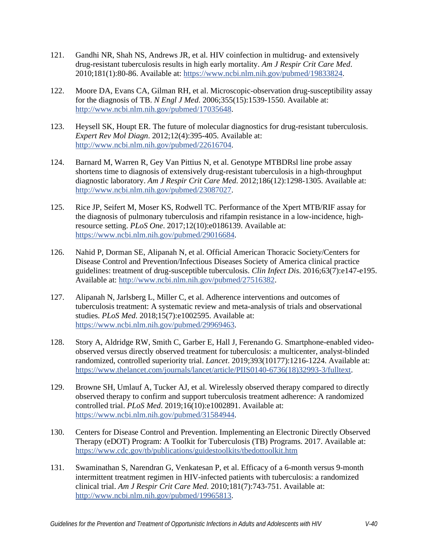- <span id="page-39-0"></span>121. Gandhi NR, Shah NS, Andrews JR, et al. HIV coinfection in multidrug- and extensively drug-resistant tuberculosis results in high early mortality. *Am J Respir Crit Care Med*. 2010;181(1):80-86. Available at: [https://www.ncbi.nlm.nih.gov/pubmed/19833824.](https://www.ncbi.nlm.nih.gov/pubmed/19833824)
- <span id="page-39-1"></span>122. Moore DA, Evans CA, Gilman RH, et al. Microscopic-observation drug-susceptibility assay for the diagnosis of TB. *N Engl J Med*. 2006;355(15):1539-1550. Available at: [http://www.ncbi.nlm.nih.gov/pubmed/17035648.](http://www.ncbi.nlm.nih.gov/pubmed/17035648)
- <span id="page-39-2"></span>123. Heysell SK, Houpt ER. The future of molecular diagnostics for drug-resistant tuberculosis. *Expert Rev Mol Diagn*. 2012;12(4):395-405. Available at: [http://www.ncbi.nlm.nih.gov/pubmed/22616704.](http://www.ncbi.nlm.nih.gov/pubmed/22616704)
- <span id="page-39-3"></span>124. Barnard M, Warren R, Gey Van Pittius N, et al. Genotype MTBDRsl line probe assay shortens time to diagnosis of extensively drug-resistant tuberculosis in a high-throughput diagnostic laboratory. *Am J Respir Crit Care Med*. 2012;186(12):1298-1305. Available at: [http://www.ncbi.nlm.nih.gov/pubmed/23087027.](http://www.ncbi.nlm.nih.gov/pubmed/23087027)
- <span id="page-39-4"></span>125. Rice JP, Seifert M, Moser KS, Rodwell TC. Performance of the Xpert MTB/RIF assay for the diagnosis of pulmonary tuberculosis and rifampin resistance in a low-incidence, highresource setting. *PLoS One*. 2017;12(10):e0186139. Available at: [https://www.ncbi.nlm.nih.gov/pubmed/29016684.](https://www.ncbi.nlm.nih.gov/pubmed/29016684)
- <span id="page-39-5"></span>126. Nahid P, Dorman SE, Alipanah N, et al. Official American Thoracic Society/Centers for Disease Control and Prevention/Infectious Diseases Society of America clinical practice guidelines: treatment of drug-susceptible tuberculosis. *Clin Infect Dis*. 2016;63(7):e147-e195. Available at: [http://www.ncbi.nlm.nih.gov/pubmed/27516382.](http://www.ncbi.nlm.nih.gov/pubmed/27516382)
- <span id="page-39-6"></span>127. Alipanah N, Jarlsberg L, Miller C, et al. Adherence interventions and outcomes of tuberculosis treatment: A systematic review and meta-analysis of trials and observational studies. *PLoS Med*. 2018;15(7):e1002595. Available at: [https://www.ncbi.nlm.nih.gov/pubmed/29969463.](https://www.ncbi.nlm.nih.gov/pubmed/29969463)
- 128. Story A, Aldridge RW, Smith C, Garber E, Hall J, Ferenando G. Smartphone-enabled videoobserved versus directly observed treatment for tuberculosis: a multicenter, analyst-blinded randomized, controlled superiority trial. *Lancet*. 2019;393(10177):1216-1224. Available at: [https://www.thelancet.com/journals/lancet/article/PIIS0140-6736\(18\)32993-3/fulltext.](https://www.thelancet.com/journals/lancet/article/PIIS0140-6736(18)32993-3/fulltext)
- 129. Browne SH, Umlauf A, Tucker AJ, et al. Wirelessly observed therapy compared to directly observed therapy to confirm and support tuberculosis treatment adherence: A randomized controlled trial. *PLoS Med*. 2019;16(10):e1002891. Available at: [https://www.ncbi.nlm.nih.gov/pubmed/31584944.](https://www.ncbi.nlm.nih.gov/pubmed/31584944)
- 130. Centers for Disease Control and Prevention. Implementing an Electronic Directly Observed Therapy (eDOT) Program: A Toolkit for Tuberculosis (TB) Programs. 2017. Available at: <https://www.cdc.gov/tb/publications/guidestoolkits/tbedottoolkit.htm>
- <span id="page-39-7"></span>131. Swaminathan S, Narendran G, Venkatesan P, et al. Efficacy of a 6-month versus 9-month intermittent treatment regimen in HIV-infected patients with tuberculosis: a randomized clinical trial. *Am J Respir Crit Care Med*. 2010;181(7):743-751. Available at: [http://www.ncbi.nlm.nih.gov/pubmed/19965813.](http://www.ncbi.nlm.nih.gov/pubmed/19965813)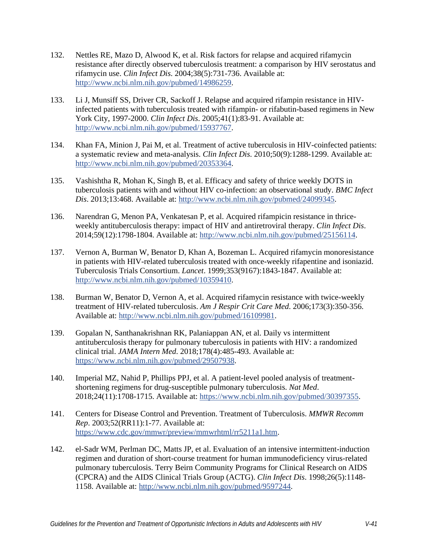- 132. Nettles RE, Mazo D, Alwood K, et al. Risk factors for relapse and acquired rifamycin resistance after directly observed tuberculosis treatment: a comparison by HIV serostatus and rifamycin use. *Clin Infect Dis*. 2004;38(5):731-736. Available at: [http://www.ncbi.nlm.nih.gov/pubmed/14986259.](http://www.ncbi.nlm.nih.gov/pubmed/14986259)
- 133. Li J, Munsiff SS, Driver CR, Sackoff J. Relapse and acquired rifampin resistance in HIVinfected patients with tuberculosis treated with rifampin- or rifabutin-based regimens in New York City, 1997-2000. *Clin Infect Dis*. 2005;41(1):83-91. Available at: [http://www.ncbi.nlm.nih.gov/pubmed/15937767.](http://www.ncbi.nlm.nih.gov/pubmed/15937767)
- 134. Khan FA, Minion J, Pai M, et al. Treatment of active tuberculosis in HIV-coinfected patients: a systematic review and meta-analysis. *Clin Infect Dis*. 2010;50(9):1288-1299. Available at: [http://www.ncbi.nlm.nih.gov/pubmed/20353364.](http://www.ncbi.nlm.nih.gov/pubmed/20353364)
- 135. Vashishtha R, Mohan K, Singh B, et al. Efficacy and safety of thrice weekly DOTS in tuberculosis patients with and without HIV co-infection: an observational study. *BMC Infect Dis*. 2013;13:468. Available at: [http://www.ncbi.nlm.nih.gov/pubmed/24099345.](http://www.ncbi.nlm.nih.gov/pubmed/24099345)
- 136. Narendran G, Menon PA, Venkatesan P, et al. Acquired rifampicin resistance in thriceweekly antituberculosis therapy: impact of HIV and antiretroviral therapy. *Clin Infect Dis*. 2014;59(12):1798-1804. Available at: [http://www.ncbi.nlm.nih.gov/pubmed/25156114.](http://www.ncbi.nlm.nih.gov/pubmed/25156114)
- <span id="page-40-0"></span>137. Vernon A, Burman W, Benator D, Khan A, Bozeman L. Acquired rifamycin monoresistance in patients with HIV-related tuberculosis treated with once-weekly rifapentine and isoniazid. Tuberculosis Trials Consortium. *Lancet*. 1999;353(9167):1843-1847. Available at: [http://www.ncbi.nlm.nih.gov/pubmed/10359410.](http://www.ncbi.nlm.nih.gov/pubmed/10359410)
- <span id="page-40-1"></span>138. Burman W, Benator D, Vernon A, et al. Acquired rifamycin resistance with twice-weekly treatment of HIV-related tuberculosis. *Am J Respir Crit Care Med*. 2006;173(3):350-356. Available at: [http://www.ncbi.nlm.nih.gov/pubmed/16109981.](http://www.ncbi.nlm.nih.gov/pubmed/16109981)
- 139. Gopalan N, Santhanakrishnan RK, Palaniappan AN, et al. Daily vs intermittent antituberculosis therapy for pulmonary tuberculosis in patients with HIV: a randomized clinical trial. *JAMA Intern Med*. 2018;178(4):485-493. Available at: [https://www.ncbi.nlm.nih.gov/pubmed/29507938.](https://www.ncbi.nlm.nih.gov/pubmed/29507938)
- <span id="page-40-2"></span>140. Imperial MZ, Nahid P, Phillips PPJ, et al. A patient-level pooled analysis of treatmentshortening regimens for drug-susceptible pulmonary tuberculosis. *Nat Med*. 2018;24(11):1708-1715. Available at: [https://www.ncbi.nlm.nih.gov/pubmed/30397355.](https://www.ncbi.nlm.nih.gov/pubmed/30397355)
- <span id="page-40-3"></span>141. Centers for Disease Control and Prevention. Treatment of Tuberculosis. *MMWR Recomm Rep*. 2003;52(RR11):1-77. Available at: [https://www.cdc.gov/mmwr/preview/mmwrhtml/rr5211a1.htm.](https://www.cdc.gov/mmwr/preview/mmwrhtml/rr5211a1.htm)
- <span id="page-40-4"></span>142. el-Sadr WM, Perlman DC, Matts JP, et al. Evaluation of an intensive intermittent-induction regimen and duration of short-course treatment for human immunodeficiency virus-related pulmonary tuberculosis. Terry Beirn Community Programs for Clinical Research on AIDS (CPCRA) and the AIDS Clinical Trials Group (ACTG). *Clin Infect Dis*. 1998;26(5):1148- 1158. Available at: [http://www.ncbi.nlm.nih.gov/pubmed/9597244.](http://www.ncbi.nlm.nih.gov/pubmed/9597244)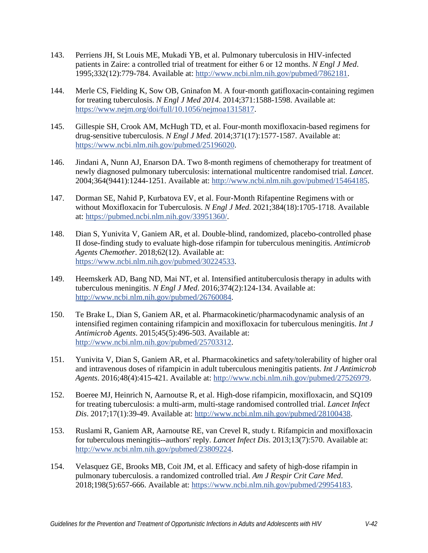- <span id="page-41-0"></span>143. Perriens JH, St Louis ME, Mukadi YB, et al. Pulmonary tuberculosis in HIV-infected patients in Zaire: a controlled trial of treatment for either 6 or 12 months. *N Engl J Med*. 1995;332(12):779-784. Available at: [http://www.ncbi.nlm.nih.gov/pubmed/7862181.](http://www.ncbi.nlm.nih.gov/pubmed/7862181)
- <span id="page-41-1"></span>144. Merle CS, Fielding K, Sow OB, Gninafon M. A four-month gatifloxacin-containing regimen for treating tuberculosis. *N Engl J Med 2014*. 2014;371:1588-1598. Available at: [https://www.nejm.org/doi/full/10.1056/nejmoa1315817.](https://www.nejm.org/doi/full/10.1056/nejmoa1315817)
- 145. Gillespie SH, Crook AM, McHugh TD, et al. Four-month moxifloxacin-based regimens for drug-sensitive tuberculosis. *N Engl J Med*. 2014;371(17):1577-1587. Available at: [https://www.ncbi.nlm.nih.gov/pubmed/25196020.](https://www.ncbi.nlm.nih.gov/pubmed/25196020)
- <span id="page-41-4"></span>146. Jindani A, Nunn AJ, Enarson DA. Two 8-month regimens of chemotherapy for treatment of newly diagnosed pulmonary tuberculosis: international multicentre randomised trial. *Lancet*. 2004;364(9441):1244-1251. Available at: [http://www.ncbi.nlm.nih.gov/pubmed/15464185.](http://www.ncbi.nlm.nih.gov/pubmed/15464185)
- <span id="page-41-2"></span>147. Dorman SE, Nahid P, Kurbatova EV, et al. Four-Month Rifapentine Regimens with or without Moxifloxacin for Tuberculosis. *N Engl J Med*. 2021;384(18):1705-1718. Available at: [https://pubmed.ncbi.nlm.nih.gov/33951360/.](https://pubmed.ncbi.nlm.nih.gov/33951360/)
- <span id="page-41-3"></span>148. Dian S, Yunivita V, Ganiem AR, et al. Double-blind, randomized, placebo-controlled phase II dose-finding study to evaluate high-dose rifampin for tuberculous meningitis. *Antimicrob Agents Chemother*. 2018;62(12). Available at: [https://www.ncbi.nlm.nih.gov/pubmed/30224533.](https://www.ncbi.nlm.nih.gov/pubmed/30224533)
- 149. Heemskerk AD, Bang ND, Mai NT, et al. Intensified antituberculosis therapy in adults with tuberculous meningitis. *N Engl J Med*. 2016;374(2):124-134. Available at: [http://www.ncbi.nlm.nih.gov/pubmed/26760084.](http://www.ncbi.nlm.nih.gov/pubmed/26760084)
- 150. Te Brake L, Dian S, Ganiem AR, et al. Pharmacokinetic/pharmacodynamic analysis of an intensified regimen containing rifampicin and moxifloxacin for tuberculous meningitis. *Int J Antimicrob Agents*. 2015;45(5):496-503. Available at: [http://www.ncbi.nlm.nih.gov/pubmed/25703312.](http://www.ncbi.nlm.nih.gov/pubmed/25703312)
- 151. Yunivita V, Dian S, Ganiem AR, et al. Pharmacokinetics and safety/tolerability of higher oral and intravenous doses of rifampicin in adult tuberculous meningitis patients. *Int J Antimicrob Agents*. 2016;48(4):415-421. Available at: [http://www.ncbi.nlm.nih.gov/pubmed/27526979.](http://www.ncbi.nlm.nih.gov/pubmed/27526979)
- 152. Boeree MJ, Heinrich N, Aarnoutse R, et al. High-dose rifampicin, moxifloxacin, and SQ109 for treating tuberculosis: a multi-arm, multi-stage randomised controlled trial. *Lancet Infect Dis*. 2017;17(1):39-49. Available at: [http://www.ncbi.nlm.nih.gov/pubmed/28100438.](http://www.ncbi.nlm.nih.gov/pubmed/28100438)
- 153. Ruslami R, Ganiem AR, Aarnoutse RE, van Crevel R, study t. Rifampicin and moxifloxacin for tuberculous meningitis--authors' reply. *Lancet Infect Dis*. 2013;13(7):570. Available at: [http://www.ncbi.nlm.nih.gov/pubmed/23809224.](http://www.ncbi.nlm.nih.gov/pubmed/23809224)
- 154. Velasquez GE, Brooks MB, Coit JM, et al. Efficacy and safety of high-dose rifampin in pulmonary tuberculosis. a randomized controlled trial. *Am J Respir Crit Care Med*. 2018;198(5):657-666. Available at: [https://www.ncbi.nlm.nih.gov/pubmed/29954183.](https://www.ncbi.nlm.nih.gov/pubmed/29954183)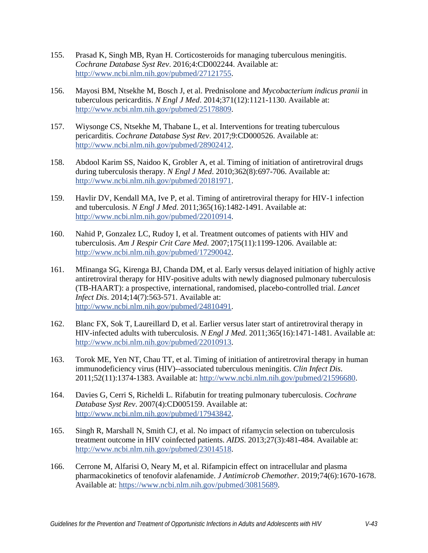- <span id="page-42-0"></span>155. Prasad K, Singh MB, Ryan H. Corticosteroids for managing tuberculous meningitis. *Cochrane Database Syst Rev*. 2016;4:CD002244. Available at: [http://www.ncbi.nlm.nih.gov/pubmed/27121755.](http://www.ncbi.nlm.nih.gov/pubmed/27121755)
- <span id="page-42-1"></span>156. Mayosi BM, Ntsekhe M, Bosch J, et al. Prednisolone and *Mycobacterium indicus pranii* in tuberculous pericarditis. *N Engl J Med*. 2014;371(12):1121-1130. Available at: [http://www.ncbi.nlm.nih.gov/pubmed/25178809.](http://www.ncbi.nlm.nih.gov/pubmed/25178809)
- <span id="page-42-2"></span>157. Wiysonge CS, Ntsekhe M, Thabane L, et al. Interventions for treating tuberculous pericarditis. *Cochrane Database Syst Rev*. 2017;9:CD000526. Available at: [http://www.ncbi.nlm.nih.gov/pubmed/28902412.](http://www.ncbi.nlm.nih.gov/pubmed/28902412)
- <span id="page-42-3"></span>158. Abdool Karim SS, Naidoo K, Grobler A, et al. Timing of initiation of antiretroviral drugs during tuberculosis therapy. *N Engl J Med*. 2010;362(8):697-706. Available at: [http://www.ncbi.nlm.nih.gov/pubmed/20181971.](http://www.ncbi.nlm.nih.gov/pubmed/20181971)
- <span id="page-42-4"></span>159. Havlir DV, Kendall MA, Ive P, et al. Timing of antiretroviral therapy for HIV-1 infection and tuberculosis. *N Engl J Med*. 2011;365(16):1482-1491. Available at: [http://www.ncbi.nlm.nih.gov/pubmed/22010914.](http://www.ncbi.nlm.nih.gov/pubmed/22010914)
- <span id="page-42-5"></span>160. Nahid P, Gonzalez LC, Rudoy I, et al. Treatment outcomes of patients with HIV and tuberculosis. *Am J Respir Crit Care Med*. 2007;175(11):1199-1206. Available at: [http://www.ncbi.nlm.nih.gov/pubmed/17290042.](http://www.ncbi.nlm.nih.gov/pubmed/17290042)
- <span id="page-42-6"></span>161. Mfinanga SG, Kirenga BJ, Chanda DM, et al. Early versus delayed initiation of highly active antiretroviral therapy for HIV-positive adults with newly diagnosed pulmonary tuberculosis (TB-HAART): a prospective, international, randomised, placebo-controlled trial. *Lancet Infect Dis*. 2014;14(7):563-571. Available at: [http://www.ncbi.nlm.nih.gov/pubmed/24810491.](http://www.ncbi.nlm.nih.gov/pubmed/24810491)
- <span id="page-42-7"></span>162. Blanc FX, Sok T, Laureillard D, et al. Earlier versus later start of antiretroviral therapy in HIV-infected adults with tuberculosis. *N Engl J Med*. 2011;365(16):1471-1481. Available at: [http://www.ncbi.nlm.nih.gov/pubmed/22010913.](http://www.ncbi.nlm.nih.gov/pubmed/22010913)
- <span id="page-42-8"></span>163. Torok ME, Yen NT, Chau TT, et al. Timing of initiation of antiretroviral therapy in human immunodeficiency virus (HIV)--associated tuberculous meningitis. *Clin Infect Dis*. 2011;52(11):1374-1383. Available at: [http://www.ncbi.nlm.nih.gov/pubmed/21596680.](http://www.ncbi.nlm.nih.gov/pubmed/21596680)
- <span id="page-42-9"></span>164. Davies G, Cerri S, Richeldi L. Rifabutin for treating pulmonary tuberculosis. *Cochrane Database Syst Rev*. 2007(4):CD005159. Available at: [http://www.ncbi.nlm.nih.gov/pubmed/17943842.](http://www.ncbi.nlm.nih.gov/pubmed/17943842)
- <span id="page-42-10"></span>165. Singh R, Marshall N, Smith CJ, et al. No impact of rifamycin selection on tuberculosis treatment outcome in HIV coinfected patients. *AIDS*. 2013;27(3):481-484. Available at: [http://www.ncbi.nlm.nih.gov/pubmed/23014518.](http://www.ncbi.nlm.nih.gov/pubmed/23014518)
- <span id="page-42-11"></span>166. Cerrone M, Alfarisi O, Neary M, et al. Rifampicin effect on intracellular and plasma pharmacokinetics of tenofovir alafenamide. *J Antimicrob Chemother*. 2019;74(6):1670-1678. Available at: [https://www.ncbi.nlm.nih.gov/pubmed/30815689.](https://www.ncbi.nlm.nih.gov/pubmed/30815689)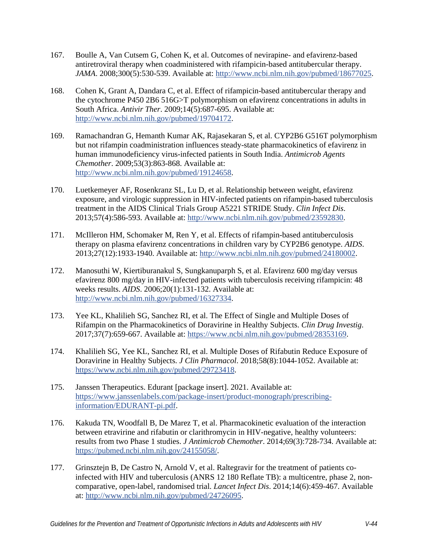- <span id="page-43-0"></span>167. Boulle A, Van Cutsem G, Cohen K, et al. Outcomes of nevirapine- and efavirenz-based antiretroviral therapy when coadministered with rifampicin-based antitubercular therapy. *JAMA*. 2008;300(5):530-539. Available at: [http://www.ncbi.nlm.nih.gov/pubmed/18677025.](http://www.ncbi.nlm.nih.gov/pubmed/18677025)
- <span id="page-43-1"></span>168. Cohen K, Grant A, Dandara C, et al. Effect of rifampicin-based antitubercular therapy and the cytochrome P450 2B6 516G>T polymorphism on efavirenz concentrations in adults in South Africa. *Antivir Ther*. 2009;14(5):687-695. Available at: [http://www.ncbi.nlm.nih.gov/pubmed/19704172.](http://www.ncbi.nlm.nih.gov/pubmed/19704172)
- 169. Ramachandran G, Hemanth Kumar AK, Rajasekaran S, et al. CYP2B6 G516T polymorphism but not rifampin coadministration influences steady-state pharmacokinetics of efavirenz in human immunodeficiency virus-infected patients in South India. *Antimicrob Agents Chemother*. 2009;53(3):863-868. Available at: [http://www.ncbi.nlm.nih.gov/pubmed/19124658.](http://www.ncbi.nlm.nih.gov/pubmed/19124658)
- 170. Luetkemeyer AF, Rosenkranz SL, Lu D, et al. Relationship between weight, efavirenz exposure, and virologic suppression in HIV-infected patients on rifampin-based tuberculosis treatment in the AIDS Clinical Trials Group A5221 STRIDE Study. *Clin Infect Dis*. 2013;57(4):586-593. Available at: [http://www.ncbi.nlm.nih.gov/pubmed/23592830.](http://www.ncbi.nlm.nih.gov/pubmed/23592830)
- <span id="page-43-2"></span>171. McIlleron HM, Schomaker M, Ren Y, et al. Effects of rifampin-based antituberculosis therapy on plasma efavirenz concentrations in children vary by CYP2B6 genotype. *AIDS*. 2013;27(12):1933-1940. Available at: [http://www.ncbi.nlm.nih.gov/pubmed/24180002.](http://www.ncbi.nlm.nih.gov/pubmed/24180002)
- <span id="page-43-3"></span>172. Manosuthi W, Kiertiburanakul S, Sungkanuparph S, et al. Efavirenz 600 mg/day versus efavirenz 800 mg/day in HIV-infected patients with tuberculosis receiving rifampicin: 48 weeks results. *AIDS*. 2006;20(1):131-132. Available at: [http://www.ncbi.nlm.nih.gov/pubmed/16327334.](http://www.ncbi.nlm.nih.gov/pubmed/16327334)
- <span id="page-43-4"></span>173. Yee KL, Khalilieh SG, Sanchez RI, et al. The Effect of Single and Multiple Doses of Rifampin on the Pharmacokinetics of Doravirine in Healthy Subjects. *Clin Drug Investig*. 2017;37(7):659-667. Available at: [https://www.ncbi.nlm.nih.gov/pubmed/28353169.](https://www.ncbi.nlm.nih.gov/pubmed/28353169)
- <span id="page-43-5"></span>174. Khalilieh SG, Yee KL, Sanchez RI, et al. Multiple Doses of Rifabutin Reduce Exposure of Doravirine in Healthy Subjects. *J Clin Pharmacol*. 2018;58(8):1044-1052. Available at: [https://www.ncbi.nlm.nih.gov/pubmed/29723418.](https://www.ncbi.nlm.nih.gov/pubmed/29723418)
- <span id="page-43-6"></span>175. Janssen Therapeutics. Edurant [package insert]. 2021. Available at: [https://www.janssenlabels.com/package-insert/product-monograph/prescribing](https://www.janssenlabels.com/package-insert/product-monograph/prescribing-information/EDURANT-pi.pdf)[information/EDURANT-pi.pdf.](https://www.janssenlabels.com/package-insert/product-monograph/prescribing-information/EDURANT-pi.pdf)
- <span id="page-43-7"></span>176. Kakuda TN, Woodfall B, De Marez T, et al. Pharmacokinetic evaluation of the interaction between etravirine and rifabutin or clarithromycin in HIV-negative, healthy volunteers: results from two Phase 1 studies. *J Antimicrob Chemother*. 2014;69(3):728-734. Available at: [https://pubmed.ncbi.nlm.nih.gov/24155058/.](https://pubmed.ncbi.nlm.nih.gov/24155058/)
- <span id="page-43-8"></span>177. Grinsztejn B, De Castro N, Arnold V, et al. Raltegravir for the treatment of patients coinfected with HIV and tuberculosis (ANRS 12 180 Reflate TB): a multicentre, phase 2, noncomparative, open-label, randomised trial. *Lancet Infect Dis*. 2014;14(6):459-467. Available at: [http://www.ncbi.nlm.nih.gov/pubmed/24726095.](http://www.ncbi.nlm.nih.gov/pubmed/24726095)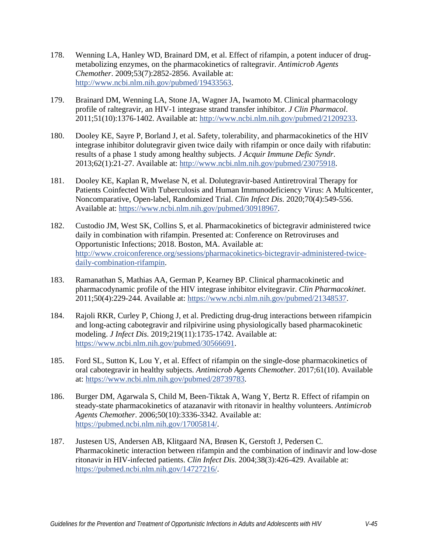- <span id="page-44-0"></span>178. Wenning LA, Hanley WD, Brainard DM, et al. Effect of rifampin, a potent inducer of drugmetabolizing enzymes, on the pharmacokinetics of raltegravir. *Antimicrob Agents Chemother*. 2009;53(7):2852-2856. Available at: [http://www.ncbi.nlm.nih.gov/pubmed/19433563.](http://www.ncbi.nlm.nih.gov/pubmed/19433563)
- <span id="page-44-1"></span>179. Brainard DM, Wenning LA, Stone JA, Wagner JA, Iwamoto M. Clinical pharmacology profile of raltegravir, an HIV-1 integrase strand transfer inhibitor. *J Clin Pharmacol*. 2011;51(10):1376-1402. Available at: [http://www.ncbi.nlm.nih.gov/pubmed/21209233.](http://www.ncbi.nlm.nih.gov/pubmed/21209233)
- <span id="page-44-2"></span>180. Dooley KE, Sayre P, Borland J, et al. Safety, tolerability, and pharmacokinetics of the HIV integrase inhibitor dolutegravir given twice daily with rifampin or once daily with rifabutin: results of a phase 1 study among healthy subjects. *J Acquir Immune Defic Syndr*. 2013;62(1):21-27. Available at: [http://www.ncbi.nlm.nih.gov/pubmed/23075918.](http://www.ncbi.nlm.nih.gov/pubmed/23075918)
- <span id="page-44-3"></span>181. Dooley KE, Kaplan R, Mwelase N, et al. Dolutegravir-based Antiretroviral Therapy for Patients Coinfected With Tuberculosis and Human Immunodeficiency Virus: A Multicenter, Noncomparative, Open-label, Randomized Trial. *Clin Infect Dis*. 2020;70(4):549-556. Available at: [https://www.ncbi.nlm.nih.gov/pubmed/30918967.](https://www.ncbi.nlm.nih.gov/pubmed/30918967)
- <span id="page-44-4"></span>182. Custodio JM, West SK, Collins S, et al. Pharmacokinetics of bictegravir administered twice daily in combination with rifampin. Presented at: Conference on Retroviruses and Opportunistic Infections; 2018. Boston, MA. Available at: [http://www.croiconference.org/sessions/pharmacokinetics-bictegravir-administered-twice](http://www.croiconference.org/sessions/pharmacokinetics-bictegravir-administered-twice-daily-combination-rifampin)[daily-combination-rifampin.](http://www.croiconference.org/sessions/pharmacokinetics-bictegravir-administered-twice-daily-combination-rifampin)
- <span id="page-44-5"></span>183. Ramanathan S, Mathias AA, German P, Kearney BP. Clinical pharmacokinetic and pharmacodynamic profile of the HIV integrase inhibitor elvitegravir. *Clin Pharmacokinet*. 2011;50(4):229-244. Available at: [https://www.ncbi.nlm.nih.gov/pubmed/21348537.](https://www.ncbi.nlm.nih.gov/pubmed/21348537)
- <span id="page-44-6"></span>184. Rajoli RKR, Curley P, Chiong J, et al. Predicting drug-drug interactions between rifampicin and long-acting cabotegravir and rilpivirine using physiologically based pharmacokinetic modeling. *J Infect Dis*. 2019;219(11):1735-1742. Available at: [https://www.ncbi.nlm.nih.gov/pubmed/30566691.](https://www.ncbi.nlm.nih.gov/pubmed/30566691)
- <span id="page-44-7"></span>185. Ford SL, Sutton K, Lou Y, et al. Effect of rifampin on the single-dose pharmacokinetics of oral cabotegravir in healthy subjects. *Antimicrob Agents Chemother*. 2017;61(10). Available at: [https://www.ncbi.nlm.nih.gov/pubmed/28739783.](https://www.ncbi.nlm.nih.gov/pubmed/28739783)
- <span id="page-44-8"></span>186. Burger DM, Agarwala S, Child M, Been-Tiktak A, Wang Y, Bertz R. Effect of rifampin on steady-state pharmacokinetics of atazanavir with ritonavir in healthy volunteers. *Antimicrob Agents Chemother*. 2006;50(10):3336-3342. Available at: [https://pubmed.ncbi.nlm.nih.gov/17005814/.](https://pubmed.ncbi.nlm.nih.gov/17005814/)
- 187. Justesen US, Andersen AB, Klitgaard NA, Brøsen K, Gerstoft J, Pedersen C. Pharmacokinetic interaction between rifampin and the combination of indinavir and low-dose ritonavir in HIV-infected patients. *Clin Infect Dis*. 2004;38(3):426-429. Available at: [https://pubmed.ncbi.nlm.nih.gov/14727216/.](https://pubmed.ncbi.nlm.nih.gov/14727216/)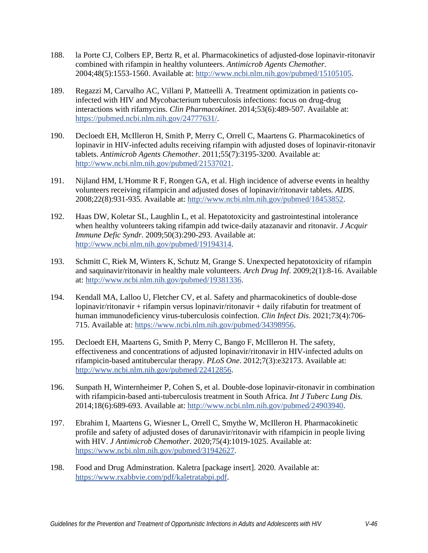- <span id="page-45-0"></span>188. la Porte CJ, Colbers EP, Bertz R, et al. Pharmacokinetics of adjusted-dose lopinavir-ritonavir combined with rifampin in healthy volunteers. *Antimicrob Agents Chemother*. 2004;48(5):1553-1560. Available at: [http://www.ncbi.nlm.nih.gov/pubmed/15105105.](http://www.ncbi.nlm.nih.gov/pubmed/15105105)
- 189. Regazzi M, Carvalho AC, Villani P, Matteelli A. Treatment optimization in patients coinfected with HIV and Mycobacterium tuberculosis infections: focus on drug-drug interactions with rifamycins. *Clin Pharmacokinet*. 2014;53(6):489-507. Available at: [https://pubmed.ncbi.nlm.nih.gov/24777631/.](https://pubmed.ncbi.nlm.nih.gov/24777631/)
- <span id="page-45-1"></span>190. Decloedt EH, McIlleron H, Smith P, Merry C, Orrell C, Maartens G. Pharmacokinetics of lopinavir in HIV-infected adults receiving rifampin with adjusted doses of lopinavir-ritonavir tablets. *Antimicrob Agents Chemother*. 2011;55(7):3195-3200. Available at: [http://www.ncbi.nlm.nih.gov/pubmed/21537021.](http://www.ncbi.nlm.nih.gov/pubmed/21537021)
- <span id="page-45-2"></span>191. Nijland HM, L'Homme R F, Rongen GA, et al. High incidence of adverse events in healthy volunteers receiving rifampicin and adjusted doses of lopinavir/ritonavir tablets. *AIDS*. 2008;22(8):931-935. Available at: [http://www.ncbi.nlm.nih.gov/pubmed/18453852.](http://www.ncbi.nlm.nih.gov/pubmed/18453852)
- 192. Haas DW, Koletar SL, Laughlin L, et al. Hepatotoxicity and gastrointestinal intolerance when healthy volunteers taking rifampin add twice-daily atazanavir and ritonavir. *J Acquir Immune Defic Syndr*. 2009;50(3):290-293. Available at: [http://www.ncbi.nlm.nih.gov/pubmed/19194314.](http://www.ncbi.nlm.nih.gov/pubmed/19194314)
- 193. Schmitt C, Riek M, Winters K, Schutz M, Grange S. Unexpected hepatotoxicity of rifampin and saquinavir/ritonavir in healthy male volunteers. *Arch Drug Inf*. 2009;2(1):8-16. Available at: [http://www.ncbi.nlm.nih.gov/pubmed/19381336.](http://www.ncbi.nlm.nih.gov/pubmed/19381336)
- <span id="page-45-3"></span>194. Kendall MA, Lalloo U, Fletcher CV, et al. Safety and pharmacokinetics of double-dose lopinavir/ritonavir + rifampin versus lopinavir/ritonavir + daily rifabutin for treatment of human immunodeficiency virus-tuberculosis coinfection. *Clin Infect Dis*. 2021;73(4):706- 715. Available at: [https://www.ncbi.nlm.nih.gov/pubmed/34398956.](https://www.ncbi.nlm.nih.gov/pubmed/34398956)
- <span id="page-45-4"></span>195. Decloedt EH, Maartens G, Smith P, Merry C, Bango F, McIlleron H. The safety, effectiveness and concentrations of adjusted lopinavir/ritonavir in HIV-infected adults on rifampicin-based antitubercular therapy. *PLoS One*. 2012;7(3):e32173. Available at: [http://www.ncbi.nlm.nih.gov/pubmed/22412856.](http://www.ncbi.nlm.nih.gov/pubmed/22412856)
- <span id="page-45-5"></span>196. Sunpath H, Winternheimer P, Cohen S, et al. Double-dose lopinavir-ritonavir in combination with rifampicin-based anti-tuberculosis treatment in South Africa. *Int J Tuberc Lung Dis*. 2014;18(6):689-693. Available at: [http://www.ncbi.nlm.nih.gov/pubmed/24903940.](http://www.ncbi.nlm.nih.gov/pubmed/24903940)
- <span id="page-45-6"></span>197. Ebrahim I, Maartens G, Wiesner L, Orrell C, Smythe W, McIlleron H. Pharmacokinetic profile and safety of adjusted doses of darunavir/ritonavir with rifampicin in people living with HIV. *J Antimicrob Chemother*. 2020;75(4):1019-1025. Available at: [https://www.ncbi.nlm.nih.gov/pubmed/31942627.](https://www.ncbi.nlm.nih.gov/pubmed/31942627)
- <span id="page-45-7"></span>198. Food and Drug Adminstration. Kaletra [package insert]. 2020. Available at: [https://www.rxabbvie.com/pdf/kaletratabpi.pdf.](https://www.rxabbvie.com/pdf/kaletratabpi.pdf)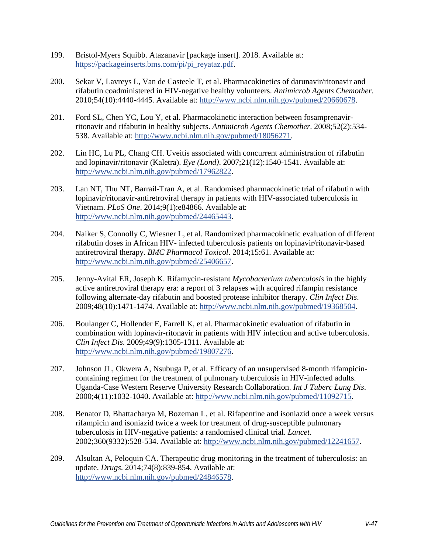- <span id="page-46-0"></span>199. Bristol-Myers Squibb. Atazanavir [package insert]. 2018. Available at: [https://packageinserts.bms.com/pi/pi\\_reyataz.pdf.](https://packageinserts.bms.com/pi/pi_reyataz.pdf)
- <span id="page-46-1"></span>200. Sekar V, Lavreys L, Van de Casteele T, et al. Pharmacokinetics of darunavir/ritonavir and rifabutin coadministered in HIV-negative healthy volunteers. *Antimicrob Agents Chemother*. 2010;54(10):4440-4445. Available at: [http://www.ncbi.nlm.nih.gov/pubmed/20660678.](http://www.ncbi.nlm.nih.gov/pubmed/20660678)
- <span id="page-46-2"></span>201. Ford SL, Chen YC, Lou Y, et al. Pharmacokinetic interaction between fosamprenavirritonavir and rifabutin in healthy subjects. *Antimicrob Agents Chemother*. 2008;52(2):534- 538. Available at: [http://www.ncbi.nlm.nih.gov/pubmed/18056271.](http://www.ncbi.nlm.nih.gov/pubmed/18056271)
- <span id="page-46-3"></span>202. Lin HC, Lu PL, Chang CH. Uveitis associated with concurrent administration of rifabutin and lopinavir/ritonavir (Kaletra). *Eye (Lond)*. 2007;21(12):1540-1541. Available at: [http://www.ncbi.nlm.nih.gov/pubmed/17962822.](http://www.ncbi.nlm.nih.gov/pubmed/17962822)
- <span id="page-46-4"></span>203. Lan NT, Thu NT, Barrail-Tran A, et al. Randomised pharmacokinetic trial of rifabutin with lopinavir/ritonavir-antiretroviral therapy in patients with HIV-associated tuberculosis in Vietnam. *PLoS One*. 2014;9(1):e84866. Available at: [http://www.ncbi.nlm.nih.gov/pubmed/24465443.](http://www.ncbi.nlm.nih.gov/pubmed/24465443)
- <span id="page-46-5"></span>204. Naiker S, Connolly C, Wiesner L, et al. Randomized pharmacokinetic evaluation of different rifabutin doses in African HIV- infected tuberculosis patients on lopinavir/ritonavir-based antiretroviral therapy. *BMC Pharmacol Toxicol*. 2014;15:61. Available at: [http://www.ncbi.nlm.nih.gov/pubmed/25406657.](http://www.ncbi.nlm.nih.gov/pubmed/25406657)
- <span id="page-46-6"></span>205. Jenny-Avital ER, Joseph K. Rifamycin-resistant *Mycobacterium tuberculosis* in the highly active antiretroviral therapy era: a report of 3 relapses with acquired rifampin resistance following alternate-day rifabutin and boosted protease inhibitor therapy. *Clin Infect Dis*. 2009;48(10):1471-1474. Available at: [http://www.ncbi.nlm.nih.gov/pubmed/19368504.](http://www.ncbi.nlm.nih.gov/pubmed/19368504)
- <span id="page-46-7"></span>206. Boulanger C, Hollender E, Farrell K, et al. Pharmacokinetic evaluation of rifabutin in combination with lopinavir-ritonavir in patients with HIV infection and active tuberculosis. *Clin Infect Dis*. 2009;49(9):1305-1311. Available at: [http://www.ncbi.nlm.nih.gov/pubmed/19807276.](http://www.ncbi.nlm.nih.gov/pubmed/19807276)
- <span id="page-46-8"></span>207. Johnson JL, Okwera A, Nsubuga P, et al. Efficacy of an unsupervised 8-month rifampicincontaining regimen for the treatment of pulmonary tuberculosis in HIV-infected adults. Uganda-Case Western Reserve University Research Collaboration. *Int J Tuberc Lung Dis*. 2000;4(11):1032-1040. Available at: [http://www.ncbi.nlm.nih.gov/pubmed/11092715.](http://www.ncbi.nlm.nih.gov/pubmed/11092715)
- <span id="page-46-9"></span>208. Benator D, Bhattacharya M, Bozeman L, et al. Rifapentine and isoniazid once a week versus rifampicin and isoniazid twice a week for treatment of drug-susceptible pulmonary tuberculosis in HIV-negative patients: a randomised clinical trial. *Lancet*. 2002;360(9332):528-534. Available at: [http://www.ncbi.nlm.nih.gov/pubmed/12241657.](http://www.ncbi.nlm.nih.gov/pubmed/12241657)
- <span id="page-46-10"></span>209. Alsultan A, Peloquin CA. Therapeutic drug monitoring in the treatment of tuberculosis: an update. *Drugs*. 2014;74(8):839-854. Available at: [http://www.ncbi.nlm.nih.gov/pubmed/24846578.](http://www.ncbi.nlm.nih.gov/pubmed/24846578)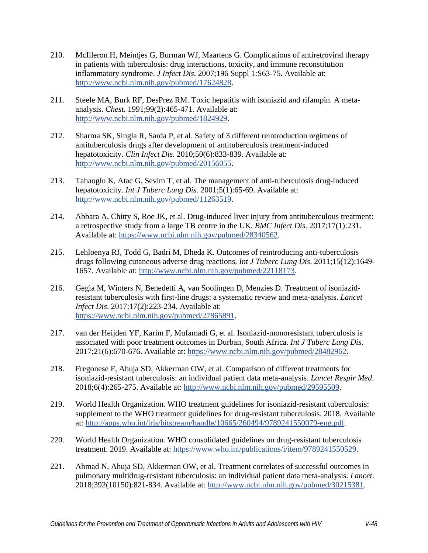- <span id="page-47-0"></span>210. McIlleron H, Meintjes G, Burman WJ, Maartens G. Complications of antiretroviral therapy in patients with tuberculosis: drug interactions, toxicity, and immune reconstitution inflammatory syndrome. *J Infect Dis*. 2007;196 Suppl 1:S63-75. Available at: [http://www.ncbi.nlm.nih.gov/pubmed/17624828.](http://www.ncbi.nlm.nih.gov/pubmed/17624828)
- <span id="page-47-1"></span>211. Steele MA, Burk RF, DesPrez RM. Toxic hepatitis with isoniazid and rifampin. A metaanalysis. *Chest*. 1991;99(2):465-471. Available at: [http://www.ncbi.nlm.nih.gov/pubmed/1824929.](http://www.ncbi.nlm.nih.gov/pubmed/1824929)
- <span id="page-47-2"></span>212. Sharma SK, Singla R, Sarda P, et al. Safety of 3 different reintroduction regimens of antituberculosis drugs after development of antituberculosis treatment-induced hepatotoxicity. *Clin Infect Dis*. 2010;50(6):833-839. Available at: [http://www.ncbi.nlm.nih.gov/pubmed/20156055.](http://www.ncbi.nlm.nih.gov/pubmed/20156055)
- <span id="page-47-3"></span>213. Tahaoglu K, Atac G, Sevim T, et al. The management of anti-tuberculosis drug-induced hepatotoxicity. *Int J Tuberc Lung Dis*. 2001;5(1):65-69. Available at: [http://www.ncbi.nlm.nih.gov/pubmed/11263519.](http://www.ncbi.nlm.nih.gov/pubmed/11263519)
- <span id="page-47-4"></span>214. Abbara A, Chitty S, Roe JK, et al. Drug-induced liver injury from antituberculous treatment: a retrospective study from a large TB centre in the UK. *BMC Infect Dis*. 2017;17(1):231. Available at: [https://www.ncbi.nlm.nih.gov/pubmed/28340562.](https://www.ncbi.nlm.nih.gov/pubmed/28340562)
- <span id="page-47-5"></span>215. Lehloenya RJ, Todd G, Badri M, Dheda K. Outcomes of reintroducing anti-tuberculosis drugs following cutaneous adverse drug reactions. *Int J Tuberc Lung Dis*. 2011;15(12):1649- 1657. Available at: [http://www.ncbi.nlm.nih.gov/pubmed/22118173.](http://www.ncbi.nlm.nih.gov/pubmed/22118173)
- <span id="page-47-6"></span>216. Gegia M, Winters N, Benedetti A, van Soolingen D, Menzies D. Treatment of isoniazidresistant tuberculosis with first-line drugs: a systematic review and meta-analysis. *Lancet Infect Dis*. 2017;17(2):223-234. Available at: [https://www.ncbi.nlm.nih.gov/pubmed/27865891.](https://www.ncbi.nlm.nih.gov/pubmed/27865891)
- <span id="page-47-7"></span>217. van der Heijden YF, Karim F, Mufamadi G, et al. Isoniazid-monoresistant tuberculosis is associated with poor treatment outcomes in Durban, South Africa. *Int J Tuberc Lung Dis*. 2017;21(6):670-676. Available at: [https://www.ncbi.nlm.nih.gov/pubmed/28482962.](https://www.ncbi.nlm.nih.gov/pubmed/28482962)
- <span id="page-47-8"></span>218. Fregonese F, Ahuja SD, Akkerman OW, et al. Comparison of different treatments for isoniazid-resistant tuberculosis: an individual patient data meta-analysis. *Lancet Respir Med*. 2018;6(4):265-275. Available at: [http://www.ncbi.nlm.nih.gov/pubmed/29595509.](http://www.ncbi.nlm.nih.gov/pubmed/29595509)
- 219. World Health Organization. WHO treatment guidelines for isoniazid-resistant tuberculosis: supplement to the WHO treatment guidelines for drug-resistant tuberculosis. 2018. Available at: [http://apps.who.int/iris/bitstream/handle/10665/260494/9789241550079-eng.pdf.](http://apps.who.int/iris/bitstream/handle/10665/260494/9789241550079-eng.pdf)
- <span id="page-47-9"></span>220. World Health Organization. WHO consolidated guidelines on drug-resistant tuberculosis treatment. 2019. Available at: [https://www.who.int/publications/i/item/9789241550529.](https://www.who.int/publications/i/item/9789241550529)
- <span id="page-47-10"></span>221. Ahmad N, Ahuja SD, Akkerman OW, et al. Treatment correlates of successful outcomes in pulmonary multidrug-resistant tuberculosis: an individual patient data meta-analysis. *Lancet*. 2018;392(10150):821-834. Available at: [http://www.ncbi.nlm.nih.gov/pubmed/30215381.](http://www.ncbi.nlm.nih.gov/pubmed/30215381)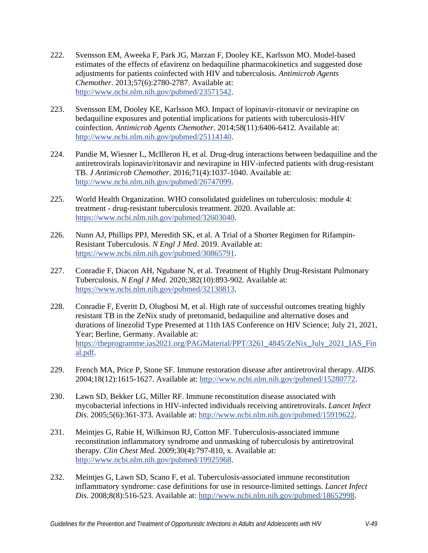- <span id="page-48-0"></span>222. Svensson EM, Aweeka F, Park JG, Marzan F, Dooley KE, Karlsson MO. Model-based estimates of the effects of efavirenz on bedaquiline pharmacokinetics and suggested dose adjustments for patients coinfected with HIV and tuberculosis. *Antimicrob Agents Chemother*. 2013;57(6):2780-2787. Available at: [http://www.ncbi.nlm.nih.gov/pubmed/23571542.](http://www.ncbi.nlm.nih.gov/pubmed/23571542)
- <span id="page-48-1"></span>223. Svensson EM, Dooley KE, Karlsson MO. Impact of lopinavir-ritonavir or nevirapine on bedaquiline exposures and potential implications for patients with tuberculosis-HIV coinfection. *Antimicrob Agents Chemother*. 2014;58(11):6406-6412. Available at: [http://www.ncbi.nlm.nih.gov/pubmed/25114140.](http://www.ncbi.nlm.nih.gov/pubmed/25114140)
- <span id="page-48-2"></span>224. Pandie M, Wiesner L, McIlleron H, et al. Drug-drug interactions between bedaquiline and the antiretrovirals lopinavir/ritonavir and nevirapine in HIV-infected patients with drug-resistant TB. *J Antimicrob Chemother*. 2016;71(4):1037-1040. Available at: [http://www.ncbi.nlm.nih.gov/pubmed/26747099.](http://www.ncbi.nlm.nih.gov/pubmed/26747099)
- <span id="page-48-3"></span>225. World Health Organization. WHO consolidated guidelines on tuberculosis: module 4: treatment - drug-resistant tuberculosis treatment. 2020. Available at: [https://www.ncbi.nlm.nih.gov/pubmed/32603040.](https://www.ncbi.nlm.nih.gov/pubmed/32603040)
- 226. Nunn AJ, Phillips PPJ, Meredith SK, et al. A Trial of a Shorter Regimen for Rifampin-Resistant Tuberculosis. *N Engl J Med*. 2019. Available at: [https://www.ncbi.nlm.nih.gov/pubmed/30865791.](https://www.ncbi.nlm.nih.gov/pubmed/30865791)
- <span id="page-48-4"></span>227. Conradie F, Diacon AH, Ngubane N, et al. Treatment of Highly Drug-Resistant Pulmonary Tuberculosis. *N Engl J Med*. 2020;382(10):893-902. Available at: [https://www.ncbi.nlm.nih.gov/pubmed/32130813.](https://www.ncbi.nlm.nih.gov/pubmed/32130813)
- 228. Conradie F, Everitt D, Olugbosi M, et al. High rate of successful outcomes treating highly resistant TB in the ZeNix study of pretomanid, bedaquiline and alternative doses and durations of linezolid Type Presented at 11th IAS Conference on HIV Science; July 21, 2021, Year; Berline, Germany. Available at: [https://theprogramme.ias2021.org/PAGMaterial/PPT/3261\\_4845/ZeNix\\_July\\_2021\\_IAS\\_Fin](https://theprogramme.ias2021.org/PAGMaterial/PPT/3261_4845/ZeNix_July_2021_IAS_Final.pdf) [al.pdf.](https://theprogramme.ias2021.org/PAGMaterial/PPT/3261_4845/ZeNix_July_2021_IAS_Final.pdf)
- <span id="page-48-5"></span>229. French MA, Price P, Stone SF. Immune restoration disease after antiretroviral therapy. *AIDS*. 2004;18(12):1615-1627. Available at: [http://www.ncbi.nlm.nih.gov/pubmed/15280772.](http://www.ncbi.nlm.nih.gov/pubmed/15280772)
- <span id="page-48-7"></span>230. Lawn SD, Bekker LG, Miller RF. Immune reconstitution disease associated with mycobacterial infections in HIV-infected individuals receiving antiretrovirals. *Lancet Infect Dis*. 2005;5(6):361-373. Available at: [http://www.ncbi.nlm.nih.gov/pubmed/15919622.](http://www.ncbi.nlm.nih.gov/pubmed/15919622)
- <span id="page-48-8"></span>231. Meintjes G, Rabie H, Wilkinson RJ, Cotton MF. Tuberculosis-associated immune reconstitution inflammatory syndrome and unmasking of tuberculosis by antiretroviral therapy. *Clin Chest Med*. 2009;30(4):797-810, x. Available at: [http://www.ncbi.nlm.nih.gov/pubmed/19925968.](http://www.ncbi.nlm.nih.gov/pubmed/19925968)
- <span id="page-48-6"></span>232. Meintjes G, Lawn SD, Scano F, et al. Tuberculosis-associated immune reconstitution inflammatory syndrome: case definitions for use in resource-limited settings. *Lancet Infect Dis*. 2008;8(8):516-523. Available at: [http://www.ncbi.nlm.nih.gov/pubmed/18652998.](http://www.ncbi.nlm.nih.gov/pubmed/18652998)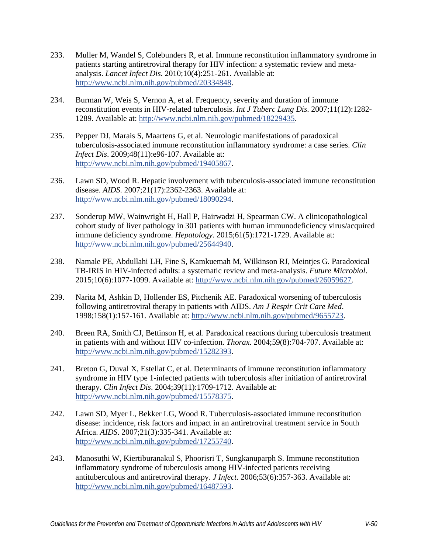- <span id="page-49-0"></span>233. Muller M, Wandel S, Colebunders R, et al. Immune reconstitution inflammatory syndrome in patients starting antiretroviral therapy for HIV infection: a systematic review and metaanalysis. *Lancet Infect Dis*. 2010;10(4):251-261. Available at: [http://www.ncbi.nlm.nih.gov/pubmed/20334848.](http://www.ncbi.nlm.nih.gov/pubmed/20334848)
- <span id="page-49-1"></span>234. Burman W, Weis S, Vernon A, et al. Frequency, severity and duration of immune reconstitution events in HIV-related tuberculosis. *Int J Tuberc Lung Dis*. 2007;11(12):1282- 1289. Available at: [http://www.ncbi.nlm.nih.gov/pubmed/18229435.](http://www.ncbi.nlm.nih.gov/pubmed/18229435)
- <span id="page-49-2"></span>235. Pepper DJ, Marais S, Maartens G, et al. Neurologic manifestations of paradoxical tuberculosis-associated immune reconstitution inflammatory syndrome: a case series. *Clin Infect Dis*. 2009;48(11):e96-107. Available at: [http://www.ncbi.nlm.nih.gov/pubmed/19405867.](http://www.ncbi.nlm.nih.gov/pubmed/19405867)
- <span id="page-49-3"></span>236. Lawn SD, Wood R. Hepatic involvement with tuberculosis-associated immune reconstitution disease. *AIDS*. 2007;21(17):2362-2363. Available at: [http://www.ncbi.nlm.nih.gov/pubmed/18090294.](http://www.ncbi.nlm.nih.gov/pubmed/18090294)
- <span id="page-49-4"></span>237. Sonderup MW, Wainwright H, Hall P, Hairwadzi H, Spearman CW. A clinicopathological cohort study of liver pathology in 301 patients with human immunodeficiency virus/acquired immune deficiency syndrome. *Hepatology*. 2015;61(5):1721-1729. Available at: [http://www.ncbi.nlm.nih.gov/pubmed/25644940.](http://www.ncbi.nlm.nih.gov/pubmed/25644940)
- <span id="page-49-5"></span>238. Namale PE, Abdullahi LH, Fine S, Kamkuemah M, Wilkinson RJ, Meintjes G. Paradoxical TB-IRIS in HIV-infected adults: a systematic review and meta-analysis. *Future Microbiol*. 2015;10(6):1077-1099. Available at: [http://www.ncbi.nlm.nih.gov/pubmed/26059627.](http://www.ncbi.nlm.nih.gov/pubmed/26059627)
- <span id="page-49-6"></span>239. Narita M, Ashkin D, Hollender ES, Pitchenik AE. Paradoxical worsening of tuberculosis following antiretroviral therapy in patients with AIDS. *Am J Respir Crit Care Med*. 1998;158(1):157-161. Available at: [http://www.ncbi.nlm.nih.gov/pubmed/9655723.](http://www.ncbi.nlm.nih.gov/pubmed/9655723)
- <span id="page-49-10"></span>240. Breen RA, Smith CJ, Bettinson H, et al. Paradoxical reactions during tuberculosis treatment in patients with and without HIV co-infection. *Thorax*. 2004;59(8):704-707. Available at: [http://www.ncbi.nlm.nih.gov/pubmed/15282393.](http://www.ncbi.nlm.nih.gov/pubmed/15282393)
- <span id="page-49-9"></span>241. Breton G, Duval X, Estellat C, et al. Determinants of immune reconstitution inflammatory syndrome in HIV type 1-infected patients with tuberculosis after initiation of antiretroviral therapy. *Clin Infect Dis*. 2004;39(11):1709-1712. Available at: [http://www.ncbi.nlm.nih.gov/pubmed/15578375.](http://www.ncbi.nlm.nih.gov/pubmed/15578375)
- <span id="page-49-8"></span>242. Lawn SD, Myer L, Bekker LG, Wood R. Tuberculosis-associated immune reconstitution disease: incidence, risk factors and impact in an antiretroviral treatment service in South Africa. *AIDS*. 2007;21(3):335-341. Available at: [http://www.ncbi.nlm.nih.gov/pubmed/17255740.](http://www.ncbi.nlm.nih.gov/pubmed/17255740)
- <span id="page-49-7"></span>243. Manosuthi W, Kiertiburanakul S, Phoorisri T, Sungkanuparph S. Immune reconstitution inflammatory syndrome of tuberculosis among HIV-infected patients receiving antituberculous and antiretroviral therapy. *J Infect*. 2006;53(6):357-363. Available at: [http://www.ncbi.nlm.nih.gov/pubmed/16487593.](http://www.ncbi.nlm.nih.gov/pubmed/16487593)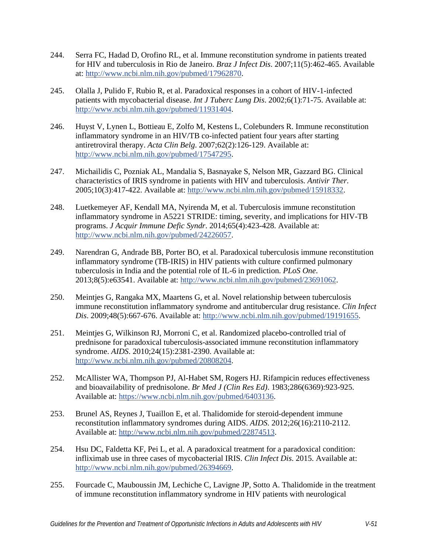- <span id="page-50-2"></span>244. Serra FC, Hadad D, Orofino RL, et al. Immune reconstitution syndrome in patients treated for HIV and tuberculosis in Rio de Janeiro. *Braz J Infect Dis*. 2007;11(5):462-465. Available at: [http://www.ncbi.nlm.nih.gov/pubmed/17962870.](http://www.ncbi.nlm.nih.gov/pubmed/17962870)
- <span id="page-50-0"></span>245. Olalla J, Pulido F, Rubio R, et al. Paradoxical responses in a cohort of HIV-1-infected patients with mycobacterial disease. *Int J Tuberc Lung Dis*. 2002;6(1):71-75. Available at: [http://www.ncbi.nlm.nih.gov/pubmed/11931404.](http://www.ncbi.nlm.nih.gov/pubmed/11931404)
- <span id="page-50-1"></span>246. Huyst V, Lynen L, Bottieau E, Zolfo M, Kestens L, Colebunders R. Immune reconstitution inflammatory syndrome in an HIV/TB co-infected patient four years after starting antiretroviral therapy. *Acta Clin Belg*. 2007;62(2):126-129. Available at: [http://www.ncbi.nlm.nih.gov/pubmed/17547295.](http://www.ncbi.nlm.nih.gov/pubmed/17547295)
- <span id="page-50-3"></span>247. Michailidis C, Pozniak AL, Mandalia S, Basnayake S, Nelson MR, Gazzard BG. Clinical characteristics of IRIS syndrome in patients with HIV and tuberculosis. *Antivir Ther*. 2005;10(3):417-422. Available at: [http://www.ncbi.nlm.nih.gov/pubmed/15918332.](http://www.ncbi.nlm.nih.gov/pubmed/15918332)
- <span id="page-50-4"></span>248. Luetkemeyer AF, Kendall MA, Nyirenda M, et al. Tuberculosis immune reconstitution inflammatory syndrome in A5221 STRIDE: timing, severity, and implications for HIV-TB programs. *J Acquir Immune Defic Syndr*. 2014;65(4):423-428. Available at: [http://www.ncbi.nlm.nih.gov/pubmed/24226057.](http://www.ncbi.nlm.nih.gov/pubmed/24226057)
- <span id="page-50-5"></span>249. Narendran G, Andrade BB, Porter BO, et al. Paradoxical tuberculosis immune reconstitution inflammatory syndrome (TB-IRIS) in HIV patients with culture confirmed pulmonary tuberculosis in India and the potential role of IL-6 in prediction. *PLoS One*. 2013;8(5):e63541. Available at: [http://www.ncbi.nlm.nih.gov/pubmed/23691062.](http://www.ncbi.nlm.nih.gov/pubmed/23691062)
- <span id="page-50-6"></span>250. Meintjes G, Rangaka MX, Maartens G, et al. Novel relationship between tuberculosis immune reconstitution inflammatory syndrome and antitubercular drug resistance. *Clin Infect Dis*. 2009;48(5):667-676. Available at: [http://www.ncbi.nlm.nih.gov/pubmed/19191655.](http://www.ncbi.nlm.nih.gov/pubmed/19191655)
- <span id="page-50-7"></span>251. Meintjes G, Wilkinson RJ, Morroni C, et al. Randomized placebo-controlled trial of prednisone for paradoxical tuberculosis-associated immune reconstitution inflammatory syndrome. *AIDS*. 2010;24(15):2381-2390. Available at: [http://www.ncbi.nlm.nih.gov/pubmed/20808204.](http://www.ncbi.nlm.nih.gov/pubmed/20808204)
- <span id="page-50-8"></span>252. McAllister WA, Thompson PJ, Al-Habet SM, Rogers HJ. Rifampicin reduces effectiveness and bioavailability of prednisolone. *Br Med J (Clin Res Ed)*. 1983;286(6369):923-925. Available at: [https://www.ncbi.nlm.nih.gov/pubmed/6403136.](https://www.ncbi.nlm.nih.gov/pubmed/6403136)
- <span id="page-50-9"></span>253. Brunel AS, Reynes J, Tuaillon E, et al. Thalidomide for steroid-dependent immune reconstitution inflammatory syndromes during AIDS. *AIDS*. 2012;26(16):2110-2112. Available at: [http://www.ncbi.nlm.nih.gov/pubmed/22874513.](http://www.ncbi.nlm.nih.gov/pubmed/22874513)
- 254. Hsu DC, Faldetta KF, Pei L, et al. A paradoxical treatment for a paradoxical condition: infliximab use in three cases of mycobacterial IRIS. *Clin Infect Dis*. 2015. Available at: [http://www.ncbi.nlm.nih.gov/pubmed/26394669.](http://www.ncbi.nlm.nih.gov/pubmed/26394669)
- 255. Fourcade C, Mauboussin JM, Lechiche C, Lavigne JP, Sotto A. Thalidomide in the treatment of immune reconstitution inflammatory syndrome in HIV patients with neurological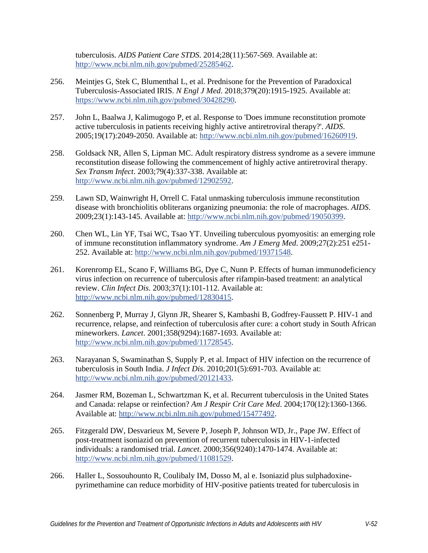tuberculosis. *AIDS Patient Care STDS*. 2014;28(11):567-569. Available at: [http://www.ncbi.nlm.nih.gov/pubmed/25285462.](http://www.ncbi.nlm.nih.gov/pubmed/25285462)

- <span id="page-51-0"></span>256. Meintjes G, Stek C, Blumenthal L, et al. Prednisone for the Prevention of Paradoxical Tuberculosis-Associated IRIS. *N Engl J Med*. 2018;379(20):1915-1925. Available at: [https://www.ncbi.nlm.nih.gov/pubmed/30428290.](https://www.ncbi.nlm.nih.gov/pubmed/30428290)
- <span id="page-51-1"></span>257. John L, Baalwa J, Kalimugogo P, et al. Response to 'Does immune reconstitution promote active tuberculosis in patients receiving highly active antiretroviral therapy?'. *AIDS*. 2005;19(17):2049-2050. Available at: [http://www.ncbi.nlm.nih.gov/pubmed/16260919.](http://www.ncbi.nlm.nih.gov/pubmed/16260919)
- 258. Goldsack NR, Allen S, Lipman MC. Adult respiratory distress syndrome as a severe immune reconstitution disease following the commencement of highly active antiretroviral therapy. *Sex Transm Infect*. 2003;79(4):337-338. Available at: [http://www.ncbi.nlm.nih.gov/pubmed/12902592.](http://www.ncbi.nlm.nih.gov/pubmed/12902592)
- 259. Lawn SD, Wainwright H, Orrell C. Fatal unmasking tuberculosis immune reconstitution disease with bronchiolitis obliterans organizing pneumonia: the role of macrophages. *AIDS*. 2009;23(1):143-145. Available at: [http://www.ncbi.nlm.nih.gov/pubmed/19050399.](http://www.ncbi.nlm.nih.gov/pubmed/19050399)
- <span id="page-51-2"></span>260. Chen WL, Lin YF, Tsai WC, Tsao YT. Unveiling tuberculous pyomyositis: an emerging role of immune reconstitution inflammatory syndrome. *Am J Emerg Med*. 2009;27(2):251 e251- 252. Available at: [http://www.ncbi.nlm.nih.gov/pubmed/19371548.](http://www.ncbi.nlm.nih.gov/pubmed/19371548)
- <span id="page-51-3"></span>261. Korenromp EL, Scano F, Williams BG, Dye C, Nunn P. Effects of human immunodeficiency virus infection on recurrence of tuberculosis after rifampin-based treatment: an analytical review. *Clin Infect Dis*. 2003;37(1):101-112. Available at: [http://www.ncbi.nlm.nih.gov/pubmed/12830415.](http://www.ncbi.nlm.nih.gov/pubmed/12830415)
- <span id="page-51-4"></span>262. Sonnenberg P, Murray J, Glynn JR, Shearer S, Kambashi B, Godfrey-Faussett P. HIV-1 and recurrence, relapse, and reinfection of tuberculosis after cure: a cohort study in South African mineworkers. *Lancet*. 2001;358(9294):1687-1693. Available at: [http://www.ncbi.nlm.nih.gov/pubmed/11728545.](http://www.ncbi.nlm.nih.gov/pubmed/11728545)
- <span id="page-51-5"></span>263. Narayanan S, Swaminathan S, Supply P, et al. Impact of HIV infection on the recurrence of tuberculosis in South India. *J Infect Dis*. 2010;201(5):691-703. Available at: [http://www.ncbi.nlm.nih.gov/pubmed/20121433.](http://www.ncbi.nlm.nih.gov/pubmed/20121433)
- <span id="page-51-6"></span>264. Jasmer RM, Bozeman L, Schwartzman K, et al. Recurrent tuberculosis in the United States and Canada: relapse or reinfection? *Am J Respir Crit Care Med*. 2004;170(12):1360-1366. Available at: [http://www.ncbi.nlm.nih.gov/pubmed/15477492.](http://www.ncbi.nlm.nih.gov/pubmed/15477492)
- <span id="page-51-7"></span>265. Fitzgerald DW, Desvarieux M, Severe P, Joseph P, Johnson WD, Jr., Pape JW. Effect of post-treatment isoniazid on prevention of recurrent tuberculosis in HIV-1-infected individuals: a randomised trial. *Lancet*. 2000;356(9240):1470-1474. Available at: [http://www.ncbi.nlm.nih.gov/pubmed/11081529.](http://www.ncbi.nlm.nih.gov/pubmed/11081529)
- <span id="page-51-8"></span>266. Haller L, Sossouhounto R, Coulibaly IM, Dosso M, al e. Isoniazid plus sulphadoxinepyrimethamine can reduce morbidity of HIV-positive patients treated for tuberculosis in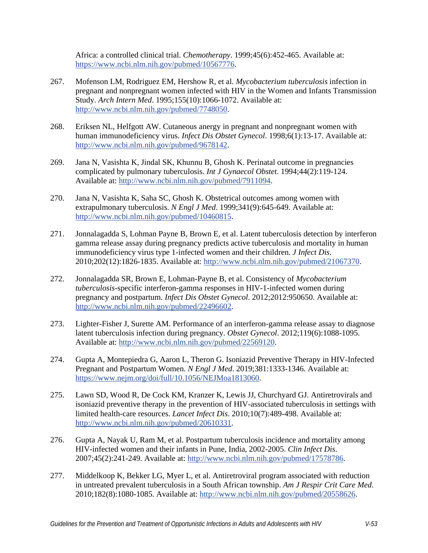Africa: a controlled clinical trial. *Chemotherapy*. 1999;45(6):452-465. Available at: [https://www.ncbi.nlm.nih.gov/pubmed/10567776.](https://www.ncbi.nlm.nih.gov/pubmed/10567776)

- <span id="page-52-0"></span>267. Mofenson LM, Rodriguez EM, Hershow R, et al. *Mycobacterium tuberculosis* infection in pregnant and nonpregnant women infected with HIV in the Women and Infants Transmission Study. *Arch Intern Med*. 1995;155(10):1066-1072. Available at: [http://www.ncbi.nlm.nih.gov/pubmed/7748050.](http://www.ncbi.nlm.nih.gov/pubmed/7748050)
- 268. Eriksen NL, Helfgott AW. Cutaneous anergy in pregnant and nonpregnant women with human immunodeficiency virus. *Infect Dis Obstet Gynecol*. 1998;6(1):13-17. Available at: [http://www.ncbi.nlm.nih.gov/pubmed/9678142.](http://www.ncbi.nlm.nih.gov/pubmed/9678142)
- 269. Jana N, Vasishta K, Jindal SK, Khunnu B, Ghosh K. Perinatal outcome in pregnancies complicated by pulmonary tuberculosis. *Int J Gynaecol Obstet*. 1994;44(2):119-124. Available at: [http://www.ncbi.nlm.nih.gov/pubmed/7911094.](http://www.ncbi.nlm.nih.gov/pubmed/7911094)
- 270. Jana N, Vasishta K, Saha SC, Ghosh K. Obstetrical outcomes among women with extrapulmonary tuberculosis. *N Engl J Med*. 1999;341(9):645-649. Available at: [http://www.ncbi.nlm.nih.gov/pubmed/10460815.](http://www.ncbi.nlm.nih.gov/pubmed/10460815)
- <span id="page-52-1"></span>271. Jonnalagadda S, Lohman Payne B, Brown E, et al. Latent tuberculosis detection by interferon gamma release assay during pregnancy predicts active tuberculosis and mortality in human immunodeficiency virus type 1-infected women and their children. *J Infect Dis*. 2010;202(12):1826-1835. Available at: [http://www.ncbi.nlm.nih.gov/pubmed/21067370.](http://www.ncbi.nlm.nih.gov/pubmed/21067370)
- <span id="page-52-2"></span>272. Jonnalagadda SR, Brown E, Lohman-Payne B, et al. Consistency of *Mycobacterium tuberculosis*-specific interferon-gamma responses in HIV-1-infected women during pregnancy and postpartum. *Infect Dis Obstet Gynecol*. 2012;2012:950650. Available at: [http://www.ncbi.nlm.nih.gov/pubmed/22496602.](http://www.ncbi.nlm.nih.gov/pubmed/22496602)
- <span id="page-52-3"></span>273. Lighter-Fisher J, Surette AM. Performance of an interferon-gamma release assay to diagnose latent tuberculosis infection during pregnancy. *Obstet Gynecol*. 2012;119(6):1088-1095. Available at: [http://www.ncbi.nlm.nih.gov/pubmed/22569120.](http://www.ncbi.nlm.nih.gov/pubmed/22569120)
- <span id="page-52-4"></span>274. Gupta A, Montepiedra G, Aaron L, Theron G. Isoniazid Preventive Therapy in HIV-Infected Pregnant and Postpartum Women. *N Engl J Med*. 2019;381:1333-1346. Available at: [https://www.nejm.org/doi/full/10.1056/NEJMoa1813060.](https://www.nejm.org/doi/full/10.1056/NEJMoa1813060)
- <span id="page-52-5"></span>275. Lawn SD, Wood R, De Cock KM, Kranzer K, Lewis JJ, Churchyard GJ. Antiretrovirals and isoniazid preventive therapy in the prevention of HIV-associated tuberculosis in settings with limited health-care resources. *Lancet Infect Dis*. 2010;10(7):489-498. Available at: [http://www.ncbi.nlm.nih.gov/pubmed/20610331.](http://www.ncbi.nlm.nih.gov/pubmed/20610331)
- <span id="page-52-6"></span>276. Gupta A, Nayak U, Ram M, et al. Postpartum tuberculosis incidence and mortality among HIV-infected women and their infants in Pune, India, 2002-2005. *Clin Infect Dis*. 2007;45(2):241-249. Available at: [http://www.ncbi.nlm.nih.gov/pubmed/17578786.](http://www.ncbi.nlm.nih.gov/pubmed/17578786)
- <span id="page-52-7"></span>277. Middelkoop K, Bekker LG, Myer L, et al. Antiretroviral program associated with reduction in untreated prevalent tuberculosis in a South African township. *Am J Respir Crit Care Med*. 2010;182(8):1080-1085. Available at: [http://www.ncbi.nlm.nih.gov/pubmed/20558626.](http://www.ncbi.nlm.nih.gov/pubmed/20558626)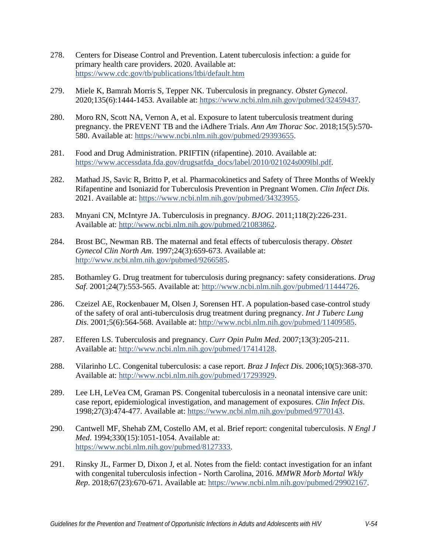- <span id="page-53-0"></span>278. Centers for Disease Control and Prevention. Latent tuberculosis infection: a guide for primary health care providers. 2020. Available at: <https://www.cdc.gov/tb/publications/ltbi/default.htm>
- <span id="page-53-1"></span>279. Miele K, Bamrah Morris S, Tepper NK. Tuberculosis in pregnancy. *Obstet Gynecol*. 2020;135(6):1444-1453. Available at: [https://www.ncbi.nlm.nih.gov/pubmed/32459437.](https://www.ncbi.nlm.nih.gov/pubmed/32459437)
- <span id="page-53-2"></span>280. Moro RN, Scott NA, Vernon A, et al. Exposure to latent tuberculosis treatment during pregnancy. the PREVENT TB and the iAdhere Trials. *Ann Am Thorac Soc*. 2018;15(5):570- 580. Available at: [https://www.ncbi.nlm.nih.gov/pubmed/29393655.](https://www.ncbi.nlm.nih.gov/pubmed/29393655)
- 281. Food and Drug Administration. PRIFTIN (rifapentine). 2010. Available at: [https://www.accessdata.fda.gov/drugsatfda\\_docs/label/2010/021024s009lbl.pdf.](https://www.accessdata.fda.gov/drugsatfda_docs/label/2010/021024s009lbl.pdf)
- 282. Mathad JS, Savic R, Britto P, et al. Pharmacokinetics and Safety of Three Months of Weekly Rifapentine and Isoniazid for Tuberculosis Prevention in Pregnant Women. *Clin Infect Dis*. 2021. Available at: [https://www.ncbi.nlm.nih.gov/pubmed/34323955.](https://www.ncbi.nlm.nih.gov/pubmed/34323955)
- <span id="page-53-3"></span>283. Mnyani CN, McIntyre JA. Tuberculosis in pregnancy. *BJOG*. 2011;118(2):226-231. Available at: [http://www.ncbi.nlm.nih.gov/pubmed/21083862.](http://www.ncbi.nlm.nih.gov/pubmed/21083862)
- 284. Brost BC, Newman RB. The maternal and fetal effects of tuberculosis therapy. *Obstet Gynecol Clin North Am*. 1997;24(3):659-673. Available at: [http://www.ncbi.nlm.nih.gov/pubmed/9266585.](http://www.ncbi.nlm.nih.gov/pubmed/9266585)
- 285. Bothamley G. Drug treatment for tuberculosis during pregnancy: safety considerations. *Drug Saf*. 2001;24(7):553-565. Available at: [http://www.ncbi.nlm.nih.gov/pubmed/11444726.](http://www.ncbi.nlm.nih.gov/pubmed/11444726)
- 286. Czeizel AE, Rockenbauer M, Olsen J, Sorensen HT. A population-based case-control study of the safety of oral anti-tuberculosis drug treatment during pregnancy. *Int J Tuberc Lung Dis*. 2001;5(6):564-568. Available at: [http://www.ncbi.nlm.nih.gov/pubmed/11409585.](http://www.ncbi.nlm.nih.gov/pubmed/11409585)
- 287. Efferen LS. Tuberculosis and pregnancy. *Curr Opin Pulm Med*. 2007;13(3):205-211. Available at: [http://www.ncbi.nlm.nih.gov/pubmed/17414128.](http://www.ncbi.nlm.nih.gov/pubmed/17414128)
- <span id="page-53-4"></span>288. Vilarinho LC. Congenital tuberculosis: a case report. *Braz J Infect Dis*. 2006;10(5):368-370. Available at: [http://www.ncbi.nlm.nih.gov/pubmed/17293929.](http://www.ncbi.nlm.nih.gov/pubmed/17293929)
- 289. Lee LH, LeVea CM, Graman PS. Congenital tuberculosis in a neonatal intensive care unit: case report, epidemiological investigation, and management of exposures. *Clin Infect Dis*. 1998;27(3):474-477. Available at: [https://www.ncbi.nlm.nih.gov/pubmed/9770143.](https://www.ncbi.nlm.nih.gov/pubmed/9770143)
- 290. Cantwell MF, Shehab ZM, Costello AM, et al. Brief report: congenital tuberculosis. *N Engl J Med*. 1994;330(15):1051-1054. Available at: [https://www.ncbi.nlm.nih.gov/pubmed/8127333.](https://www.ncbi.nlm.nih.gov/pubmed/8127333)
- 291. Rinsky JL, Farmer D, Dixon J, et al. Notes from the field: contact investigation for an infant with congenital tuberculosis infection - North Carolina, 2016. *MMWR Morb Mortal Wkly Rep*. 2018;67(23):670-671. Available at: [https://www.ncbi.nlm.nih.gov/pubmed/29902167.](https://www.ncbi.nlm.nih.gov/pubmed/29902167)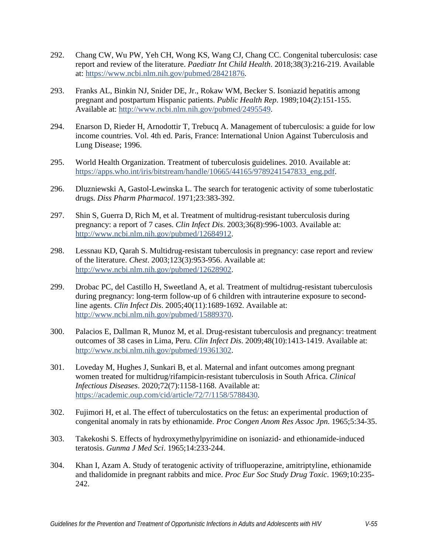- 292. Chang CW, Wu PW, Yeh CH, Wong KS, Wang CJ, Chang CC. Congenital tuberculosis: case report and review of the literature. *Paediatr Int Child Health*. 2018;38(3):216-219. Available at: [https://www.ncbi.nlm.nih.gov/pubmed/28421876.](https://www.ncbi.nlm.nih.gov/pubmed/28421876)
- <span id="page-54-0"></span>293. Franks AL, Binkin NJ, Snider DE, Jr., Rokaw WM, Becker S. Isoniazid hepatitis among pregnant and postpartum Hispanic patients. *Public Health Rep*. 1989;104(2):151-155. Available at: [http://www.ncbi.nlm.nih.gov/pubmed/2495549.](http://www.ncbi.nlm.nih.gov/pubmed/2495549)
- <span id="page-54-1"></span>294. Enarson D, Rieder H, Arnodottir T, Trebucq A. Management of tuberculosis: a guide for low income countries. Vol. 4th ed. Paris, France: International Union Against Tuberculosis and Lung Disease; 1996.
- <span id="page-54-2"></span>295. World Health Organization. Treatment of tuberculosis guidelines. 2010. Available at: [https://apps.who.int/iris/bitstream/handle/10665/44165/9789241547833\\_eng.pdf.](https://apps.who.int/iris/bitstream/handle/10665/44165/9789241547833_eng.pdf)
- <span id="page-54-3"></span>296. Dluzniewski A, Gastol-Lewinska L. The search for teratogenic activity of some tuberlostatic drugs. *Diss Pharm Pharmacol*. 1971;23:383-392.
- <span id="page-54-4"></span>297. Shin S, Guerra D, Rich M, et al. Treatment of multidrug-resistant tuberculosis during pregnancy: a report of 7 cases. *Clin Infect Dis*. 2003;36(8):996-1003. Available at: [http://www.ncbi.nlm.nih.gov/pubmed/12684912.](http://www.ncbi.nlm.nih.gov/pubmed/12684912)
- 298. Lessnau KD, Qarah S. Multidrug-resistant tuberculosis in pregnancy: case report and review of the literature. *Chest*. 2003;123(3):953-956. Available at: [http://www.ncbi.nlm.nih.gov/pubmed/12628902.](http://www.ncbi.nlm.nih.gov/pubmed/12628902)
- 299. Drobac PC, del Castillo H, Sweetland A, et al. Treatment of multidrug-resistant tuberculosis during pregnancy: long-term follow-up of 6 children with intrauterine exposure to secondline agents. *Clin Infect Dis*. 2005;40(11):1689-1692. Available at: [http://www.ncbi.nlm.nih.gov/pubmed/15889370.](http://www.ncbi.nlm.nih.gov/pubmed/15889370)
- 300. Palacios E, Dallman R, Munoz M, et al. Drug-resistant tuberculosis and pregnancy: treatment outcomes of 38 cases in Lima, Peru. *Clin Infect Dis*. 2009;48(10):1413-1419. Available at: [http://www.ncbi.nlm.nih.gov/pubmed/19361302.](http://www.ncbi.nlm.nih.gov/pubmed/19361302)
- <span id="page-54-5"></span>301. Loveday M, Hughes J, Sunkari B, et al. Maternal and infant outcomes among pregnant women treated for multidrug/rifampicin-resistant tuberculosis in South Africa. *Clinical Infectious Diseases*. 2020;72(7):1158-1168. Available at: [https://academic.oup.com/cid/article/72/7/1158/5788430.](https://academic.oup.com/cid/article/72/7/1158/5788430)
- <span id="page-54-6"></span>302. Fujimori H, et al. The effect of tuberculostatics on the fetus: an experimental production of congenital anomaly in rats by ethionamide. *Proc Congen Anom Res Assoc Jpn*. 1965;5:34-35.
- 303. Takekoshi S. Effects of hydroxymethylpyrimidine on isoniazid- and ethionamide-induced teratosis. *Gunma J Med Sci*. 1965;14:233-244.
- 304. Khan I, Azam A. Study of teratogenic activity of trifluoperazine, amitriptyline, ethionamide and thalidomide in pregnant rabbits and mice. *Proc Eur Soc Study Drug Toxic*. 1969;10:235- 242.